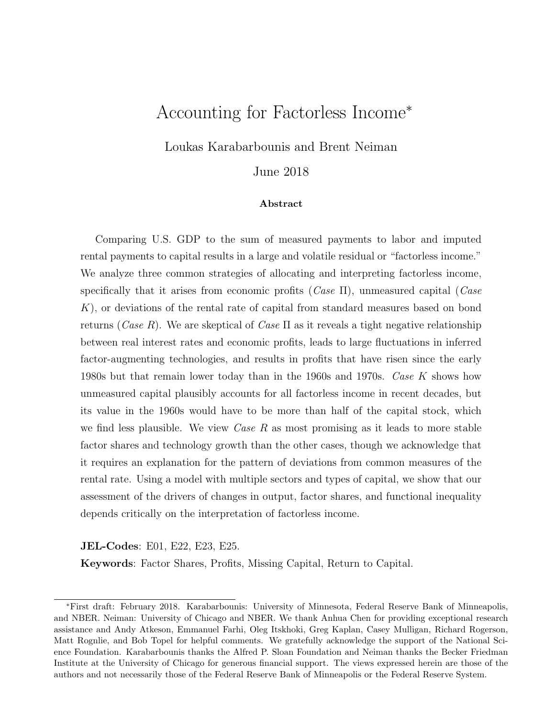# Accounting for Factorless Income<sup>∗</sup>

Loukas Karabarbounis and Brent Neiman

June 2018

#### Abstract

Comparing U.S. GDP to the sum of measured payments to labor and imputed rental payments to capital results in a large and volatile residual or "factorless income." We analyze three common strategies of allocating and interpreting factorless income, specifically that it arises from economic profits  $(Case \Pi)$ , unmeasured capital  $(Case \Pi)$ K), or deviations of the rental rate of capital from standard measures based on bond returns (Case R). We are skeptical of Case  $\Pi$  as it reveals a tight negative relationship between real interest rates and economic profits, leads to large fluctuations in inferred factor-augmenting technologies, and results in profits that have risen since the early 1980s but that remain lower today than in the 1960s and 1970s. Case K shows how unmeasured capital plausibly accounts for all factorless income in recent decades, but its value in the 1960s would have to be more than half of the capital stock, which we find less plausible. We view *Case R* as most promising as it leads to more stable factor shares and technology growth than the other cases, though we acknowledge that it requires an explanation for the pattern of deviations from common measures of the rental rate. Using a model with multiple sectors and types of capital, we show that our assessment of the drivers of changes in output, factor shares, and functional inequality depends critically on the interpretation of factorless income.

JEL-Codes: E01, E22, E23, E25.

Keywords: Factor Shares, Profits, Missing Capital, Return to Capital.

<sup>∗</sup>First draft: February 2018. Karabarbounis: University of Minnesota, Federal Reserve Bank of Minneapolis, and NBER. Neiman: University of Chicago and NBER. We thank Anhua Chen for providing exceptional research assistance and Andy Atkeson, Emmanuel Farhi, Oleg Itskhoki, Greg Kaplan, Casey Mulligan, Richard Rogerson, Matt Rognlie, and Bob Topel for helpful comments. We gratefully acknowledge the support of the National Science Foundation. Karabarbounis thanks the Alfred P. Sloan Foundation and Neiman thanks the Becker Friedman Institute at the University of Chicago for generous financial support. The views expressed herein are those of the authors and not necessarily those of the Federal Reserve Bank of Minneapolis or the Federal Reserve System.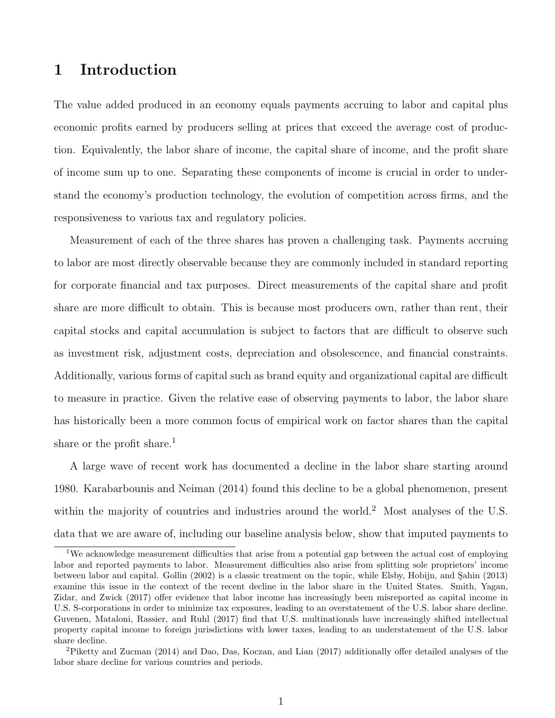## 1 Introduction

The value added produced in an economy equals payments accruing to labor and capital plus economic profits earned by producers selling at prices that exceed the average cost of production. Equivalently, the labor share of income, the capital share of income, and the profit share of income sum up to one. Separating these components of income is crucial in order to understand the economy's production technology, the evolution of competition across firms, and the responsiveness to various tax and regulatory policies.

Measurement of each of the three shares has proven a challenging task. Payments accruing to labor are most directly observable because they are commonly included in standard reporting for corporate financial and tax purposes. Direct measurements of the capital share and profit share are more difficult to obtain. This is because most producers own, rather than rent, their capital stocks and capital accumulation is subject to factors that are difficult to observe such as investment risk, adjustment costs, depreciation and obsolescence, and financial constraints. Additionally, various forms of capital such as brand equity and organizational capital are difficult to measure in practice. Given the relative ease of observing payments to labor, the labor share has historically been a more common focus of empirical work on factor shares than the capital share or the profit share.<sup>[1](#page-1-0)</sup>

A large wave of recent work has documented a decline in the labor share starting around 1980. [Karabarbounis and Neiman](#page-59-0) [\(2014\)](#page-59-0) found this decline to be a global phenomenon, present within the majority of countries and industries around the world.<sup>[2](#page-1-1)</sup> Most analyses of the U.S. data that we are aware of, including our baseline analysis below, show that imputed payments to

<span id="page-1-0"></span><sup>&</sup>lt;sup>1</sup>We acknowledge measurement difficulties that arise from a potential gap between the actual cost of employing labor and reported payments to labor. Measurement difficulties also arise from splitting sole proprietors' income between labor and capital. [Gollin](#page-58-0) [\(2002\)](#page-58-0) is a classic treatment on the topic, while Elsby, Hobijn, and Sahin [\(2013\)](#page-57-0) examine this issue in the context of the recent decline in the labor share in the United States. [Smith, Yagan,](#page-59-1) [Zidar, and Zwick](#page-59-1) [\(2017\)](#page-59-1) offer evidence that labor income has increasingly been misreported as capital income in U.S. S-corporations in order to minimize tax exposures, leading to an overstatement of the U.S. labor share decline. [Guvenen, Mataloni, Rassier, and Ruhl](#page-58-1) [\(2017\)](#page-58-1) find that U.S. multinationals have increasingly shifted intellectual property capital income to foreign jurisdictions with lower taxes, leading to an understatement of the U.S. labor share decline.

<span id="page-1-1"></span><sup>2</sup>[Piketty and Zucman](#page-59-2) [\(2014\)](#page-59-2) and [Dao, Das, Koczan, and Lian](#page-57-1) [\(2017\)](#page-57-1) additionally offer detailed analyses of the labor share decline for various countries and periods.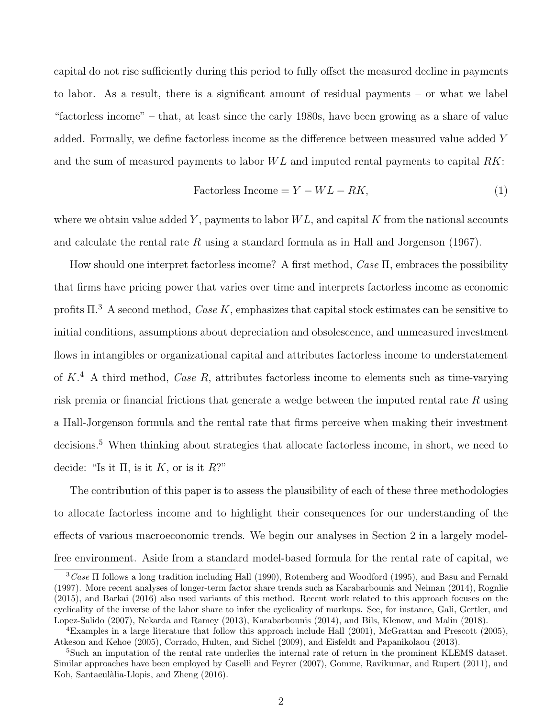capital do not rise sufficiently during this period to fully offset the measured decline in payments to labor. As a result, there is a significant amount of residual payments – or what we label "factorless income" – that, at least since the early 1980s, have been growing as a share of value added. Formally, we define factorless income as the difference between measured value added Y and the sum of measured payments to labor  $WL$  and imputed rental payments to capital  $RK$ :

<span id="page-2-3"></span>
$$
Factorless Income = Y - WL - RK,
$$
\n(1)

where we obtain value added Y, payments to labor  $WL$ , and capital K from the national accounts and calculate the rental rate R using a standard formula as in [Hall and Jorgenson](#page-58-2)  $(1967)$ .

How should one interpret factorless income? A first method, Case Π, embraces the possibility that firms have pricing power that varies over time and interprets factorless income as economic profits  $\Pi$ <sup>[3](#page-2-0)</sup> A second method, Case K, emphasizes that capital stock estimates can be sensitive to initial conditions, assumptions about depreciation and obsolescence, and unmeasured investment flows in intangibles or organizational capital and attributes factorless income to understatement of  $K^4$  $K^4$ . A third method, Case R, attributes factorless income to elements such as time-varying risk premia or financial frictions that generate a wedge between the imputed rental rate  $R$  using a Hall-Jorgenson formula and the rental rate that firms perceive when making their investment decisions.<sup>[5](#page-2-2)</sup> When thinking about strategies that allocate factorless income, in short, we need to decide: "Is it  $\Pi$ , is it  $K$ , or is it  $R$ ?"

The contribution of this paper is to assess the plausibility of each of these three methodologies to allocate factorless income and to highlight their consequences for our understanding of the effects of various macroeconomic trends. We begin our analyses in Section [2](#page-6-0) in a largely modelfree environment. Aside from a standard model-based formula for the rental rate of capital, we

<span id="page-2-0"></span> $\sqrt[3]{\text{Case II}}$  follows a long tradition including [Hall](#page-58-3) [\(1990\)](#page-58-3), [Rotemberg and Woodford](#page-59-3) [\(1995\)](#page-59-3), and [Basu and Fernald](#page-56-0) [\(1997\)](#page-56-0). More recent analyses of longer-term factor share trends such as [Karabarbounis and Neiman](#page-59-0) [\(2014\)](#page-59-0), [Rognlie](#page-59-4) [\(2015\)](#page-59-4), and [Barkai](#page-56-1) [\(2016\)](#page-56-1) also used variants of this method. Recent work related to this approach focuses on the cyclicality of the inverse of the labor share to infer the cyclicality of markups. See, for instance, [Gali, Gertler, and](#page-58-4) [Lopez-Salido](#page-58-4) [\(2007\)](#page-58-4), [Nekarda and Ramey](#page-59-5) [\(2013\)](#page-59-5), [Karabarbounis](#page-59-6) [\(2014\)](#page-59-6), and [Bils, Klenow, and Malin](#page-56-2) [\(2018\)](#page-56-2).

<span id="page-2-1"></span><sup>4</sup>Examples in a large literature that follow this approach include [Hall](#page-58-5) [\(2001\)](#page-58-5), [McGrattan and Prescott](#page-59-7) [\(2005\)](#page-59-7), [Atkeson and Kehoe](#page-56-3) [\(2005\)](#page-56-3), [Corrado, Hulten, and Sichel](#page-57-2) [\(2009\)](#page-57-2), and [Eisfeldt and Papanikolaou](#page-57-3) [\(2013\)](#page-57-3).

<span id="page-2-2"></span><sup>&</sup>lt;sup>5</sup>Such an imputation of the rental rate underlies the internal rate of return in the prominent KLEMS dataset. Similar approaches have been employed by [Caselli and Feyrer](#page-57-4) [\(2007\)](#page-57-4), [Gomme, Ravikumar, and Rupert](#page-58-6) [\(2011\)](#page-58-6), and Koh, Santaeulàlia-Llopis, and Zheng [\(2016\)](#page-59-8).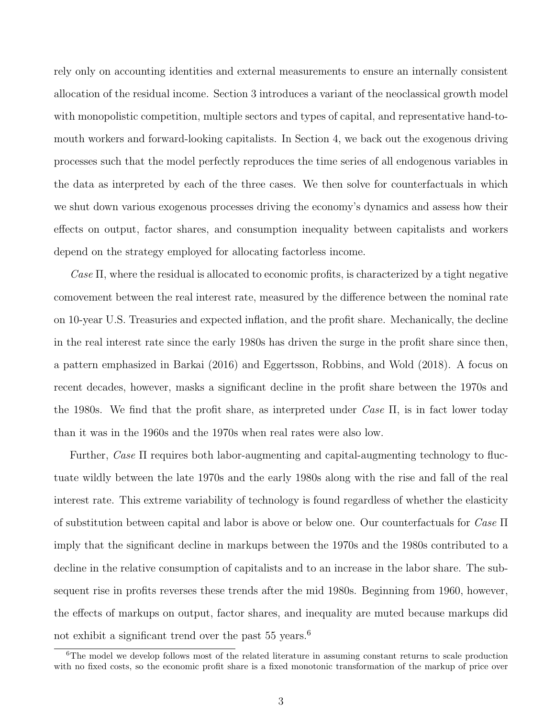rely only on accounting identities and external measurements to ensure an internally consistent allocation of the residual income. Section [3](#page-30-0) introduces a variant of the neoclassical growth model with monopolistic competition, multiple sectors and types of capital, and representative hand-tomouth workers and forward-looking capitalists. In Section [4,](#page-39-0) we back out the exogenous driving processes such that the model perfectly reproduces the time series of all endogenous variables in the data as interpreted by each of the three cases. We then solve for counterfactuals in which we shut down various exogenous processes driving the economy's dynamics and assess how their effects on output, factor shares, and consumption inequality between capitalists and workers depend on the strategy employed for allocating factorless income.

Case  $\Pi$ , where the residual is allocated to economic profits, is characterized by a tight negative comovement between the real interest rate, measured by the difference between the nominal rate on 10-year U.S. Treasuries and expected inflation, and the profit share. Mechanically, the decline in the real interest rate since the early 1980s has driven the surge in the profit share since then, a pattern emphasized in [Barkai](#page-56-1) [\(2016\)](#page-56-1) and [Eggertsson, Robbins, and Wold](#page-57-5) [\(2018\)](#page-57-5). A focus on recent decades, however, masks a significant decline in the profit share between the 1970s and the 1980s. We find that the profit share, as interpreted under Case  $\Pi$ , is in fact lower today than it was in the 1960s and the 1970s when real rates were also low.

Further, Case Π requires both labor-augmenting and capital-augmenting technology to fluctuate wildly between the late 1970s and the early 1980s along with the rise and fall of the real interest rate. This extreme variability of technology is found regardless of whether the elasticity of substitution between capital and labor is above or below one. Our counterfactuals for Case Π imply that the significant decline in markups between the 1970s and the 1980s contributed to a decline in the relative consumption of capitalists and to an increase in the labor share. The subsequent rise in profits reverses these trends after the mid 1980s. Beginning from 1960, however, the effects of markups on output, factor shares, and inequality are muted because markups did not exhibit a significant trend over the past  $55 \text{ years.}^6$  $55 \text{ years.}^6$ 

<span id="page-3-0"></span><sup>&</sup>lt;sup>6</sup>The model we develop follows most of the related literature in assuming constant returns to scale production with no fixed costs, so the economic profit share is a fixed monotonic transformation of the markup of price over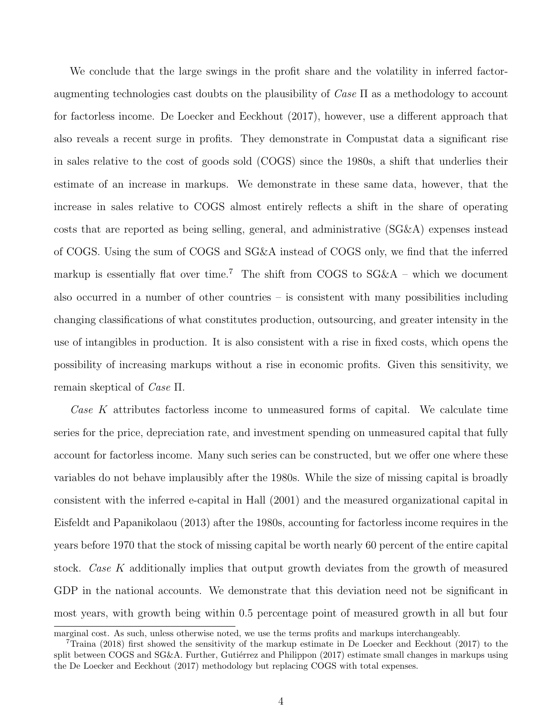We conclude that the large swings in the profit share and the volatility in inferred factoraugmenting technologies cast doubts on the plausibility of  $\text{Case} \Pi$  as a methodology to account for factorless income. [De Loecker and Eeckhout](#page-57-6) [\(2017\)](#page-57-6), however, use a different approach that also reveals a recent surge in profits. They demonstrate in Compustat data a significant rise in sales relative to the cost of goods sold (COGS) since the 1980s, a shift that underlies their estimate of an increase in markups. We demonstrate in these same data, however, that the increase in sales relative to COGS almost entirely reflects a shift in the share of operating costs that are reported as being selling, general, and administrative (SG&A) expenses instead of COGS. Using the sum of COGS and SG&A instead of COGS only, we find that the inferred markup is essentially flat over time.<sup>[7](#page-4-0)</sup> The shift from COGS to  $SG&A$  – which we document also occurred in a number of other countries – is consistent with many possibilities including changing classifications of what constitutes production, outsourcing, and greater intensity in the use of intangibles in production. It is also consistent with a rise in fixed costs, which opens the possibility of increasing markups without a rise in economic profits. Given this sensitivity, we remain skeptical of Case Π.

Case K attributes factorless income to unmeasured forms of capital. We calculate time series for the price, depreciation rate, and investment spending on unmeasured capital that fully account for factorless income. Many such series can be constructed, but we offer one where these variables do not behave implausibly after the 1980s. While the size of missing capital is broadly consistent with the inferred e-capital in [Hall](#page-58-5) [\(2001\)](#page-58-5) and the measured organizational capital in [Eisfeldt and Papanikolaou](#page-57-3) [\(2013\)](#page-57-3) after the 1980s, accounting for factorless income requires in the years before 1970 that the stock of missing capital be worth nearly 60 percent of the entire capital stock. Case K additionally implies that output growth deviates from the growth of measured GDP in the national accounts. We demonstrate that this deviation need not be significant in most years, with growth being within 0.5 percentage point of measured growth in all but four

marginal cost. As such, unless otherwise noted, we use the terms profits and markups interchangeably.

<span id="page-4-0"></span><sup>7</sup>[Traina](#page-60-0) [\(2018\)](#page-60-0) first showed the sensitivity of the markup estimate in [De Loecker and Eeckhout](#page-57-6) [\(2017\)](#page-57-6) to the split between COGS and  $SG\&A$ . Further, Gutiérrez and Philippon [\(2017\)](#page-58-7) estimate small changes in markups using the [De Loecker and Eeckhout](#page-57-6) [\(2017\)](#page-57-6) methodology but replacing COGS with total expenses.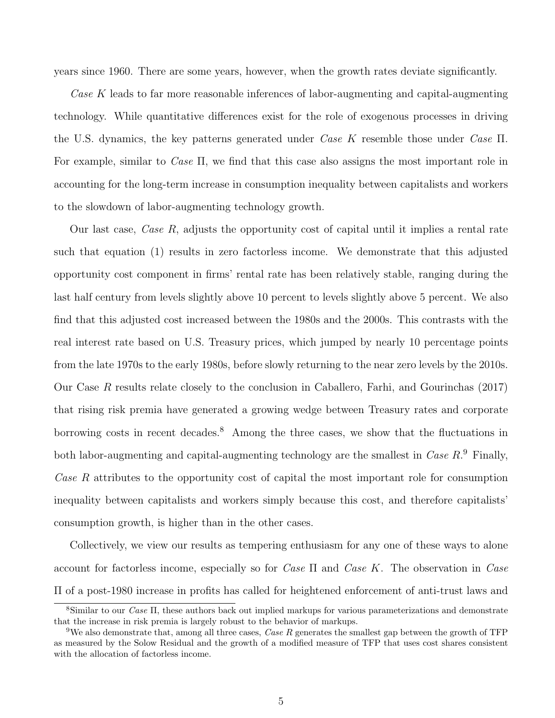years since 1960. There are some years, however, when the growth rates deviate significantly.

Case K leads to far more reasonable inferences of labor-augmenting and capital-augmenting technology. While quantitative differences exist for the role of exogenous processes in driving the U.S. dynamics, the key patterns generated under Case K resemble those under Case  $\Pi$ . For example, similar to Case  $\Pi$ , we find that this case also assigns the most important role in accounting for the long-term increase in consumption inequality between capitalists and workers to the slowdown of labor-augmenting technology growth.

Our last case, *Case R*, adjusts the opportunity cost of capital until it implies a rental rate such that equation [\(1\)](#page-2-3) results in zero factorless income. We demonstrate that this adjusted opportunity cost component in firms' rental rate has been relatively stable, ranging during the last half century from levels slightly above 10 percent to levels slightly above 5 percent. We also find that this adjusted cost increased between the 1980s and the 2000s. This contrasts with the real interest rate based on U.S. Treasury prices, which jumped by nearly 10 percentage points from the late 1970s to the early 1980s, before slowly returning to the near zero levels by the 2010s. Our Case R results relate closely to the conclusion in [Caballero, Farhi, and Gourinchas](#page-57-7) [\(2017\)](#page-57-7) that rising risk premia have generated a growing wedge between Treasury rates and corporate borrowing costs in recent decades.<sup>[8](#page-5-0)</sup> Among the three cases, we show that the fluctuations in both labor-augmenting and capital-augmenting technology are the smallest in Case  $R$ <sup>[9](#page-5-1)</sup> Finally, Case R attributes to the opportunity cost of capital the most important role for consumption inequality between capitalists and workers simply because this cost, and therefore capitalists' consumption growth, is higher than in the other cases.

Collectively, we view our results as tempering enthusiasm for any one of these ways to alone account for factorless income, especially so for *Case*  $\Pi$  and *Case K*. The observation in *Case* Π of a post-1980 increase in profits has called for heightened enforcement of anti-trust laws and

<span id="page-5-0"></span><sup>8</sup>Similar to our Case Π, these authors back out implied markups for various parameterizations and demonstrate that the increase in risk premia is largely robust to the behavior of markups.

<span id="page-5-1"></span><sup>&</sup>lt;sup>9</sup>We also demonstrate that, among all three cases, *Case R* generates the smallest gap between the growth of TFP as measured by the Solow Residual and the growth of a modified measure of TFP that uses cost shares consistent with the allocation of factorless income.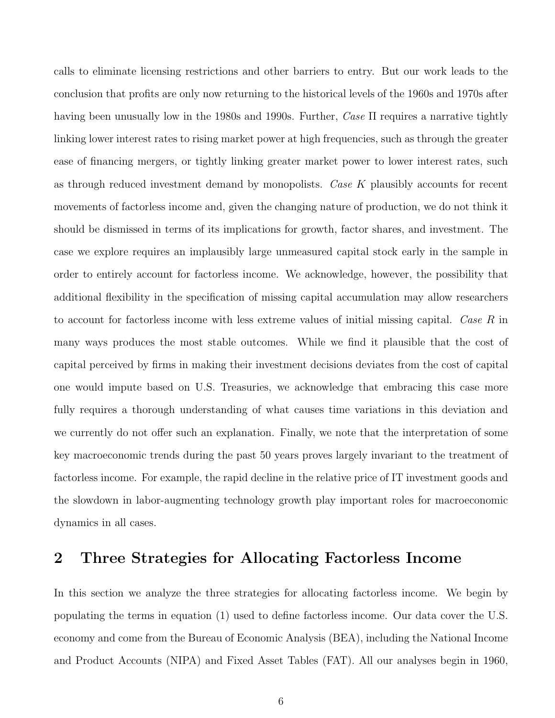calls to eliminate licensing restrictions and other barriers to entry. But our work leads to the conclusion that profits are only now returning to the historical levels of the 1960s and 1970s after having been unusually low in the 1980s and 1990s. Further,  $\text{Case} \Pi$  requires a narrative tightly linking lower interest rates to rising market power at high frequencies, such as through the greater ease of financing mergers, or tightly linking greater market power to lower interest rates, such as through reduced investment demand by monopolists. Case K plausibly accounts for recent movements of factorless income and, given the changing nature of production, we do not think it should be dismissed in terms of its implications for growth, factor shares, and investment. The case we explore requires an implausibly large unmeasured capital stock early in the sample in order to entirely account for factorless income. We acknowledge, however, the possibility that additional flexibility in the specification of missing capital accumulation may allow researchers to account for factorless income with less extreme values of initial missing capital. Case R in many ways produces the most stable outcomes. While we find it plausible that the cost of capital perceived by firms in making their investment decisions deviates from the cost of capital one would impute based on U.S. Treasuries, we acknowledge that embracing this case more fully requires a thorough understanding of what causes time variations in this deviation and we currently do not offer such an explanation. Finally, we note that the interpretation of some key macroeconomic trends during the past 50 years proves largely invariant to the treatment of factorless income. For example, the rapid decline in the relative price of IT investment goods and the slowdown in labor-augmenting technology growth play important roles for macroeconomic dynamics in all cases.

## <span id="page-6-0"></span>2 Three Strategies for Allocating Factorless Income

In this section we analyze the three strategies for allocating factorless income. We begin by populating the terms in equation [\(1\)](#page-2-3) used to define factorless income. Our data cover the U.S. economy and come from the Bureau of Economic Analysis (BEA), including the National Income and Product Accounts (NIPA) and Fixed Asset Tables (FAT). All our analyses begin in 1960,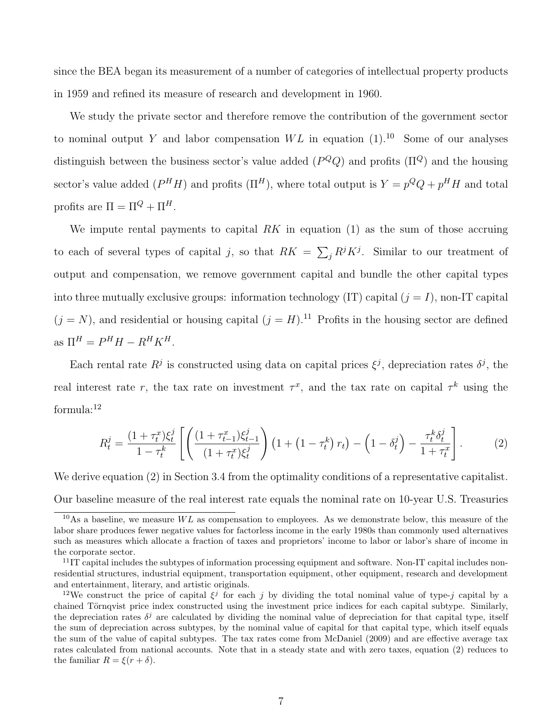since the BEA began its measurement of a number of categories of intellectual property products in 1959 and refined its measure of research and development in 1960.

We study the private sector and therefore remove the contribution of the government sector to nominal output Y and labor compensation  $WL$  in equation  $(1).^{10}$  $(1).^{10}$  $(1).^{10}$  $(1).^{10}$  Some of our analyses distinguish between the business sector's value added  $(P^Q Q)$  and profits  $(\Pi^Q)$  and the housing sector's value added  $(P^H H)$  and profits  $(\Pi^H)$ , where total output is  $Y = p^Q Q + p^H H$  and total profits are  $\Pi = \Pi^Q + \Pi^H$ .

We impute rental payments to capital  $RK$  in equation [\(1\)](#page-2-3) as the sum of those accruing to each of several types of capital j, so that  $RK = \sum_j R^j K^j$ . Similar to our treatment of output and compensation, we remove government capital and bundle the other capital types into three mutually exclusive groups: information technology (IT) capital  $(j = I)$ , non-IT capital  $(j = N)$ , and residential or housing capital  $(j = H)$ .<sup>[11](#page-7-1)</sup> Profits in the housing sector are defined as  $\Pi^H = P^H H - R^H K^H$ .

Each rental rate  $R^j$  is constructed using data on capital prices  $\xi^j$ , depreciation rates  $\delta^j$ , the real interest rate r, the tax rate on investment  $\tau^x$ , and the tax rate on capital  $\tau^k$  using the formula:[12](#page-7-2)

<span id="page-7-3"></span>
$$
R_t^j = \frac{(1+\tau_t^x)\xi_t^j}{1-\tau_t^k} \left[ \left( \frac{(1+\tau_{t-1}^x)\xi_{t-1}^j}{(1+\tau_t^x)\xi_t^j} \right) \left( 1 + \left( 1-\tau_t^k \right)r_t \right) - \left( 1-\delta_t^j \right) - \frac{\tau_t^k \delta_t^j}{1+\tau_t^x} \right].
$$
 (2)

We derive equation [\(2\)](#page-7-3) in Section [3.4](#page-35-0) from the optimality conditions of a representative capitalist. Our baseline measure of the real interest rate equals the nominal rate on 10-year U.S. Treasuries

<span id="page-7-0"></span> $10\text{As a baseline, we measure } WL$  as compensation to employees. As we demonstrate below, this measure of the labor share produces fewer negative values for factorless income in the early 1980s than commonly used alternatives such as measures which allocate a fraction of taxes and proprietors' income to labor or labor's share of income in the corporate sector.

<span id="page-7-1"></span> $11$ IT capital includes the subtypes of information processing equipment and software. Non-IT capital includes nonresidential structures, industrial equipment, transportation equipment, other equipment, research and development and entertainment, literary, and artistic originals.

<span id="page-7-2"></span><sup>&</sup>lt;sup>12</sup>We construct the price of capital  $\xi^j$  for each j by dividing the total nominal value of type-j capital by a chained Törnqvist price index constructed using the investment price indices for each capital subtype. Similarly, the depreciation rates  $\delta^j$  are calculated by dividing the nominal value of depreciation for that capital type, itself the sum of depreciation across subtypes, by the nominal value of capital for that capital type, which itself equals the sum of the value of capital subtypes. The tax rates come from [McDaniel](#page-59-9) [\(2009\)](#page-59-9) and are effective average tax rates calculated from national accounts. Note that in a steady state and with zero taxes, equation [\(2\)](#page-7-3) reduces to the familiar  $R = \xi(r + \delta)$ .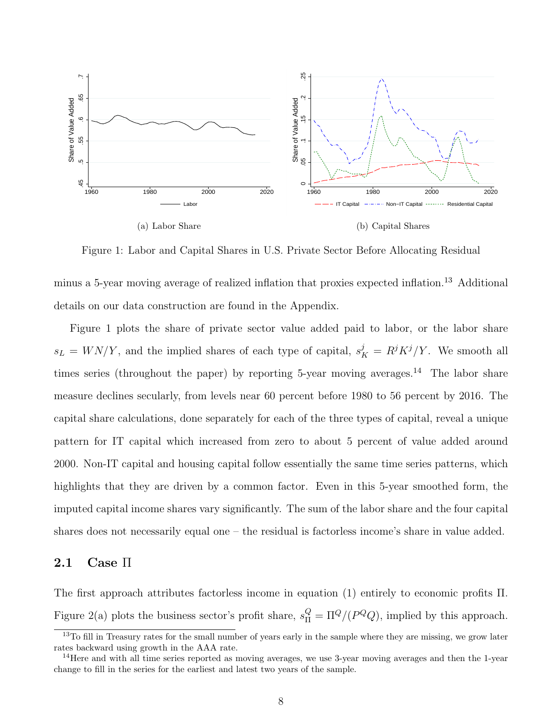<span id="page-8-1"></span>

<span id="page-8-4"></span><span id="page-8-3"></span>Figure 1: Labor and Capital Shares in U.S. Private Sector Before Allocating Residual

minus a 5-year moving average of realized inflation that proxies expected inflation.[13](#page-8-0) Additional details on our data construction are found in the Appendix.

Figure [1](#page-8-1) plots the share of private sector value added paid to labor, or the labor share  $s_L = W N/Y$ , and the implied shares of each type of capital,  $s_K^j = R^j K^j/Y$ . We smooth all times series (throughout the paper) by reporting 5-year moving averages.<sup>[14](#page-8-2)</sup> The labor share measure declines secularly, from levels near 60 percent before 1980 to 56 percent by 2016. The capital share calculations, done separately for each of the three types of capital, reveal a unique pattern for IT capital which increased from zero to about 5 percent of value added around 2000. Non-IT capital and housing capital follow essentially the same time series patterns, which highlights that they are driven by a common factor. Even in this 5-year smoothed form, the imputed capital income shares vary significantly. The sum of the labor share and the four capital shares does not necessarily equal one – the residual is factorless income's share in value added.

#### $2.1$  Case  $\Pi$

The first approach attributes factorless income in equation [\(1\)](#page-2-3) entirely to economic profits Π. Figure [2\(a\)](#page-9-0) plots the business sector's profit share,  $s_{\Pi}^{Q} = \Pi^{Q}/(P^{Q}Q)$ , implied by this approach.

<span id="page-8-0"></span><sup>&</sup>lt;sup>13</sup>To fill in Treasury rates for the small number of years early in the sample where they are missing, we grow later rates backward using growth in the AAA rate.

<span id="page-8-2"></span><sup>&</sup>lt;sup>14</sup>Here and with all time series reported as moving averages, we use 3-year moving averages and then the 1-year change to fill in the series for the earliest and latest two years of the sample.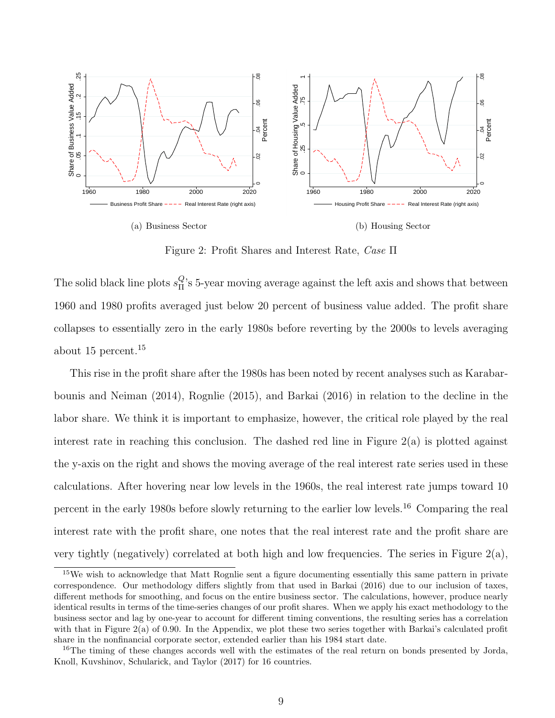

<span id="page-9-3"></span>Figure 2: Profit Shares and Interest Rate, Case Π

<span id="page-9-0"></span>The solid black line plots  $s_{\Pi}^Q$  $\frac{Q}{\Pi}$ 's 5-year moving average against the left axis and shows that between 1960 and 1980 profits averaged just below 20 percent of business value added. The profit share collapses to essentially zero in the early 1980s before reverting by the 2000s to levels averaging about 15 percent.[15](#page-9-1)

This rise in the profit share after the 1980s has been noted by recent analyses such as [Karabar](#page-59-0)[bounis and Neiman](#page-59-0) [\(2014\)](#page-59-0), [Rognlie](#page-59-4) [\(2015\)](#page-59-4), and [Barkai](#page-56-1) [\(2016\)](#page-56-1) in relation to the decline in the labor share. We think it is important to emphasize, however, the critical role played by the real interest rate in reaching this conclusion. The dashed red line in Figure [2\(a\)](#page-9-0) is plotted against the y-axis on the right and shows the moving average of the real interest rate series used in these calculations. After hovering near low levels in the 1960s, the real interest rate jumps toward 10 percent in the early 1980s before slowly returning to the earlier low levels.[16](#page-9-2) Comparing the real interest rate with the profit share, one notes that the real interest rate and the profit share are very tightly (negatively) correlated at both high and low frequencies. The series in Figure  $2(a)$ ,

<span id="page-9-1"></span><sup>&</sup>lt;sup>15</sup>We wish to acknowledge that Matt Rognlie sent a figure documenting essentially this same pattern in private correspondence. Our methodology differs slightly from that used in [Barkai](#page-56-1) [\(2016\)](#page-56-1) due to our inclusion of taxes, different methods for smoothing, and focus on the entire business sector. The calculations, however, produce nearly identical results in terms of the time-series changes of our profit shares. When we apply his exact methodology to the business sector and lag by one-year to account for different timing conventions, the resulting series has a correlation with that in Figure [2\(a\)](#page-9-0) of 0.90. In the Appendix, we plot these two series together with Barkai's calculated profit share in the nonfinancial corporate sector, extended earlier than his 1984 start date.

<span id="page-9-2"></span><sup>&</sup>lt;sup>16</sup>The timing of these changes accords well with the estimates of the real return on bonds presented by [Jorda,](#page-59-10) [Knoll, Kuvshinov, Schularick, and Taylor](#page-59-10) [\(2017\)](#page-59-10) for 16 countries.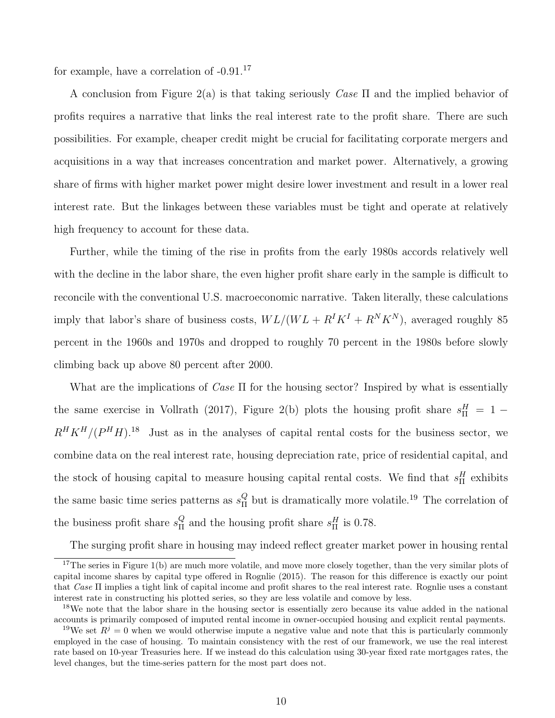for example, have a correlation of  $-0.91$ <sup>[17](#page-10-0)</sup>

A conclusion from Figure [2\(a\)](#page-9-0) is that taking seriously Case  $\Pi$  and the implied behavior of profits requires a narrative that links the real interest rate to the profit share. There are such possibilities. For example, cheaper credit might be crucial for facilitating corporate mergers and acquisitions in a way that increases concentration and market power. Alternatively, a growing share of firms with higher market power might desire lower investment and result in a lower real interest rate. But the linkages between these variables must be tight and operate at relatively high frequency to account for these data.

Further, while the timing of the rise in profits from the early 1980s accords relatively well with the decline in the labor share, the even higher profit share early in the sample is difficult to reconcile with the conventional U.S. macroeconomic narrative. Taken literally, these calculations imply that labor's share of business costs,  $WL/(WL + R^{I}K^{I} + R^{N}K^{N})$ , averaged roughly 85 percent in the 1960s and 1970s and dropped to roughly 70 percent in the 1980s before slowly climbing back up above 80 percent after 2000.

What are the implications of Case  $\Pi$  for the housing sector? Inspired by what is essentially the same exercise in [Vollrath](#page-60-1) [\(2017\)](#page-60-1), Figure [2\(b\)](#page-9-3) plots the housing profit share  $s_{\Pi}^H = 1 R^H K^H / (P^H H)^{18}$  $R^H K^H / (P^H H)^{18}$  $R^H K^H / (P^H H)^{18}$  Just as in the analyses of capital rental costs for the business sector, we combine data on the real interest rate, housing depreciation rate, price of residential capital, and the stock of housing capital to measure housing capital rental costs. We find that  $s_{\Pi}^H$  exhibits the same basic time series patterns as  $s_{\Pi}^{Q}$  $\frac{Q}{H}$  but is dramatically more volatile.<sup>[19](#page-10-2)</sup> The correlation of the business profit share  $s_{\Pi}^{Q}$  $\frac{Q}{H}$  and the housing profit share  $s_{\Pi}^H$  is 0.78.

The surging profit share in housing may indeed reflect greater market power in housing rental

<span id="page-10-0"></span> $17$ The series in Figure [1\(b\)](#page-8-3) are much more volatile, and move more closely together, than the very similar plots of capital income shares by capital type offered in [Rognlie](#page-59-4) [\(2015\)](#page-59-4). The reason for this difference is exactly our point that Case Π implies a tight link of capital income and profit shares to the real interest rate. Rognlie uses a constant interest rate in constructing his plotted series, so they are less volatile and comove by less.

<span id="page-10-1"></span><sup>&</sup>lt;sup>18</sup>We note that the labor share in the housing sector is essentially zero because its value added in the national accounts is primarily composed of imputed rental income in owner-occupied housing and explicit rental payments.

<span id="page-10-2"></span><sup>&</sup>lt;sup>19</sup>We set  $R<sup>j</sup> = 0$  when we would otherwise impute a negative value and note that this is particularly commonly employed in the case of housing. To maintain consistency with the rest of our framework, we use the real interest rate based on 10-year Treasuries here. If we instead do this calculation using 30-year fixed rate mortgages rates, the level changes, but the time-series pattern for the most part does not.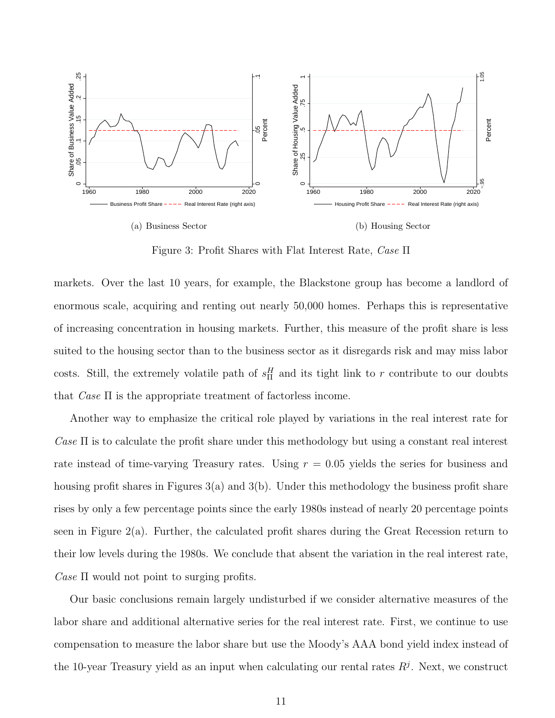

<span id="page-11-1"></span>Figure 3: Profit Shares with Flat Interest Rate, Case Π

<span id="page-11-0"></span>markets. Over the last 10 years, for example, the Blackstone group has become a landlord of enormous scale, acquiring and renting out nearly 50,000 homes. Perhaps this is representative of increasing concentration in housing markets. Further, this measure of the profit share is less suited to the housing sector than to the business sector as it disregards risk and may miss labor costs. Still, the extremely volatile path of  $s_{\Pi}^H$  and its tight link to r contribute to our doubts that  $Case \Pi$  is the appropriate treatment of factorless income.

Another way to emphasize the critical role played by variations in the real interest rate for Case  $\Pi$  is to calculate the profit share under this methodology but using a constant real interest rate instead of time-varying Treasury rates. Using  $r = 0.05$  yields the series for business and housing profit shares in Figures  $3(a)$  and  $3(b)$ . Under this methodology the business profit share rises by only a few percentage points since the early 1980s instead of nearly 20 percentage points seen in Figure  $2(a)$ . Further, the calculated profit shares during the Great Recession return to their low levels during the 1980s. We conclude that absent the variation in the real interest rate, Case  $\Pi$  would not point to surging profits.

Our basic conclusions remain largely undisturbed if we consider alternative measures of the labor share and additional alternative series for the real interest rate. First, we continue to use compensation to measure the labor share but use the Moody's AAA bond yield index instead of the 10-year Treasury yield as an input when calculating our rental rates  $R<sup>j</sup>$ . Next, we construct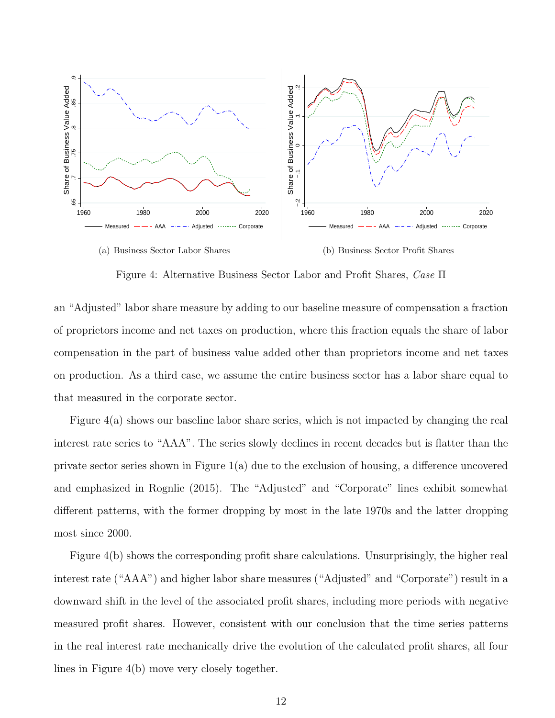<span id="page-12-0"></span>

<span id="page-12-1"></span>(b) Business Sector Profit Shares

Figure 4: Alternative Business Sector Labor and Profit Shares, Case Π

an "Adjusted" labor share measure by adding to our baseline measure of compensation a fraction of proprietors income and net taxes on production, where this fraction equals the share of labor compensation in the part of business value added other than proprietors income and net taxes on production. As a third case, we assume the entire business sector has a labor share equal to that measured in the corporate sector.

Figure [4\(a\)](#page-12-0) shows our baseline labor share series, which is not impacted by changing the real interest rate series to "AAA". The series slowly declines in recent decades but is flatter than the private sector series shown in Figure [1\(a\)](#page-8-4) due to the exclusion of housing, a difference uncovered and emphasized in [Rognlie](#page-59-4) [\(2015\)](#page-59-4). The "Adjusted" and "Corporate" lines exhibit somewhat different patterns, with the former dropping by most in the late 1970s and the latter dropping most since 2000.

Figure [4\(b\)](#page-12-1) shows the corresponding profit share calculations. Unsurprisingly, the higher real interest rate ("AAA") and higher labor share measures ("Adjusted" and "Corporate") result in a downward shift in the level of the associated profit shares, including more periods with negative measured profit shares. However, consistent with our conclusion that the time series patterns in the real interest rate mechanically drive the evolution of the calculated profit shares, all four lines in Figure [4\(b\)](#page-12-1) move very closely together.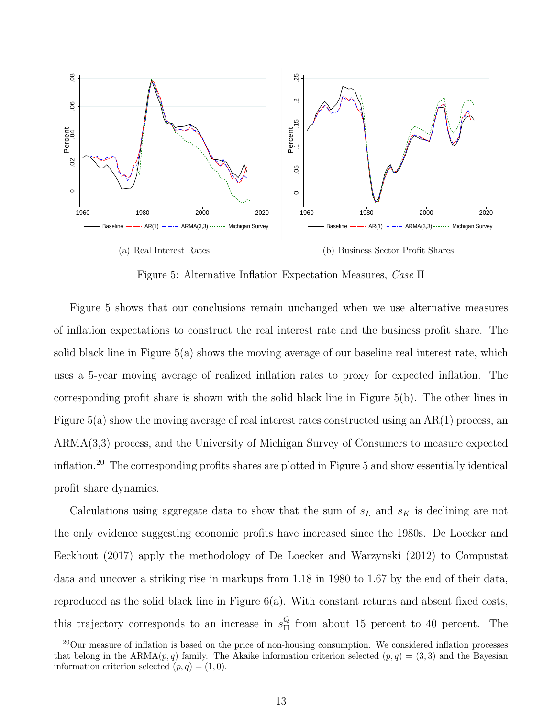<span id="page-13-1"></span><span id="page-13-0"></span>

<span id="page-13-2"></span>Figure 5: Alternative Inflation Expectation Measures, Case Π

Figure [5](#page-13-0) shows that our conclusions remain unchanged when we use alternative measures of inflation expectations to construct the real interest rate and the business profit share. The solid black line in Figure [5\(a\)](#page-13-1) shows the moving average of our baseline real interest rate, which uses a 5-year moving average of realized inflation rates to proxy for expected inflation. The corresponding profit share is shown with the solid black line in Figure [5\(b\).](#page-13-2) The other lines in Figure [5\(a\)](#page-13-1) show the moving average of real interest rates constructed using an AR(1) process, an ARMA(3,3) process, and the University of Michigan Survey of Consumers to measure expected inflation.[20](#page-13-3) The corresponding profits shares are plotted in Figure [5](#page-13-0) and show essentially identical profit share dynamics.

Calculations using aggregate data to show that the sum of  $s<sub>L</sub>$  and  $s<sub>K</sub>$  is declining are not the only evidence suggesting economic profits have increased since the 1980s. [De Loecker and](#page-57-6) [Eeckhout](#page-57-6) [\(2017\)](#page-57-6) apply the methodology of [De Loecker and Warzynski](#page-57-8) [\(2012\)](#page-57-8) to Compustat data and uncover a striking rise in markups from 1.18 in 1980 to 1.67 by the end of their data, reproduced as the solid black line in Figure [6\(a\).](#page-14-0) With constant returns and absent fixed costs, this trajectory corresponds to an increase in  $s_{\text{H}}^{\mathcal{Q}}$  $\frac{Q}{\Pi}$  from about 15 percent to 40 percent. The

<span id="page-13-3"></span><sup>&</sup>lt;sup>20</sup>Our measure of inflation is based on the price of non-housing consumption. We considered inflation processes that belong in the ARMA $(p, q)$  family. The Akaike information criterion selected  $(p, q) = (3, 3)$  and the Bayesian information criterion selected  $(p, q) = (1, 0)$ .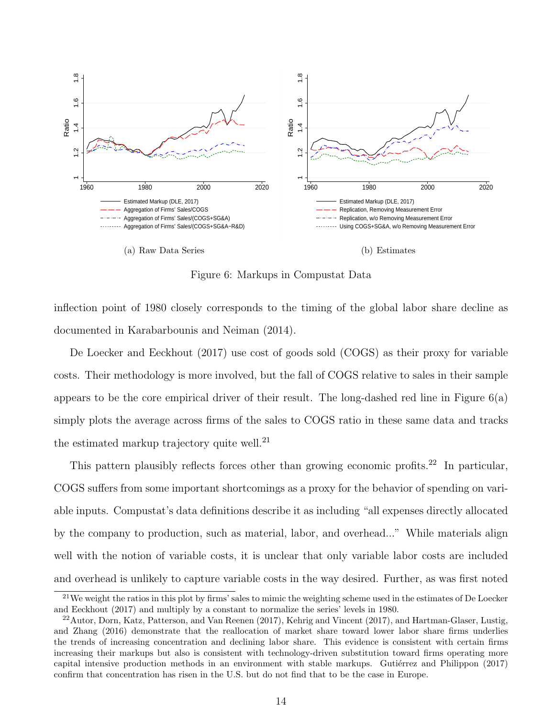<span id="page-14-0"></span>

<span id="page-14-3"></span>Figure 6: Markups in Compustat Data

inflection point of 1980 closely corresponds to the timing of the global labor share decline as documented in [Karabarbounis and Neiman](#page-59-0) [\(2014\)](#page-59-0).

[De Loecker and Eeckhout](#page-57-6) [\(2017\)](#page-57-6) use cost of goods sold (COGS) as their proxy for variable costs. Their methodology is more involved, but the fall of COGS relative to sales in their sample appears to be the core empirical driver of their result. The long-dashed red line in Figure  $6(a)$ simply plots the average across firms of the sales to COGS ratio in these same data and tracks the estimated markup trajectory quite well.<sup>[21](#page-14-1)</sup>

This pattern plausibly reflects forces other than growing economic profits.<sup>[22](#page-14-2)</sup> In particular, COGS suffers from some important shortcomings as a proxy for the behavior of spending on variable inputs. Compustat's data definitions describe it as including "all expenses directly allocated by the company to production, such as material, labor, and overhead..." While materials align well with the notion of variable costs, it is unclear that only variable labor costs are included and overhead is unlikely to capture variable costs in the way desired. Further, as was first noted

<span id="page-14-1"></span> $^{21}$ We weight the ratios in this plot by firms' sales to mimic the weighting scheme used in the estimates of [De Loecker](#page-57-6) [and Eeckhout](#page-57-6) [\(2017\)](#page-57-6) and multiply by a constant to normalize the series' levels in 1980.

<span id="page-14-2"></span><sup>22</sup>[Autor, Dorn, Katz, Patterson, and Van Reenen](#page-56-4) [\(2017\)](#page-56-4), [Kehrig and Vincent](#page-59-11) [\(2017\)](#page-59-11), and [Hartman-Glaser, Lustig,](#page-58-8) [and Zhang](#page-58-8) [\(2016\)](#page-58-8) demonstrate that the reallocation of market share toward lower labor share firms underlies the trends of increasing concentration and declining labor share. This evidence is consistent with certain firms increasing their markups but also is consistent with technology-driven substitution toward firms operating more capital intensive production methods in an environment with stable markups. Gutiérrez and Philippon [\(2017\)](#page-58-7) confirm that concentration has risen in the U.S. but do not find that to be the case in Europe.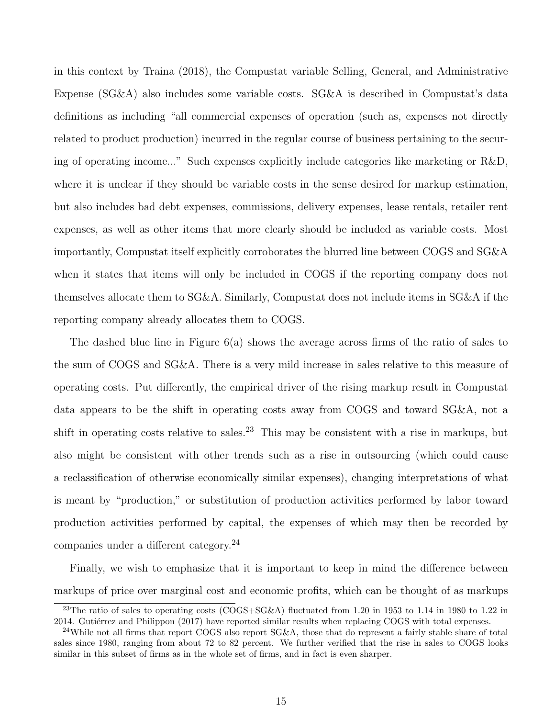in this context by [Traina](#page-60-0) [\(2018\)](#page-60-0), the Compustat variable Selling, General, and Administrative Expense (SG&A) also includes some variable costs. SG&A is described in Compustat's data definitions as including "all commercial expenses of operation (such as, expenses not directly related to product production) incurred in the regular course of business pertaining to the securing of operating income..." Such expenses explicitly include categories like marketing or R&D, where it is unclear if they should be variable costs in the sense desired for markup estimation, but also includes bad debt expenses, commissions, delivery expenses, lease rentals, retailer rent expenses, as well as other items that more clearly should be included as variable costs. Most importantly, Compustat itself explicitly corroborates the blurred line between COGS and SG&A when it states that items will only be included in COGS if the reporting company does not themselves allocate them to SG&A. Similarly, Compustat does not include items in SG&A if the reporting company already allocates them to COGS.

The dashed blue line in Figure [6\(a\)](#page-14-0) shows the average across firms of the ratio of sales to the sum of COGS and SG&A. There is a very mild increase in sales relative to this measure of operating costs. Put differently, the empirical driver of the rising markup result in Compustat data appears to be the shift in operating costs away from COGS and toward SG&A, not a shift in operating costs relative to sales.<sup>[23](#page-15-0)</sup> This may be consistent with a rise in markups, but also might be consistent with other trends such as a rise in outsourcing (which could cause a reclassification of otherwise economically similar expenses), changing interpretations of what is meant by "production," or substitution of production activities performed by labor toward production activities performed by capital, the expenses of which may then be recorded by companies under a different category.[24](#page-15-1)

Finally, we wish to emphasize that it is important to keep in mind the difference between markups of price over marginal cost and economic profits, which can be thought of as markups

<span id="page-15-0"></span><sup>&</sup>lt;sup>23</sup>The ratio of sales to operating costs (COGS+SG&A) fluctuated from 1.20 in 1953 to 1.14 in 1980 to 1.22 in 2014. Gutiérrez and Philippon [\(2017\)](#page-58-7) have reported similar results when replacing COGS with total expenses.

<span id="page-15-1"></span><sup>&</sup>lt;sup>24</sup>While not all firms that report COGS also report SG&A, those that do represent a fairly stable share of total sales since 1980, ranging from about 72 to 82 percent. We further verified that the rise in sales to COGS looks similar in this subset of firms as in the whole set of firms, and in fact is even sharper.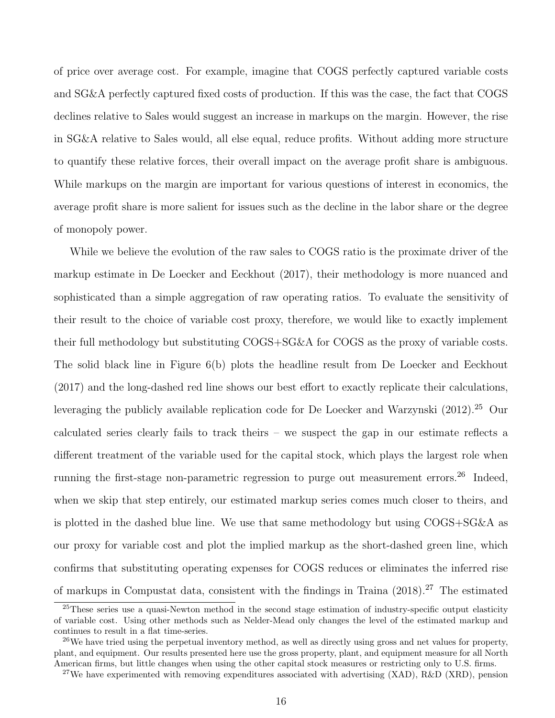of price over average cost. For example, imagine that COGS perfectly captured variable costs and SG&A perfectly captured fixed costs of production. If this was the case, the fact that COGS declines relative to Sales would suggest an increase in markups on the margin. However, the rise in SG&A relative to Sales would, all else equal, reduce profits. Without adding more structure to quantify these relative forces, their overall impact on the average profit share is ambiguous. While markups on the margin are important for various questions of interest in economics, the average profit share is more salient for issues such as the decline in the labor share or the degree of monopoly power.

While we believe the evolution of the raw sales to COGS ratio is the proximate driver of the markup estimate in [De Loecker and Eeckhout](#page-57-6) [\(2017\)](#page-57-6), their methodology is more nuanced and sophisticated than a simple aggregation of raw operating ratios. To evaluate the sensitivity of their result to the choice of variable cost proxy, therefore, we would like to exactly implement their full methodology but substituting COGS+SG&A for COGS as the proxy of variable costs. The solid black line in Figure [6\(b\)](#page-14-3) plots the headline result from [De Loecker and Eeckhout](#page-57-6) [\(2017\)](#page-57-6) and the long-dashed red line shows our best effort to exactly replicate their calculations, leveraging the publicly available replication code for [De Loecker and Warzynski](#page-57-8)  $(2012).^{25}$  $(2012).^{25}$  $(2012).^{25}$  $(2012).^{25}$  Our calculated series clearly fails to track theirs – we suspect the gap in our estimate reflects a different treatment of the variable used for the capital stock, which plays the largest role when running the first-stage non-parametric regression to purge out measurement errors.<sup>[26](#page-16-1)</sup> Indeed, when we skip that step entirely, our estimated markup series comes much closer to theirs, and is plotted in the dashed blue line. We use that same methodology but using COGS+SG&A as our proxy for variable cost and plot the implied markup as the short-dashed green line, which confirms that substituting operating expenses for COGS reduces or eliminates the inferred rise of markups in Compustat data, consistent with the findings in [Traina](#page-60-0)  $(2018).^{27}$  $(2018).^{27}$  $(2018).^{27}$  $(2018).^{27}$  The estimated

<span id="page-16-0"></span> $\frac{25}{T}$ hese series use a quasi-Newton method in the second stage estimation of industry-specific output elasticity of variable cost. Using other methods such as Nelder-Mead only changes the level of the estimated markup and continues to result in a flat time-series.

<span id="page-16-1"></span> $26$ We have tried using the perpetual inventory method, as well as directly using gross and net values for property, plant, and equipment. Our results presented here use the gross property, plant, and equipment measure for all North American firms, but little changes when using the other capital stock measures or restricting only to U.S. firms.

<span id="page-16-2"></span> $27$ We have experimented with removing expenditures associated with advertising (XAD), R&D (XRD), pension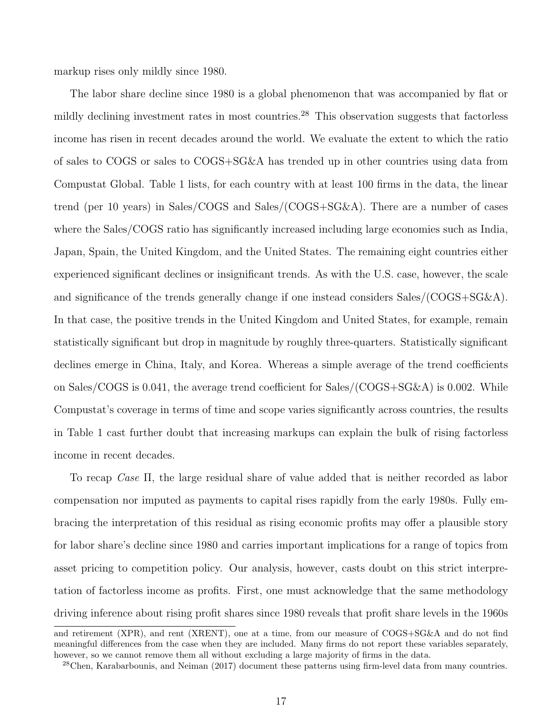markup rises only mildly since 1980.

The labor share decline since 1980 is a global phenomenon that was accompanied by flat or mildly declining investment rates in most countries.<sup>[28](#page-17-0)</sup> This observation suggests that factorless income has risen in recent decades around the world. We evaluate the extent to which the ratio of sales to COGS or sales to COGS+SG&A has trended up in other countries using data from Compustat Global. Table [1](#page-18-0) lists, for each country with at least 100 firms in the data, the linear trend (per 10 years) in Sales/COGS and Sales/(COGS+SG&A). There are a number of cases where the Sales/COGS ratio has significantly increased including large economies such as India, Japan, Spain, the United Kingdom, and the United States. The remaining eight countries either experienced significant declines or insignificant trends. As with the U.S. case, however, the scale and significance of the trends generally change if one instead considers Sales/(COGS+SG&A). In that case, the positive trends in the United Kingdom and United States, for example, remain statistically significant but drop in magnitude by roughly three-quarters. Statistically significant declines emerge in China, Italy, and Korea. Whereas a simple average of the trend coefficients on Sales/COGS is 0.041, the average trend coefficient for Sales/(COGS+SG&A) is 0.002. While Compustat's coverage in terms of time and scope varies significantly across countries, the results in Table [1](#page-18-0) cast further doubt that increasing markups can explain the bulk of rising factorless income in recent decades.

To recap Case Π, the large residual share of value added that is neither recorded as labor compensation nor imputed as payments to capital rises rapidly from the early 1980s. Fully embracing the interpretation of this residual as rising economic profits may offer a plausible story for labor share's decline since 1980 and carries important implications for a range of topics from asset pricing to competition policy. Our analysis, however, casts doubt on this strict interpretation of factorless income as profits. First, one must acknowledge that the same methodology driving inference about rising profit shares since 1980 reveals that profit share levels in the 1960s

and retirement (XPR), and rent (XRENT), one at a time, from our measure of COGS+SG&A and do not find meaningful differences from the case when they are included. Many firms do not report these variables separately, however, so we cannot remove them all without excluding a large majority of firms in the data.

<span id="page-17-0"></span> $28$ [Chen, Karabarbounis, and Neiman](#page-57-9) [\(2017\)](#page-57-9) document these patterns using firm-level data from many countries.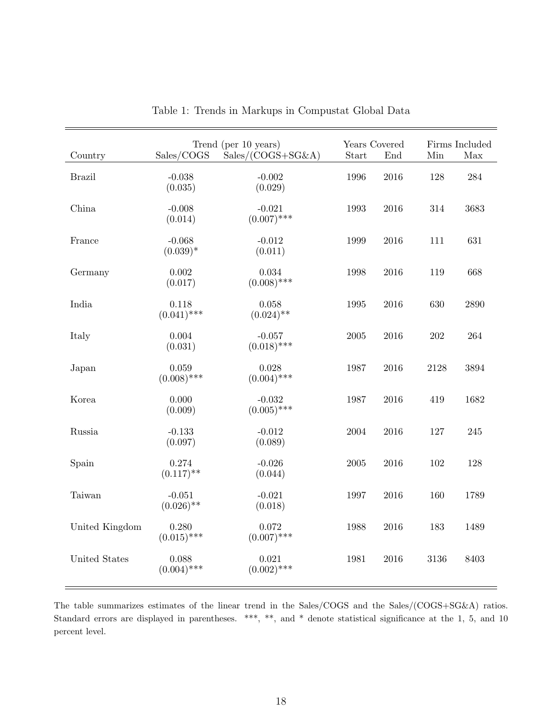<span id="page-18-0"></span>

| Country        | Sales/COGS               | Trend (per 10 years)<br>$Sales/(COGS + SG\&A)$ | Years Covered<br>Start | End      | Min     | Firms Included<br>Max |
|----------------|--------------------------|------------------------------------------------|------------------------|----------|---------|-----------------------|
| <b>Brazil</b>  | $-0.038$<br>(0.035)      | $-0.002$<br>(0.029)                            | 1996                   | $\,2016$ | 128     | $\ensuremath{284}$    |
| China          | $-0.008$<br>(0.014)      | $-0.021$<br>$(0.007)$ ***                      | 1993                   | $\,2016$ | 314     | 3683                  |
| France         | $-0.068$<br>$(0.039)^*$  | $-0.012$<br>(0.011)                            | 1999                   | 2016     | 111     | 631                   |
| Germany        | 0.002<br>(0.017)         | $\,0.034\,$<br>$(0.008)$ ***                   | 1998                   | $\,2016$ | 119     | 668                   |
| India          | 0.118<br>$(0.041)$ ***   | 0.058<br>$(0.024)$ **                          | 1995                   | 2016     | 630     | 2890                  |
| Italy          | 0.004<br>(0.031)         | $-0.057$<br>$(0.018)$ ***                      | $\,2005\,$             | $\,2016$ | $202\,$ | 264                   |
| Japan          | 0.059<br>$(0.008)$ ***   | 0.028<br>$(0.004)$ ***                         | 1987                   | $\,2016$ | 2128    | 3894                  |
| Korea          | 0.000<br>(0.009)         | $-0.032$<br>$(0.005)$ ***                      | 1987                   | $\,2016$ | 419     | 1682                  |
| Russia         | $-0.133$<br>(0.097)      | $-0.012$<br>(0.089)                            | 2004                   | $\,2016$ | 127     | 245                   |
| Spain          | 0.274<br>$(0.117)$ **    | $-0.026$<br>(0.044)                            | $\,2005\,$             | $\,2016$ | 102     | 128                   |
| Taiwan         | $-0.051$<br>$(0.026)$ ** | $-0.021$<br>(0.018)                            | 1997                   | $\,2016$ | 160     | 1789                  |
| United Kingdom | 0.280<br>$(0.015)$ ***   | 0.072<br>$(0.007)$ ***                         | 1988                   | 2016     | 183     | 1489                  |
| United States  | 0.088<br>$(0.004)$ ***   | 0.021<br>$(0.002)$ ***                         | 1981                   | 2016     | 3136    | 8403                  |

|  |  |  |  |  | Table 1: Trends in Markups in Compustat Global Data |  |  |
|--|--|--|--|--|-----------------------------------------------------|--|--|
|--|--|--|--|--|-----------------------------------------------------|--|--|

The table summarizes estimates of the linear trend in the Sales/COGS and the Sales/(COGS+SG&A) ratios. Standard errors are displayed in parentheses. \*\*\*, \*\*, and \* denote statistical significance at the 1, 5, and 10 percent level.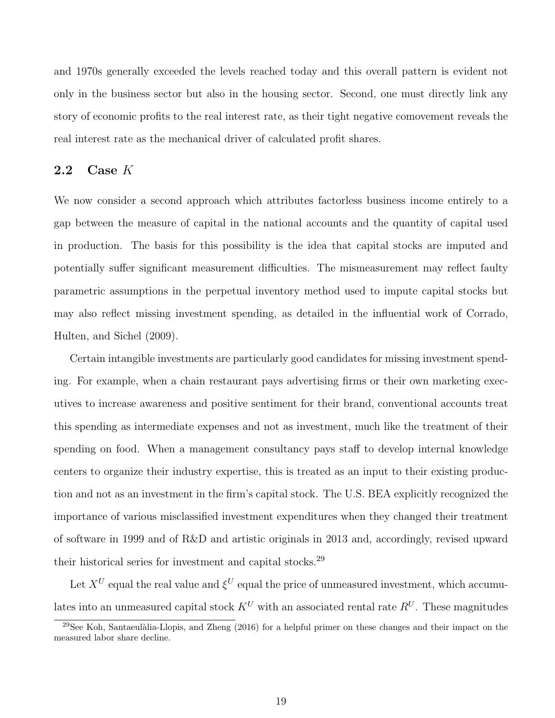and 1970s generally exceeded the levels reached today and this overall pattern is evident not only in the business sector but also in the housing sector. Second, one must directly link any story of economic profits to the real interest rate, as their tight negative comovement reveals the real interest rate as the mechanical driver of calculated profit shares.

#### 2.2 Case  $K$

We now consider a second approach which attributes factorless business income entirely to a gap between the measure of capital in the national accounts and the quantity of capital used in production. The basis for this possibility is the idea that capital stocks are imputed and potentially suffer significant measurement difficulties. The mismeasurement may reflect faulty parametric assumptions in the perpetual inventory method used to impute capital stocks but may also reflect missing investment spending, as detailed in the influential work of [Corrado,](#page-57-2) [Hulten, and Sichel](#page-57-2) [\(2009\)](#page-57-2).

Certain intangible investments are particularly good candidates for missing investment spending. For example, when a chain restaurant pays advertising firms or their own marketing executives to increase awareness and positive sentiment for their brand, conventional accounts treat this spending as intermediate expenses and not as investment, much like the treatment of their spending on food. When a management consultancy pays staff to develop internal knowledge centers to organize their industry expertise, this is treated as an input to their existing production and not as an investment in the firm's capital stock. The U.S. BEA explicitly recognized the importance of various misclassified investment expenditures when they changed their treatment of software in 1999 and of R&D and artistic originals in 2013 and, accordingly, revised upward their historical series for investment and capital stocks.[29](#page-19-0)

Let  $X^U$  equal the real value and  $\xi^U$  equal the price of unmeasured investment, which accumulates into an unmeasured capital stock  $K^U$  with an associated rental rate  $R^U$ . These magnitudes

<span id="page-19-0"></span><sup>&</sup>lt;sup>29</sup>See Koh, Santaeulàlia-Llopis, and Zheng [\(2016\)](#page-59-8) for a helpful primer on these changes and their impact on the measured labor share decline.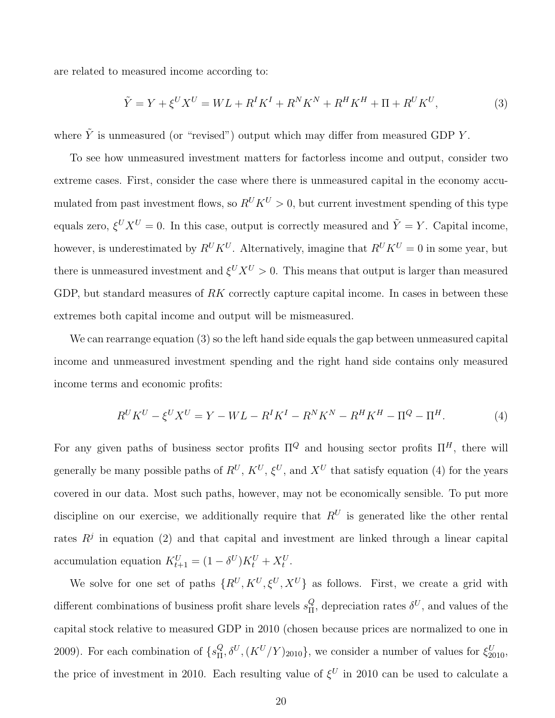are related to measured income according to:

<span id="page-20-0"></span>
$$
\tilde{Y} = Y + \xi^U X^U = WL + R^I K^I + R^N K^N + R^H K^H + \Pi + R^U K^U,
$$
\n(3)

where  $\tilde{Y}$  is unmeasured (or "revised") output which may differ from measured GDP Y.

To see how unmeasured investment matters for factorless income and output, consider two extreme cases. First, consider the case where there is unmeasured capital in the economy accumulated from past investment flows, so  $R^U K^U > 0$ , but current investment spending of this type equals zero,  $\xi^U X^U = 0$ . In this case, output is correctly measured and  $\tilde{Y} = Y$ . Capital income, however, is underestimated by  $R^U K^U$ . Alternatively, imagine that  $R^U K^U = 0$  in some year, but there is unmeasured investment and  $\xi^U X^U > 0$ . This means that output is larger than measured GDP, but standard measures of RK correctly capture capital income. In cases in between these extremes both capital income and output will be mismeasured.

We can rearrange equation [\(3\)](#page-20-0) so the left hand side equals the gap between unmeasured capital income and unmeasured investment spending and the right hand side contains only measured income terms and economic profits:

<span id="page-20-1"></span>
$$
R^U K^U - \xi^U X^U = Y - WL - R^I K^I - R^N K^N - R^H K^H - \Pi^Q - \Pi^H.
$$
 (4)

For any given paths of business sector profits  $\Pi^Q$  and housing sector profits  $\Pi^H$ , there will generally be many possible paths of  $R^U$ ,  $K^U$ ,  $\xi^U$ , and  $X^U$  that satisfy equation [\(4\)](#page-20-1) for the years covered in our data. Most such paths, however, may not be economically sensible. To put more discipline on our exercise, we additionally require that  $R^U$  is generated like the other rental rates  $R<sup>j</sup>$  in equation [\(2\)](#page-7-3) and that capital and investment are linked through a linear capital accumulation equation  $K_{t+1}^U = (1 - \delta^U)K_t^U + X_t^U$ .

We solve for one set of paths  $\{R^U, K^U, \xi^U, X^U\}$  as follows. First, we create a grid with different combinations of business profit share levels  $s_{\Pi}^Q$  $_{\Pi}^{Q}$ , depreciation rates  $\delta^{U}$ , and values of the capital stock relative to measured GDP in 2010 (chosen because prices are normalized to one in 2009). For each combination of  $\{s_{\rm II}^Q\}$  $_{\Pi}^{Q}$ ,  $_{0}^{Q}$ ,  $(K^{U}/Y)_{2010}$ , we consider a number of values for  $\xi_{2010}^{U}$ , the price of investment in 2010. Each resulting value of  $\xi^U$  in 2010 can be used to calculate a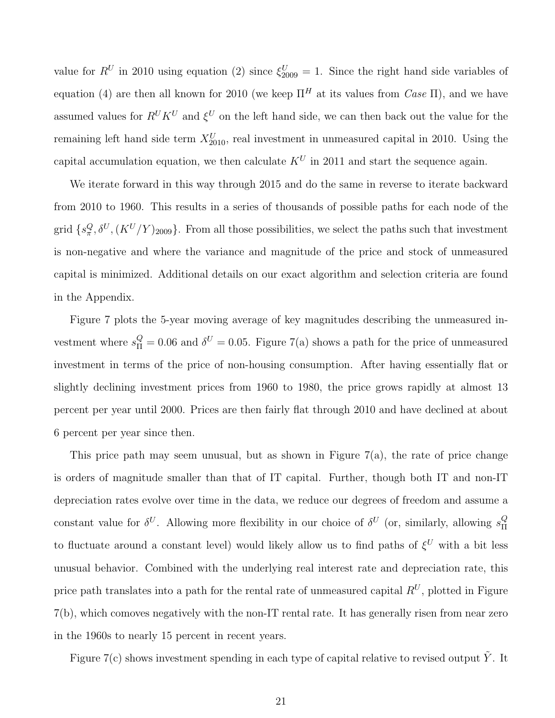value for  $R^U$  in 2010 using equation [\(2\)](#page-7-3) since  $\xi_{2009}^U = 1$ . Since the right hand side variables of equation [\(4\)](#page-20-1) are then all known for 2010 (we keep  $\Pi^H$  at its values from Case  $\Pi$ ), and we have assumed values for  $R^U K^U$  and  $\xi^U$  on the left hand side, we can then back out the value for the remaining left hand side term  $X_{2010}^U$ , real investment in unmeasured capital in 2010. Using the capital accumulation equation, we then calculate  $K^U$  in 2011 and start the sequence again.

We iterate forward in this way through 2015 and do the same in reverse to iterate backward from 2010 to 1960. This results in a series of thousands of possible paths for each node of the grid  $\{s_{\pi}^Q, \delta^U, (K^U/Y)_{2009}\}.$  From all those possibilities, we select the paths such that investment is non-negative and where the variance and magnitude of the price and stock of unmeasured capital is minimized. Additional details on our exact algorithm and selection criteria are found in the Appendix.

Figure [7](#page-22-0) plots the 5-year moving average of key magnitudes describing the unmeasured investment where  $s_{\Pi}^Q = 0.06$  and  $\delta^U = 0.05$ . Figure [7\(a\)](#page-22-1) shows a path for the price of unmeasured investment in terms of the price of non-housing consumption. After having essentially flat or slightly declining investment prices from 1960 to 1980, the price grows rapidly at almost 13 percent per year until 2000. Prices are then fairly flat through 2010 and have declined at about 6 percent per year since then.

This price path may seem unusual, but as shown in Figure [7\(a\),](#page-22-1) the rate of price change is orders of magnitude smaller than that of IT capital. Further, though both IT and non-IT depreciation rates evolve over time in the data, we reduce our degrees of freedom and assume a constant value for  $\delta^U$ . Allowing more flexibility in our choice of  $\delta^U$  (or, similarly, allowing  $s_{\Pi}^Q$ Π to fluctuate around a constant level) would likely allow us to find paths of  $\xi^U$  with a bit less unusual behavior. Combined with the underlying real interest rate and depreciation rate, this price path translates into a path for the rental rate of unmeasured capital  $R^U$ , plotted in Figure [7\(b\),](#page-22-2) which comoves negatively with the non-IT rental rate. It has generally risen from near zero in the 1960s to nearly 15 percent in recent years.

Figure [7\(c\)](#page-22-3) shows investment spending in each type of capital relative to revised output  $\tilde{Y}$ . It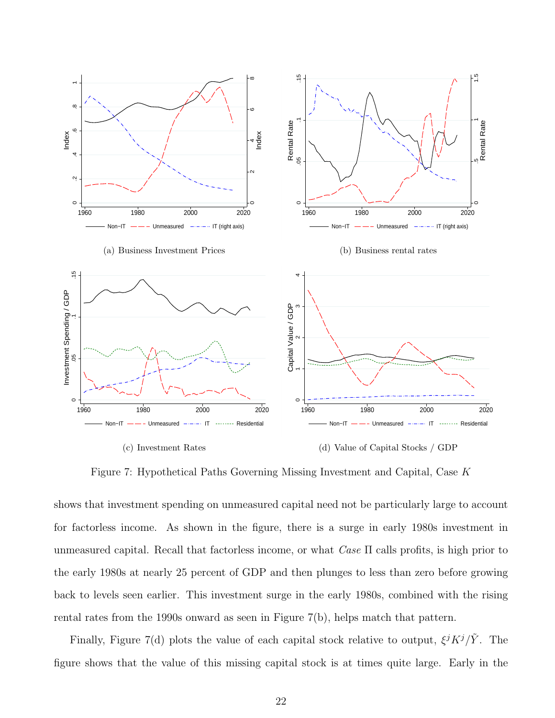<span id="page-22-2"></span><span id="page-22-1"></span><span id="page-22-0"></span>

<span id="page-22-4"></span><span id="page-22-3"></span>Figure 7: Hypothetical Paths Governing Missing Investment and Capital, Case K

shows that investment spending on unmeasured capital need not be particularly large to account for factorless income. As shown in the figure, there is a surge in early 1980s investment in unmeasured capital. Recall that factorless income, or what  $Case \Pi$  calls profits, is high prior to the early 1980s at nearly 25 percent of GDP and then plunges to less than zero before growing back to levels seen earlier. This investment surge in the early 1980s, combined with the rising rental rates from the 1990s onward as seen in Figure [7\(b\),](#page-22-2) helps match that pattern.

Finally, Figure [7\(d\)](#page-22-4) plots the value of each capital stock relative to output,  $\xi^{j} K^{j} / \tilde{Y}$ . The figure shows that the value of this missing capital stock is at times quite large. Early in the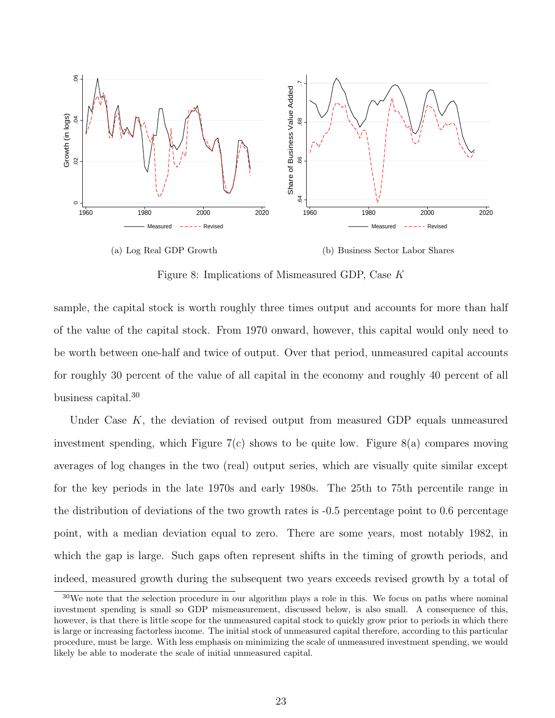<span id="page-23-1"></span>

<span id="page-23-2"></span>(b) Business Sector Labor Shares

Figure 8: Implications of Mismeasured GDP, Case K

sample, the capital stock is worth roughly three times output and accounts for more than half of the value of the capital stock. From 1970 onward, however, this capital would only need to be worth between one-half and twice of output. Over that period, unmeasured capital accounts for roughly 30 percent of the value of all capital in the economy and roughly 40 percent of all business capital.<sup>[30](#page-23-0)</sup>

Under Case  $K$ , the deviation of revised output from measured GDP equals unmeasured investment spending, which Figure  $7(c)$  shows to be quite low. Figure  $8(a)$  compares moving averages of log changes in the two (real) output series, which are visually quite similar except for the key periods in the late 1970s and early 1980s. The 25th to 75th percentile range in the distribution of deviations of the two growth rates is -0.5 percentage point to 0.6 percentage point, with a median deviation equal to zero. There are some years, most notably 1982, in which the gap is large. Such gaps often represent shifts in the timing of growth periods, and indeed, measured growth during the subsequent two years exceeds revised growth by a total of

<span id="page-23-0"></span><sup>30</sup>We note that the selection procedure in our algorithm plays a role in this. We focus on paths where nominal investment spending is small so GDP mismeasurement, discussed below, is also small. A consequence of this, however, is that there is little scope for the unmeasured capital stock to quickly grow prior to periods in which there is large or increasing factorless income. The initial stock of unmeasured capital therefore, according to this particular procedure, must be large. With less emphasis on minimizing the scale of unmeasured investment spending, we would likely be able to moderate the scale of initial unmeasured capital.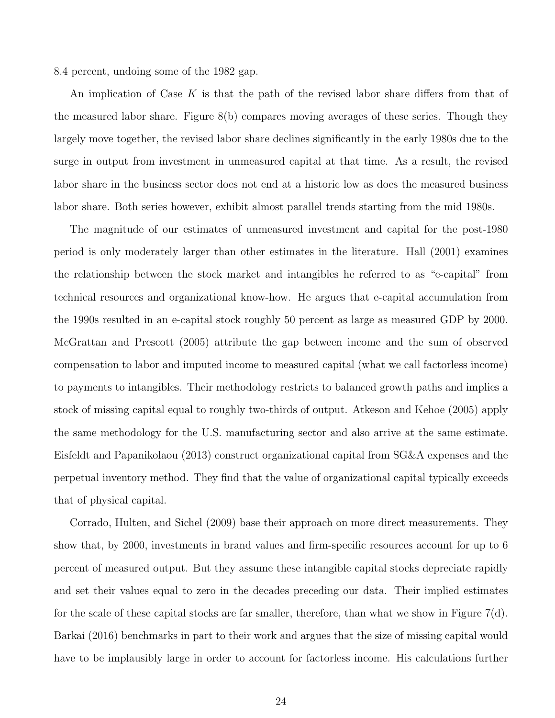8.4 percent, undoing some of the 1982 gap.

An implication of Case K is that the path of the revised labor share differs from that of the measured labor share. Figure [8\(b\)](#page-23-2) compares moving averages of these series. Though they largely move together, the revised labor share declines significantly in the early 1980s due to the surge in output from investment in unmeasured capital at that time. As a result, the revised labor share in the business sector does not end at a historic low as does the measured business labor share. Both series however, exhibit almost parallel trends starting from the mid 1980s.

The magnitude of our estimates of unmeasured investment and capital for the post-1980 period is only moderately larger than other estimates in the literature. [Hall](#page-58-5) [\(2001\)](#page-58-5) examines the relationship between the stock market and intangibles he referred to as "e-capital" from technical resources and organizational know-how. He argues that e-capital accumulation from the 1990s resulted in an e-capital stock roughly 50 percent as large as measured GDP by 2000. [McGrattan and Prescott](#page-59-7) [\(2005\)](#page-59-7) attribute the gap between income and the sum of observed compensation to labor and imputed income to measured capital (what we call factorless income) to payments to intangibles. Their methodology restricts to balanced growth paths and implies a stock of missing capital equal to roughly two-thirds of output. [Atkeson and Kehoe](#page-56-3) [\(2005\)](#page-56-3) apply the same methodology for the U.S. manufacturing sector and also arrive at the same estimate. [Eisfeldt and Papanikolaou](#page-57-3) [\(2013\)](#page-57-3) construct organizational capital from SG&A expenses and the perpetual inventory method. They find that the value of organizational capital typically exceeds that of physical capital.

[Corrado, Hulten, and Sichel](#page-57-2) [\(2009\)](#page-57-2) base their approach on more direct measurements. They show that, by 2000, investments in brand values and firm-specific resources account for up to 6 percent of measured output. But they assume these intangible capital stocks depreciate rapidly and set their values equal to zero in the decades preceding our data. Their implied estimates for the scale of these capital stocks are far smaller, therefore, than what we show in Figure [7\(d\).](#page-22-4) [Barkai](#page-56-1) [\(2016\)](#page-56-1) benchmarks in part to their work and argues that the size of missing capital would have to be implausibly large in order to account for factorless income. His calculations further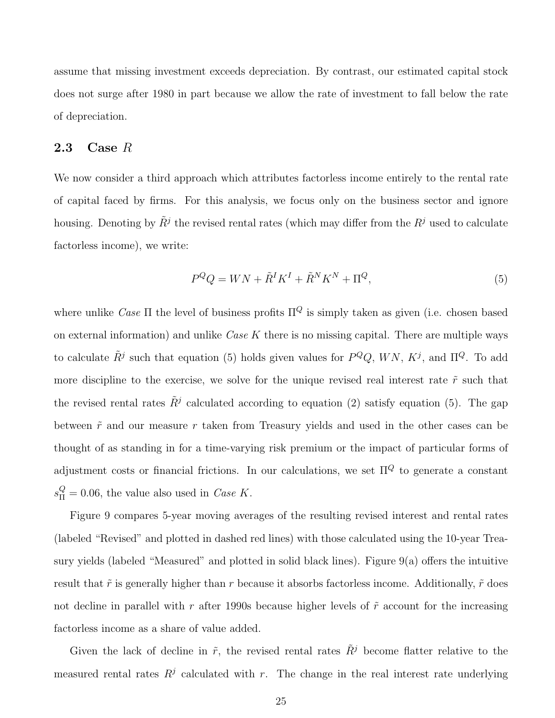assume that missing investment exceeds depreciation. By contrast, our estimated capital stock does not surge after 1980 in part because we allow the rate of investment to fall below the rate of depreciation.

#### 2.3 Case  $R$

We now consider a third approach which attributes factorless income entirely to the rental rate of capital faced by firms. For this analysis, we focus only on the business sector and ignore housing. Denoting by  $\tilde{R}^j$  the revised rental rates (which may differ from the  $R^j$  used to calculate factorless income), we write:

<span id="page-25-0"></span>
$$
P^Q Q = W N + \tilde{R}^I K^I + \tilde{R}^N K^N + \Pi^Q,\tag{5}
$$

where unlike Case  $\Pi$  the level of business profits  $\Pi^Q$  is simply taken as given (i.e. chosen based on external information) and unlike  $Case K$  there is no missing capital. There are multiple ways to calculate  $\tilde{R}^j$  such that equation [\(5\)](#page-25-0) holds given values for  $P^Q Q$ ,  $WN$ ,  $K^j$ , and  $\Pi^Q$ . To add more discipline to the exercise, we solve for the unique revised real interest rate  $\tilde{r}$  such that the revised rental rates  $\tilde{R}^j$  calculated according to equation [\(2\)](#page-7-3) satisfy equation [\(5\)](#page-25-0). The gap between  $\tilde{r}$  and our measure r taken from Treasury yields and used in the other cases can be thought of as standing in for a time-varying risk premium or the impact of particular forms of adjustment costs or financial frictions. In our calculations, we set  $\Pi^Q$  to generate a constant  $s_{\Pi}^Q = 0.06$ , the value also used in *Case K*.

Figure [9](#page-26-0) compares 5-year moving averages of the resulting revised interest and rental rates (labeled "Revised" and plotted in dashed red lines) with those calculated using the 10-year Treasury yields (labeled "Measured" and plotted in solid black lines). Figure [9\(a\)](#page-26-1) offers the intuitive result that  $\tilde{r}$  is generally higher than r because it absorbs factorless income. Additionally,  $\tilde{r}$  does not decline in parallel with r after 1990s because higher levels of  $\tilde{r}$  account for the increasing factorless income as a share of value added.

Given the lack of decline in  $\tilde{r}$ , the revised rental rates  $\tilde{R}^j$  become flatter relative to the measured rental rates  $R^j$  calculated with r. The change in the real interest rate underlying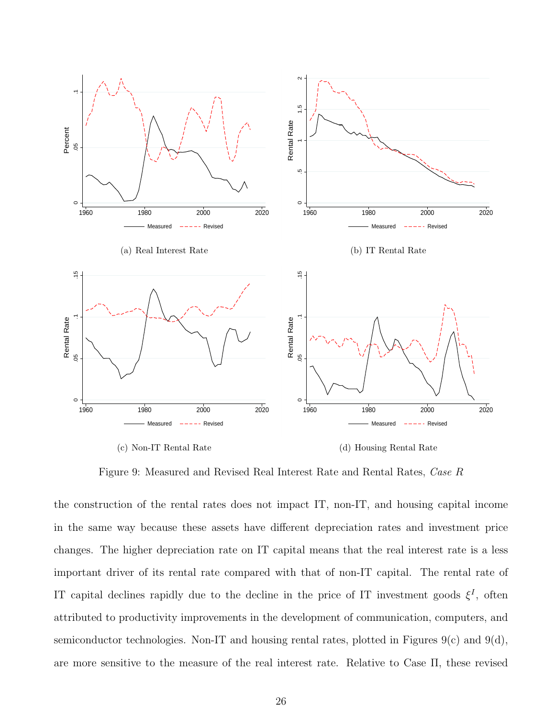<span id="page-26-1"></span><span id="page-26-0"></span>

(c) Non-IT Rental Rate

<span id="page-26-3"></span>(d) Housing Rental Rate

<span id="page-26-2"></span>Figure 9: Measured and Revised Real Interest Rate and Rental Rates, Case R

the construction of the rental rates does not impact IT, non-IT, and housing capital income in the same way because these assets have different depreciation rates and investment price changes. The higher depreciation rate on IT capital means that the real interest rate is a less important driver of its rental rate compared with that of non-IT capital. The rental rate of IT capital declines rapidly due to the decline in the price of IT investment goods  $\xi^I$ , often attributed to productivity improvements in the development of communication, computers, and semiconductor technologies. Non-IT and housing rental rates, plotted in Figures  $9(c)$  and  $9(d)$ , are more sensitive to the measure of the real interest rate. Relative to Case Π, these revised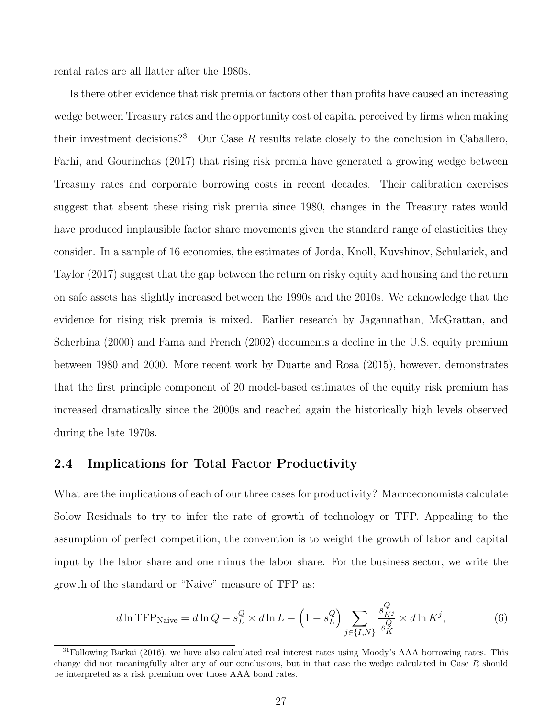rental rates are all flatter after the 1980s.

Is there other evidence that risk premia or factors other than profits have caused an increasing wedge between Treasury rates and the opportunity cost of capital perceived by firms when making their investment decisions?<sup>[31](#page-27-0)</sup> Our Case R results relate closely to the conclusion in [Caballero,](#page-57-7) [Farhi, and Gourinchas](#page-57-7) [\(2017\)](#page-57-7) that rising risk premia have generated a growing wedge between Treasury rates and corporate borrowing costs in recent decades. Their calibration exercises suggest that absent these rising risk premia since 1980, changes in the Treasury rates would have produced implausible factor share movements given the standard range of elasticities they consider. In a sample of 16 economies, the estimates of [Jorda, Knoll, Kuvshinov, Schularick, and](#page-59-10) [Taylor](#page-59-10) [\(2017\)](#page-59-10) suggest that the gap between the return on risky equity and housing and the return on safe assets has slightly increased between the 1990s and the 2010s. We acknowledge that the evidence for rising risk premia is mixed. Earlier research by [Jagannathan, McGrattan, and](#page-58-9) [Scherbina](#page-58-9) [\(2000\)](#page-58-9) and [Fama and French](#page-58-10) [\(2002\)](#page-58-10) documents a decline in the U.S. equity premium between 1980 and 2000. More recent work by [Duarte and Rosa](#page-57-10) [\(2015\)](#page-57-10), however, demonstrates that the first principle component of 20 model-based estimates of the equity risk premium has increased dramatically since the 2000s and reached again the historically high levels observed during the late 1970s.

#### 2.4 Implications for Total Factor Productivity

What are the implications of each of our three cases for productivity? Macroeconomists calculate Solow Residuals to try to infer the rate of growth of technology or TFP. Appealing to the assumption of perfect competition, the convention is to weight the growth of labor and capital input by the labor share and one minus the labor share. For the business sector, we write the growth of the standard or "Naive" measure of TFP as:

<span id="page-27-1"></span>
$$
d\ln \text{TFP}_{\text{Naive}} = d\ln Q - s_L^Q \times d\ln L - \left(1 - s_L^Q\right) \sum_{j \in \{I, N\}} \frac{s_{Ki}^Q}{s_K^Q} \times d\ln K^j,\tag{6}
$$

<span id="page-27-0"></span><sup>31</sup>Following [Barkai](#page-56-1) [\(2016\)](#page-56-1), we have also calculated real interest rates using Moody's AAA borrowing rates. This change did not meaningfully alter any of our conclusions, but in that case the wedge calculated in Case R should be interpreted as a risk premium over those AAA bond rates.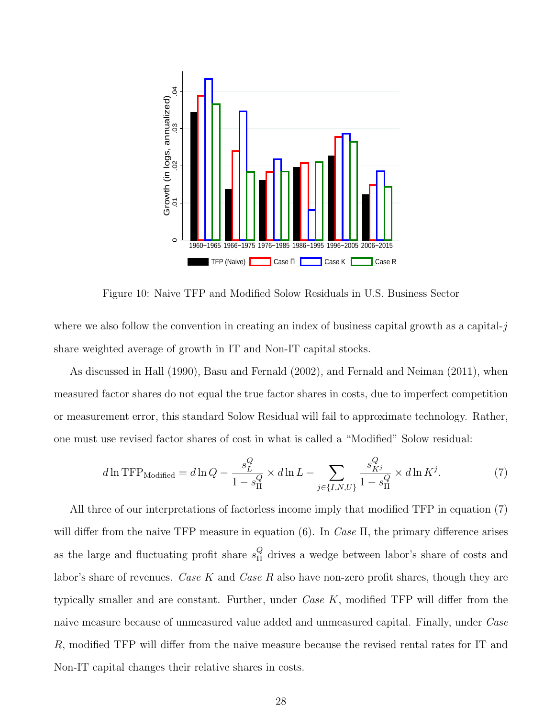<span id="page-28-1"></span>

Figure 10: Naive TFP and Modified Solow Residuals in U.S. Business Sector

where we also follow the convention in creating an index of business capital growth as a capital- $j$ share weighted average of growth in IT and Non-IT capital stocks.

As discussed in [Hall](#page-58-3) [\(1990\)](#page-58-3), [Basu and Fernald](#page-56-5) [\(2002\)](#page-56-5), and [Fernald and Neiman](#page-58-11) [\(2011\)](#page-58-11), when measured factor shares do not equal the true factor shares in costs, due to imperfect competition or measurement error, this standard Solow Residual will fail to approximate technology. Rather, one must use revised factor shares of cost in what is called a "Modified" Solow residual:

<span id="page-28-0"></span>
$$
d\ln \text{TFP}_{\text{Modified}} = d\ln Q - \frac{s_L^Q}{1 - s_H^Q} \times d\ln L - \sum_{j \in \{I, N, U\}} \frac{s_{Ki}^Q}{1 - s_H^Q} \times d\ln K^j. \tag{7}
$$

All three of our interpretations of factorless income imply that modified TFP in equation [\(7\)](#page-28-0) will differ from the naive TFP measure in equation [\(6\)](#page-27-1). In Case  $\Pi$ , the primary difference arises as the large and fluctuating profit share  $s_{\Pi}^{Q}$  $\frac{Q}{H}$  drives a wedge between labor's share of costs and labor's share of revenues. Case K and Case R also have non-zero profit shares, though they are typically smaller and are constant. Further, under  $Case K$ , modified TFP will differ from the naive measure because of unmeasured value added and unmeasured capital. Finally, under Case R, modified TFP will differ from the naive measure because the revised rental rates for IT and Non-IT capital changes their relative shares in costs.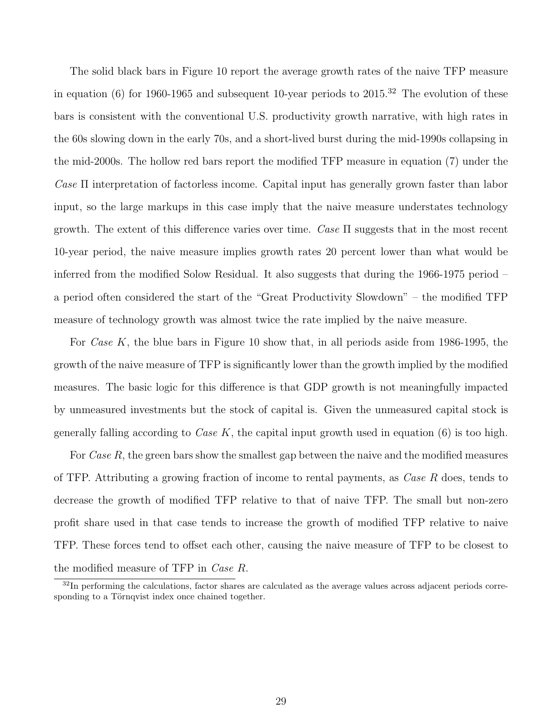The solid black bars in Figure [10](#page-28-1) report the average growth rates of the naive TFP measure in equation [\(6\)](#page-27-1) for 1960-1965 and subsequent 10-year periods to  $2015<sup>32</sup>$  $2015<sup>32</sup>$  $2015<sup>32</sup>$  The evolution of these bars is consistent with the conventional U.S. productivity growth narrative, with high rates in the 60s slowing down in the early 70s, and a short-lived burst during the mid-1990s collapsing in the mid-2000s. The hollow red bars report the modified TFP measure in equation [\(7\)](#page-28-0) under the Case Π interpretation of factorless income. Capital input has generally grown faster than labor input, so the large markups in this case imply that the naive measure understates technology growth. The extent of this difference varies over time. Case  $\Pi$  suggests that in the most recent 10-year period, the naive measure implies growth rates 20 percent lower than what would be inferred from the modified Solow Residual. It also suggests that during the 1966-1975 period – a period often considered the start of the "Great Productivity Slowdown" – the modified TFP measure of technology growth was almost twice the rate implied by the naive measure.

For *Case K*, the blue bars in Figure [10](#page-28-1) show that, in all periods aside from 1986-1995, the growth of the naive measure of TFP is significantly lower than the growth implied by the modified measures. The basic logic for this difference is that GDP growth is not meaningfully impacted by unmeasured investments but the stock of capital is. Given the unmeasured capital stock is generally falling according to *Case K*, the capital input growth used in equation  $(6)$  is too high.

For Case R, the green bars show the smallest gap between the naive and the modified measures of TFP. Attributing a growing fraction of income to rental payments, as Case R does, tends to decrease the growth of modified TFP relative to that of naive TFP. The small but non-zero profit share used in that case tends to increase the growth of modified TFP relative to naive TFP. These forces tend to offset each other, causing the naive measure of TFP to be closest to the modified measure of TFP in Case R.

<span id="page-29-0"></span> $32$ In performing the calculations, factor shares are calculated as the average values across adjacent periods corresponding to a Törnqvist index once chained together.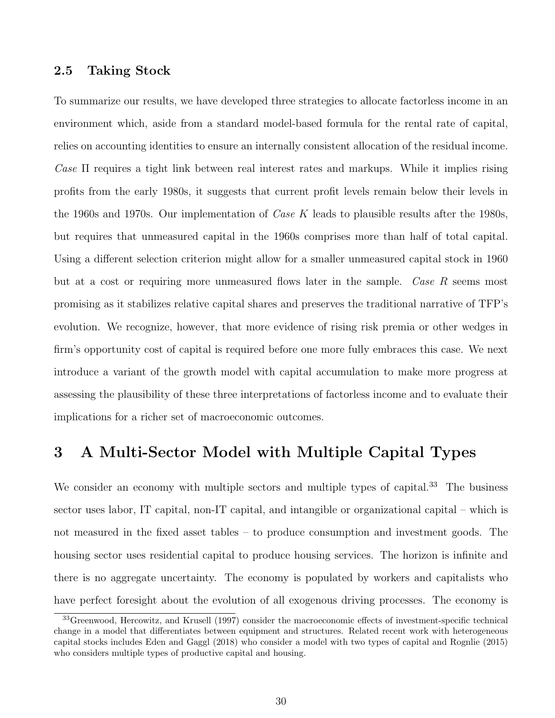#### 2.5 Taking Stock

To summarize our results, we have developed three strategies to allocate factorless income in an environment which, aside from a standard model-based formula for the rental rate of capital, relies on accounting identities to ensure an internally consistent allocation of the residual income. Case  $\Pi$  requires a tight link between real interest rates and markups. While it implies rising profits from the early 1980s, it suggests that current profit levels remain below their levels in the 1960s and 1970s. Our implementation of *Case K* leads to plausible results after the 1980s, but requires that unmeasured capital in the 1960s comprises more than half of total capital. Using a different selection criterion might allow for a smaller unmeasured capital stock in 1960 but at a cost or requiring more unmeasured flows later in the sample. Case R seems most promising as it stabilizes relative capital shares and preserves the traditional narrative of TFP's evolution. We recognize, however, that more evidence of rising risk premia or other wedges in firm's opportunity cost of capital is required before one more fully embraces this case. We next introduce a variant of the growth model with capital accumulation to make more progress at assessing the plausibility of these three interpretations of factorless income and to evaluate their implications for a richer set of macroeconomic outcomes.

## <span id="page-30-0"></span>3 A Multi-Sector Model with Multiple Capital Types

We consider an economy with multiple sectors and multiple types of capital.<sup>[33](#page-30-1)</sup> The business sector uses labor, IT capital, non-IT capital, and intangible or organizational capital – which is not measured in the fixed asset tables – to produce consumption and investment goods. The housing sector uses residential capital to produce housing services. The horizon is infinite and there is no aggregate uncertainty. The economy is populated by workers and capitalists who have perfect foresight about the evolution of all exogenous driving processes. The economy is

<span id="page-30-1"></span><sup>33</sup>[Greenwood, Hercowitz, and Krusell](#page-58-12) [\(1997\)](#page-58-12) consider the macroeconomic effects of investment-specific technical change in a model that differentiates between equipment and structures. Related recent work with heterogeneous capital stocks includes [Eden and Gaggl](#page-57-11) [\(2018\)](#page-57-11) who consider a model with two types of capital and [Rognlie](#page-59-4) [\(2015\)](#page-59-4) who considers multiple types of productive capital and housing.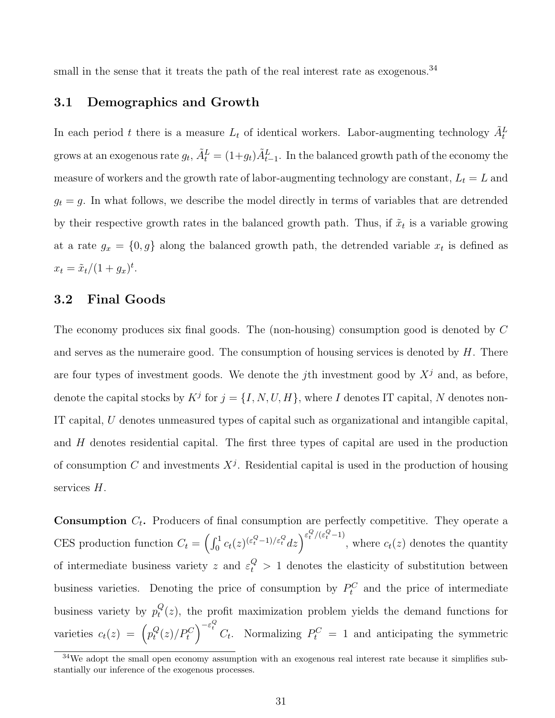small in the sense that it treats the path of the real interest rate as exogenous.<sup>[34](#page-31-0)</sup>

#### 3.1 Demographics and Growth

In each period t there is a measure  $L_t$  of identical workers. Labor-augmenting technology  $\tilde{A}_t^L$ grows at an exogenous rate  $g_t$ ,  $\tilde{A}_t^L = (1+g_t)\tilde{A}_{t-1}^L$ . In the balanced growth path of the economy the measure of workers and the growth rate of labor-augmenting technology are constant,  $L_t = L$  and  $g_t = g$ . In what follows, we describe the model directly in terms of variables that are detrended by their respective growth rates in the balanced growth path. Thus, if  $\tilde{x}_t$  is a variable growing at a rate  $g_x = \{0, g\}$  along the balanced growth path, the detrended variable  $x_t$  is defined as  $x_t = \tilde{x}_t/(1 + g_x)^t.$ 

#### 3.2 Final Goods

The economy produces six final goods. The (non-housing) consumption good is denoted by C and serves as the numeraire good. The consumption of housing services is denoted by  $H$ . There are four types of investment goods. We denote the jth investment good by  $X^j$  and, as before, denote the capital stocks by  $K^j$  for  $j = \{I, N, U, H\}$ , where I denotes IT capital, N denotes non-IT capital, U denotes unmeasured types of capital such as organizational and intangible capital, and H denotes residential capital. The first three types of capital are used in the production of consumption C and investments  $X^j$ . Residential capital is used in the production of housing services H.

**Consumption**  $C_t$ . Producers of final consumption are perfectly competitive. They operate a CES production function  $C_t = \left(\int_0^1 c_t(z)^{(\varepsilon_t^Q - 1)/\varepsilon_t^Q} dz\right)^{\varepsilon_t^Q/(\varepsilon_t^Q - 1)}$ , where  $c_t(z)$  denotes the quantity of intermediate business variety z and  $\varepsilon_t^Q > 1$  denotes the elasticity of substitution between business varieties. Denoting the price of consumption by  $P_t^C$  and the price of intermediate business variety by  $p_t^Q$  $t_i^Q(z)$ , the profit maximization problem yields the demand functions for varieties  $c_t(z) = \left( p_t^Q \right)$  $\left( \frac{Q}{t}(z)/P_t^C \right)^{-\varepsilon_t^Q} C_t$ . Normalizing  $P_t^C = 1$  and anticipating the symmetric

<span id="page-31-0"></span> $34$ We adopt the small open economy assumption with an exogenous real interest rate because it simplifies substantially our inference of the exogenous processes.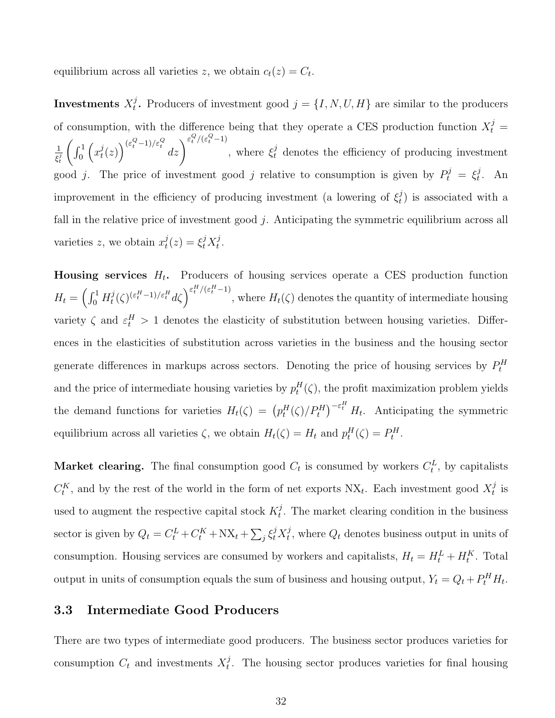equilibrium across all varieties z, we obtain  $c_t(z) = C_t$ .

Investments  $X_t^j$ <sup>*j*</sup>. Producers of investment good  $j = \{I, N, U, H\}$  are similar to the producers of consumption, with the difference being that they operate a CES production function  $X_t^j =$ 1  $\overline{\xi^j_t}$  $\int_0^1$  $\left(x_t^j\right)$  $\left(\begin{smallmatrix}j(t) \ t(t) \end{smallmatrix}\right)^{(\varepsilon_t^Q-1)/\varepsilon_t^Q}$  $dz\Big)^{\varepsilon_t^Q/(\varepsilon_t^Q-1)}$ , where  $\xi_t^j$  denotes the efficiency of producing investment good j. The price of investment good j relative to consumption is given by  $P_t^j = \xi_t^j$  $\frac{\partial}{\partial t}$ . An improvement in the efficiency of producing investment (a lowering of  $\xi_t^j$  $\left(\begin{smallmatrix}J\\t\end{smallmatrix}\right)$  is associated with a fall in the relative price of investment good  $j$ . Anticipating the symmetric equilibrium across all varieties z, we obtain  $x_t^j$  $t^j(t) = \xi_t^j X_t^j$  $_t^j$  .

Housing services  $H_t$ . Producers of housing services operate a CES production function  $H_t = \left(\int_0^1 H_t^j\right)$  $t^j_t(\zeta)^{(\varepsilon_t^H-1)/\varepsilon_t^H} d\zeta\Big)^{\varepsilon_t^H/(\varepsilon_t^H-1)},$  where  $H_t(\zeta)$  denotes the quantity of intermediate housing variety  $\zeta$  and  $\varepsilon_t^H > 1$  denotes the elasticity of substitution between housing varieties. Differences in the elasticities of substitution across varieties in the business and the housing sector generate differences in markups across sectors. Denoting the price of housing services by  $P_t^H$ and the price of intermediate housing varieties by  $p_t^H(\zeta)$ , the profit maximization problem yields the demand functions for varieties  $H_t(\zeta) = (p_t^H(\zeta)/P_t^H)^{-\epsilon_t^H} H_t$ . Anticipating the symmetric equilibrium across all varieties  $\zeta$ , we obtain  $H_t(\zeta) = H_t$  and  $p_t^H(\zeta) = P_t^H$ .

Market clearing. The final consumption good  $C_t$  is consumed by workers  $C_t^L$ , by capitalists  $C_t^K$ , and by the rest of the world in the form of net exports  $\mathrm{NX}_t$ . Each investment good  $X_t^j$  $\frac{\jmath}{t}$  is used to augment the respective capital stock  $K_t^j$  $t_t^j$ . The market clearing condition in the business sector is given by  $Q_t = C_t^L + C_t^K + \text{NX}_t + \sum_j \xi_t^j X_t^j$ <sup>*j*</sup>, where  $Q_t$  denotes business output in units of consumption. Housing services are consumed by workers and capitalists,  $H_t = H_t^L + H_t^K$ . Total output in units of consumption equals the sum of business and housing output,  $Y_t = Q_t + P_t^H H_t$ .

#### 3.3 Intermediate Good Producers

There are two types of intermediate good producers. The business sector produces varieties for consumption  $C_t$  and investments  $X_t^j$  $t<sub>t</sub>$ . The housing sector produces varieties for final housing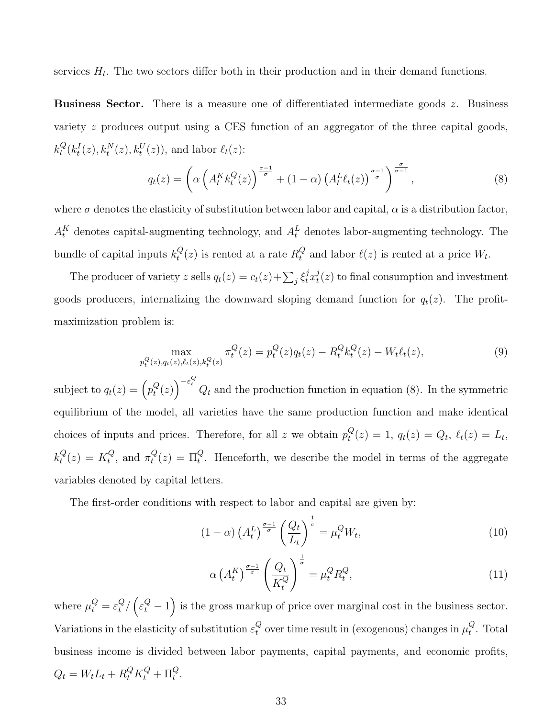services  $H_t$ . The two sectors differ both in their production and in their demand functions.

**Business Sector.** There is a measure one of differentiated intermediate goods  $z$ . Business variety z produces output using a CES function of an aggregator of the three capital goods,  $k_t^Q$  $t^Q(t^I_t(z), k^N_t(z), k^U_t(z)),$  and labor  $\ell_t(z)$ :

<span id="page-33-0"></span>
$$
q_t(z) = \left(\alpha \left(A_t^K k_t^Q(z)\right)^{\frac{\sigma-1}{\sigma}} + (1-\alpha) \left(A_t^L \ell_t(z)\right)^{\frac{\sigma-1}{\sigma}}\right)^{\frac{\sigma}{\sigma-1}},\tag{8}
$$

where  $\sigma$  denotes the elasticity of substitution between labor and capital,  $\alpha$  is a distribution factor,  $A_t^K$  denotes capital-augmenting technology, and  $A_t^L$  denotes labor-augmenting technology. The bundle of capital inputs  $k_t^Q$  $_{t}^{Q}(z)$  is rented at a rate  $R_{t}^{Q}$  $_t^Q$  and labor  $\ell(z)$  is rented at a price  $W_t$ .

The producer of variety z sells  $q_t(z) = c_t(z) + \sum_j \xi_t^j x_t^j$  $t^j(t)$  to final consumption and investment goods producers, internalizing the downward sloping demand function for  $q_t(z)$ . The profitmaximization problem is:

$$
\max_{p_t^Q(z), q_t(z), \ell_t(z), k_t^Q(z)} \pi_t^Q(z) = p_t^Q(z)q_t(z) - R_t^Q k_t^Q(z) - W_t \ell_t(z), \tag{9}
$$

subject to  $q_t(z) = \left(p_t^Q\right)$  $\left(q^Q(z)\right)^{-\varepsilon_t^Q} Q_t$  and the production function in equation [\(8\)](#page-33-0). In the symmetric equilibrium of the model, all varieties have the same production function and make identical choices of inputs and prices. Therefore, for all z we obtain  $p_t^Q$  $t_t^Q(z) = 1, q_t(z) = Q_t, \, \ell_t(z) = L_t,$  $k_t^Q$  $t^{Q}(z) = K^{Q}_{t}$  $t^Q$ , and  $\pi_t^Q$  $t^{Q}(z) = \Pi_t^{Q}$ . Henceforth, we describe the model in terms of the aggregate variables denoted by capital letters.

The first-order conditions with respect to labor and capital are given by:

<span id="page-33-1"></span>
$$
(1 - \alpha) \left(A_t^L\right)^{\frac{\sigma - 1}{\sigma}} \left(\frac{Q_t}{L_t}\right)^{\frac{1}{\sigma}} = \mu_t^Q W_t,\tag{10}
$$

<span id="page-33-2"></span>
$$
\alpha \left(A_t^K\right)^{\frac{\sigma-1}{\sigma}} \left(\frac{Q_t}{K_t^Q}\right)^{\frac{1}{\sigma}} = \mu_t^Q R_t^Q,\tag{11}
$$

where  $\mu_t^Q = \varepsilon_t^Q$  $\frac{Q}{t}/(\varepsilon_t^Q-1)$  is the gross markup of price over marginal cost in the business sector. Variations in the elasticity of substitution  $\varepsilon_t^Q$  $_t^Q$  over time result in (exogenous) changes in  $\mu_t^Q$  $_t^Q$ . Total business income is divided between labor payments, capital payments, and economic profits,  $Q_t = W_t L_t + R_t^Q K_t^Q + \Pi_t^Q.$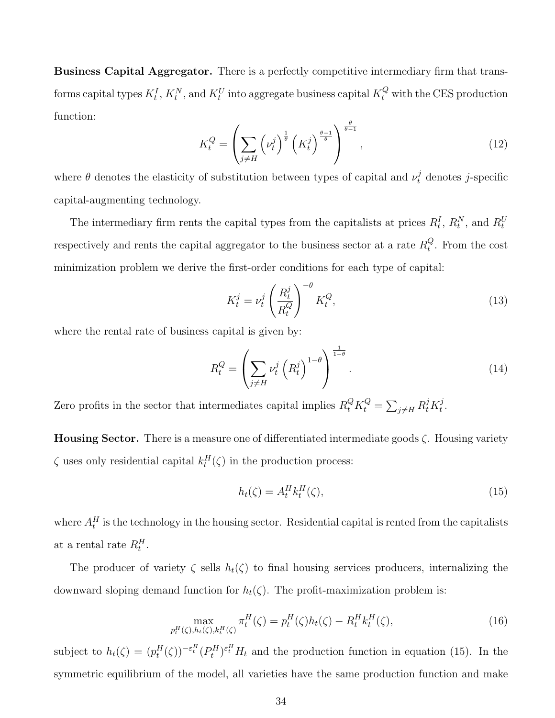Business Capital Aggregator. There is a perfectly competitive intermediary firm that transforms capital types  $K_t^I$ ,  $K_t^N$ , and  $K_t^U$  into aggregate business capital  $K_t^Q$  with the CES production function:

<span id="page-34-3"></span>
$$
K_t^Q = \left(\sum_{j \neq H} \left(\nu_t^j\right)^{\frac{1}{\theta}} \left(K_t^j\right)^{\frac{\theta - 1}{\theta}}\right)^{\frac{\theta}{\theta - 1}},\tag{12}
$$

where  $\theta$  denotes the elasticity of substitution between types of capital and  $\nu_t^j$  denotes j-specific capital-augmenting technology.

The intermediary firm rents the capital types from the capitalists at prices  $R_t^I$ ,  $R_t^N$ , and  $R_t^U$ respectively and rents the capital aggregator to the business sector at a rate  $R_t^Q$  $_t^Q$ . From the cost minimization problem we derive the first-order conditions for each type of capital:

<span id="page-34-1"></span>
$$
K_t^j = \nu_t^j \left(\frac{R_t^j}{R_t^Q}\right)^{-\theta} K_t^Q,\tag{13}
$$

where the rental rate of business capital is given by:

<span id="page-34-2"></span>
$$
R_t^Q = \left(\sum_{j \neq H} \nu_t^j \left(R_t^j\right)^{1-\theta}\right)^{\frac{1}{1-\theta}}.\tag{14}
$$

Zero profits in the sector that intermediates capital implies  $R_t^Q K_t^Q = \sum_{j \neq H} R_t^j K_t^j$  $_t^j$  .

**Housing Sector.** There is a measure one of differentiated intermediate goods  $\zeta$ . Housing variety  $\zeta$  uses only residential capital  $k_t^H(\zeta)$  in the production process:

<span id="page-34-0"></span>
$$
h_t(\zeta) = A_t^H k_t^H(\zeta),\tag{15}
$$

where  $A_t^H$  is the technology in the housing sector. Residential capital is rented from the capitalists at a rental rate  $R_t^H$ .

The producer of variety  $\zeta$  sells  $h_t(\zeta)$  to final housing services producers, internalizing the downward sloping demand function for  $h_t(\zeta)$ . The profit-maximization problem is:

$$
\max_{p_t^H(\zeta), h_t(\zeta), k_t^H(\zeta)} \pi_t^H(\zeta) = p_t^H(\zeta) h_t(\zeta) - R_t^H k_t^H(\zeta),
$$
\n(16)

subject to  $h_t(\zeta) = (p_t^H(\zeta))^{-\varepsilon_t^H} (P_t^H)^{\varepsilon_t^H} H_t$  and the production function in equation [\(15\)](#page-34-0). In the symmetric equilibrium of the model, all varieties have the same production function and make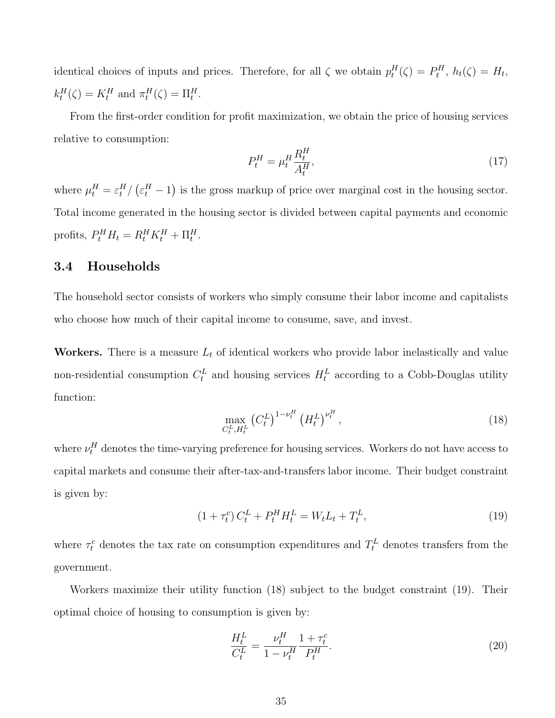identical choices of inputs and prices. Therefore, for all  $\zeta$  we obtain  $p_t^H(\zeta) = P_t^H$ ,  $h_t(\zeta) = H_t$ ,  $k_t^H(\zeta) = K_t^H$  and  $\pi_t^H(\zeta) = \Pi_t^H$ .

From the first-order condition for profit maximization, we obtain the price of housing services relative to consumption:

<span id="page-35-3"></span>
$$
P_t^H = \mu_t^H \frac{R_t^H}{A_t^H},\tag{17}
$$

where  $\mu_t^H = \varepsilon_t^H / (\varepsilon_t^H - 1)$  is the gross markup of price over marginal cost in the housing sector. Total income generated in the housing sector is divided between capital payments and economic profits,  $P_t^H H_t = R_t^H K_t^H + \Pi_t^H$ .

### <span id="page-35-0"></span>3.4 Households

The household sector consists of workers who simply consume their labor income and capitalists who choose how much of their capital income to consume, save, and invest.

Workers. There is a measure  $L_t$  of identical workers who provide labor inelastically and value non-residential consumption  $C_t^L$  and housing services  $H_t^L$  according to a Cobb-Douglas utility function:

<span id="page-35-1"></span>
$$
\max_{C_t^L, H_t^L} \left( C_t^L \right)^{1 - \nu_t^H} \left( H_t^L \right)^{\nu_t^H},\tag{18}
$$

where  $\nu_t^H$  denotes the time-varying preference for housing services. Workers do not have access to capital markets and consume their after-tax-and-transfers labor income. Their budget constraint is given by:

<span id="page-35-2"></span>
$$
(1 + \tau_t^c) C_t^L + P_t^H H_t^L = W_t L_t + T_t^L, \tag{19}
$$

where  $\tau_t^c$  denotes the tax rate on consumption expenditures and  $T_t^L$  denotes transfers from the government.

Workers maximize their utility function [\(18\)](#page-35-1) subject to the budget constraint [\(19\)](#page-35-2). Their optimal choice of housing to consumption is given by:

<span id="page-35-4"></span>
$$
\frac{H_t^L}{C_t^L} = \frac{\nu_t^H}{1 - \nu_t^H} \frac{1 + \tau_t^c}{P_t^H}.
$$
\n(20)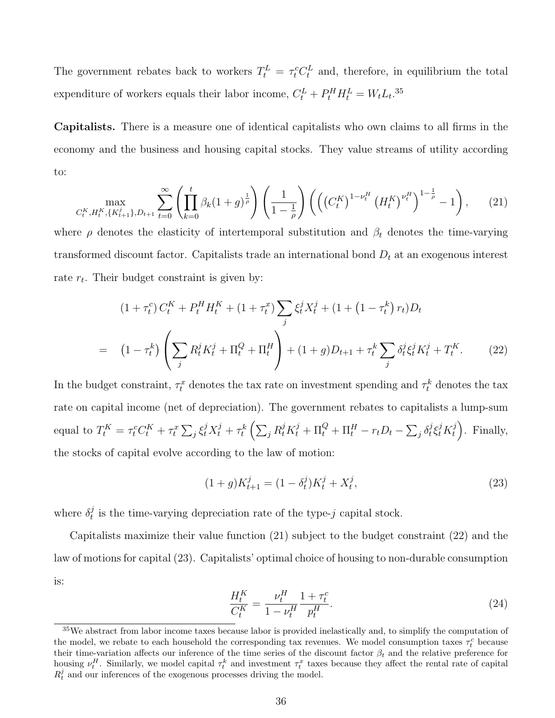The government rebates back to workers  $T_t^L = \tau_t^c C_t^L$  and, therefore, in equilibrium the total expenditure of workers equals their labor income,  $C_t^L + P_t^H H_t^L = W_t L_t$ .<sup>[35](#page-36-0)</sup>

Capitalists. There is a measure one of identical capitalists who own claims to all firms in the economy and the business and housing capital stocks. They value streams of utility according to:

<span id="page-36-1"></span>
$$
\max_{C_t^K, H_t^K, \{K_{t+1}^j\}, D_{t+1}} \sum_{t=0}^{\infty} \left( \prod_{k=0}^t \beta_k (1+g)^{\frac{1}{\rho}} \right) \left( \frac{1}{1-\frac{1}{\rho}} \right) \left( \left( \left( C_t^K \right)^{1-\nu_t^H} \left( H_t^K \right)^{\nu_t^H} \right)^{1-\frac{1}{\rho}} - 1 \right), \tag{21}
$$

where  $\rho$  denotes the elasticity of intertemporal substitution and  $\beta_t$  denotes the time-varying transformed discount factor. Capitalists trade an international bond  $D_t$  at an exogenous interest rate  $r_t$ . Their budget constraint is given by:

$$
(1 + \tau_t^c) C_t^K + P_t^H H_t^K + (1 + \tau_t^x) \sum_j \xi_t^j X_t^j + (1 + (1 - \tau_t^k) r_t) D_t
$$
  
= 
$$
(1 - \tau_t^k) \left( \sum_j R_t^j K_t^j + \Pi_t^Q + \Pi_t^H \right) + (1 + g) D_{t+1} + \tau_t^k \sum_j \delta_t^j \xi_t^j K_t^j + T_t^K.
$$
 (22)

In the budget constraint,  $\tau_t^x$  denotes the tax rate on investment spending and  $\tau_t^k$  denotes the tax rate on capital income (net of depreciation). The government rebates to capitalists a lump-sum equal to  $T_t^K = \tau_t^c C_t^K + \tau_t^x \sum_j \xi_t^j X_t^j + \tau_t^k \left( \sum_j R_t^j K_t^j + \Pi_t^Q + \Pi_t^H - r_t D_t - \sum_j \delta_t^j \right)$  $\frac{j}{t}\xi^j_t K^j_t$  $\binom{j}{t}$ . Finally, the stocks of capital evolve according to the law of motion:

<span id="page-36-3"></span><span id="page-36-2"></span>
$$
(1+g)K_{t+1}^{j} = (1-\delta_t^j)K_t^j + X_t^j,
$$
\n(23)

where  $\delta_t^j$  $t<sub>t</sub><sup>j</sup>$  is the time-varying depreciation rate of the type-j capital stock.

Capitalists maximize their value function [\(21\)](#page-36-1) subject to the budget constraint [\(22\)](#page-36-2) and the law of motions for capital [\(23\)](#page-36-3). Capitalists' optimal choice of housing to non-durable consumption is:

<span id="page-36-4"></span>
$$
\frac{H_t^K}{C_t^K} = \frac{\nu_t^H}{1 - \nu_t^H} \frac{1 + \tau_t^c}{p_t^H}.
$$
\n(24)

<span id="page-36-0"></span> $35$ We abstract from labor income taxes because labor is provided inelastically and, to simplify the computation of the model, we rebate to each household the corresponding tax revenues. We model consumption taxes  $\tau_t^c$  because their time-variation affects our inference of the time series of the discount factor  $\beta_t$  and the relative preference for housing  $\nu_t^H$ . Similarly, we model capital  $\tau_t^k$  and investment  $\tau_t^x$  taxes because they affect the rental rate of capital  $R_t^j$  and our inferences of the exogenous processes driving the model.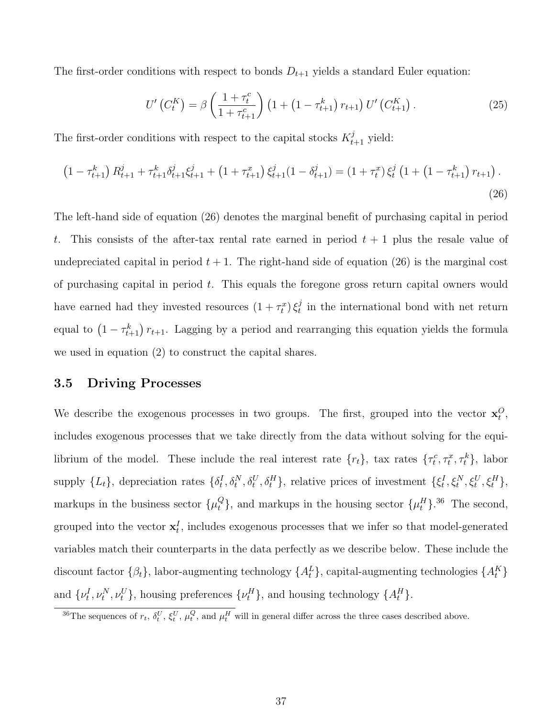The first-order conditions with respect to bonds  $D_{t+1}$  yields a standard Euler equation:

<span id="page-37-2"></span>
$$
U'\left(C_t^K\right) = \beta \left(\frac{1+\tau_t^c}{1+\tau_{t+1}^c}\right) \left(1+\left(1-\tau_{t+1}^k\right)r_{t+1}\right) U'\left(C_{t+1}^K\right). \tag{25}
$$

The first-order conditions with respect to the capital stocks  $K_{t+1}^j$  yield:

<span id="page-37-0"></span>
$$
\left(1 - \tau_{t+1}^k\right) R_{t+1}^j + \tau_{t+1}^k \delta_{t+1}^j \xi_{t+1}^j + \left(1 + \tau_{t+1}^x\right) \xi_{t+1}^j (1 - \delta_{t+1}^j) = \left(1 + \tau_t^x\right) \xi_t^j \left(1 + \left(1 - \tau_{t+1}^k\right) r_{t+1}\right).
$$
\n(26)

The left-hand side of equation [\(26\)](#page-37-0) denotes the marginal benefit of purchasing capital in period t. This consists of the after-tax rental rate earned in period  $t + 1$  plus the resale value of undepreciated capital in period  $t + 1$ . The right-hand side of equation [\(26\)](#page-37-0) is the marginal cost of purchasing capital in period  $t$ . This equals the foregone gross return capital owners would have earned had they invested resources  $(1 + \tau_t^x) \xi_t^j$  $t<sub>t</sub><sup>j</sup>$  in the international bond with net return equal to  $(1 - \tau_{t+1}^k) r_{t+1}$ . Lagging by a period and rearranging this equation yields the formula we used in equation [\(2\)](#page-7-3) to construct the capital shares.

#### 3.5 Driving Processes

We describe the exogenous processes in two groups. The first, grouped into the vector  $\mathbf{x}_t^O$ , includes exogenous processes that we take directly from the data without solving for the equilibrium of the model. These include the real interest rate  $\{r_t\}$ , tax rates  $\{\tau_t^c, \tau_t^x, \tau_t^k\}$ , labor supply  $\{L_t\}$ , depreciation rates  $\{\delta_t^I, \delta_t^N, \delta_t^U, \delta_t^H\}$ , relative prices of investment  $\{\xi_t^I, \xi_t^N, \xi_t^U, \xi_t^H\}$ , markups in the business sector  $\{\mu_t^Q\}$ , and markups in the housing sector  $\{\mu_t^H\}$ .<sup>[36](#page-37-1)</sup> The second, grouped into the vector  $\mathbf{x}_t^I$ , includes exogenous processes that we infer so that model-generated variables match their counterparts in the data perfectly as we describe below. These include the discount factor  $\{\beta_t\}$ , labor-augmenting technology  $\{A_t^L\}$ , capital-augmenting technologies  $\{A_t^K\}$ and  $\{\nu_t^I, \nu_t^N, \nu_t^U\}$ , housing preferences  $\{\nu_t^H\}$ , and housing technology  $\{A_t^H\}$ .

<span id="page-37-1"></span><sup>&</sup>lt;sup>36</sup>The sequences of  $r_t$ ,  $\delta_t^U$ ,  $\xi_t^U$ ,  $\mu_t^Q$ , and  $\mu_t^H$  will in general differ across the three cases described above.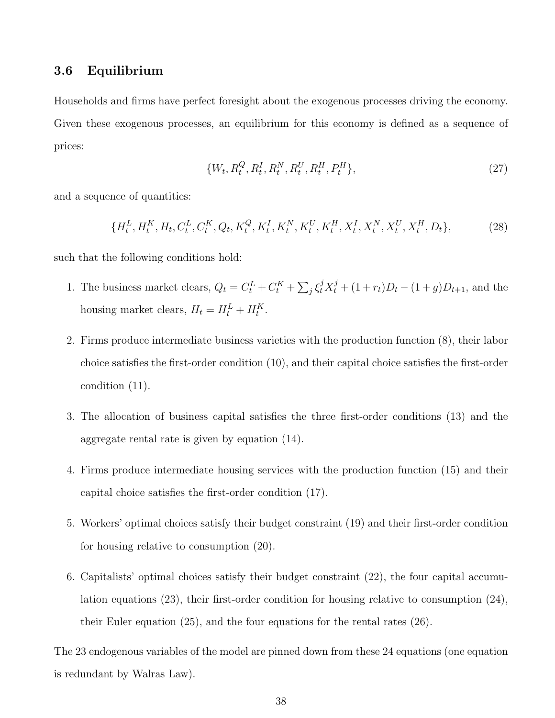#### 3.6 Equilibrium

Households and firms have perfect foresight about the exogenous processes driving the economy. Given these exogenous processes, an equilibrium for this economy is defined as a sequence of prices:

<span id="page-38-1"></span>
$$
\{W_t, R_t^Q, R_t^I, R_t^N, R_t^U, R_t^H, P_t^H\},\tag{27}
$$

and a sequence of quantities:

<span id="page-38-0"></span>
$$
\{H_t^L, H_t^K, H_t, C_t^L, C_t^K, Q_t, K_t^Q, K_t^I, K_t^N, K_t^U, K_t^H, X_t^I, X_t^N, X_t^U, X_t^H, D_t\},\tag{28}
$$

such that the following conditions hold:

- 1. The business market clears,  $Q_t = C_t^L + C_t^K + \sum_j \xi_t^j X_t^j + (1 + r_t)D_t (1 + g)D_{t+1}$ , and the housing market clears,  $H_t = H_t^L + H_t^K$ .
- 2. Firms produce intermediate business varieties with the production function [\(8\)](#page-33-0), their labor choice satisfies the first-order condition [\(10\)](#page-33-1), and their capital choice satisfies the first-order condition [\(11\)](#page-33-2).
- 3. The allocation of business capital satisfies the three first-order conditions [\(13\)](#page-34-1) and the aggregate rental rate is given by equation [\(14\)](#page-34-2).
- 4. Firms produce intermediate housing services with the production function [\(15\)](#page-34-0) and their capital choice satisfies the first-order condition [\(17\)](#page-35-3).
- 5. Workers' optimal choices satisfy their budget constraint [\(19\)](#page-35-2) and their first-order condition for housing relative to consumption [\(20\)](#page-35-4).
- 6. Capitalists' optimal choices satisfy their budget constraint [\(22\)](#page-36-2), the four capital accumulation equations [\(23\)](#page-36-3), their first-order condition for housing relative to consumption [\(24\)](#page-36-4), their Euler equation [\(25\)](#page-37-2), and the four equations for the rental rates [\(26\)](#page-37-0).

The 23 endogenous variables of the model are pinned down from these 24 equations (one equation is redundant by Walras Law).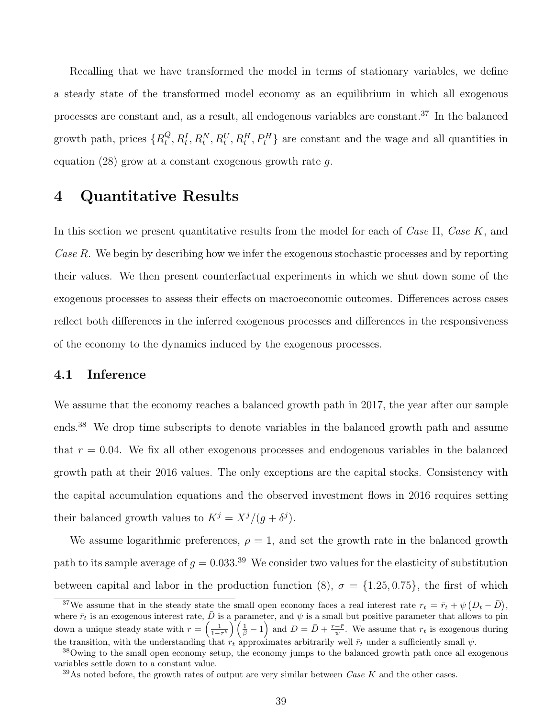Recalling that we have transformed the model in terms of stationary variables, we define a steady state of the transformed model economy as an equilibrium in which all exogenous processes are constant and, as a result, all endogenous variables are constant.[37](#page-39-1) In the balanced growth path, prices  $\{R_t^Q\}$  $t^Q_t, R_t^I, R_t^N, R_t^U, R_t^H, P_t^H$  are constant and the wage and all quantities in equation  $(28)$  grow at a constant exogenous growth rate g.

## <span id="page-39-0"></span>4 Quantitative Results

In this section we present quantitative results from the model for each of Case  $\Pi$ , Case K, and Case R. We begin by describing how we infer the exogenous stochastic processes and by reporting their values. We then present counterfactual experiments in which we shut down some of the exogenous processes to assess their effects on macroeconomic outcomes. Differences across cases reflect both differences in the inferred exogenous processes and differences in the responsiveness of the economy to the dynamics induced by the exogenous processes.

### 4.1 Inference

We assume that the economy reaches a balanced growth path in 2017, the year after our sample ends.[38](#page-39-2) We drop time subscripts to denote variables in the balanced growth path and assume that  $r = 0.04$ . We fix all other exogenous processes and endogenous variables in the balanced growth path at their 2016 values. The only exceptions are the capital stocks. Consistency with the capital accumulation equations and the observed investment flows in 2016 requires setting their balanced growth values to  $K^j = X^j/(g + \delta^j)$ .

We assume logarithmic preferences,  $\rho = 1$ , and set the growth rate in the balanced growth path to its sample average of  $g = 0.033$ .<sup>[39](#page-39-3)</sup> We consider two values for the elasticity of substitution between capital and labor in the production function [\(8\)](#page-33-0),  $\sigma = \{1.25, 0.75\}$ , the first of which

<span id="page-39-1"></span><sup>&</sup>lt;sup>37</sup>We assume that in the steady state the small open economy faces a real interest rate  $r_t = \bar{r}_t + \psi (D_t - \bar{D}),$ where  $\bar{r}_t$  is an exogenous interest rate,  $\bar{D}$  is a parameter, and  $\psi$  is a small but positive parameter that allows to pin down a unique steady state with  $r = \left(\frac{1}{1-\tau^k}\right)\left(\frac{1}{\beta}-1\right)$  and  $D = \bar{D} + \frac{r-\bar{r}}{\psi}$ . We assume that  $r_t$  is exogenous during the transition, with the understanding that  $r_t$  approximates arbitrarily well  $\bar{r}_t$  under a sufficiently small  $\psi$ .

<span id="page-39-2"></span><sup>38</sup>Owing to the small open economy setup, the economy jumps to the balanced growth path once all exogenous variables settle down to a constant value.

<span id="page-39-3"></span><sup>&</sup>lt;sup>39</sup>As noted before, the growth rates of output are very similar between *Case K* and the other cases.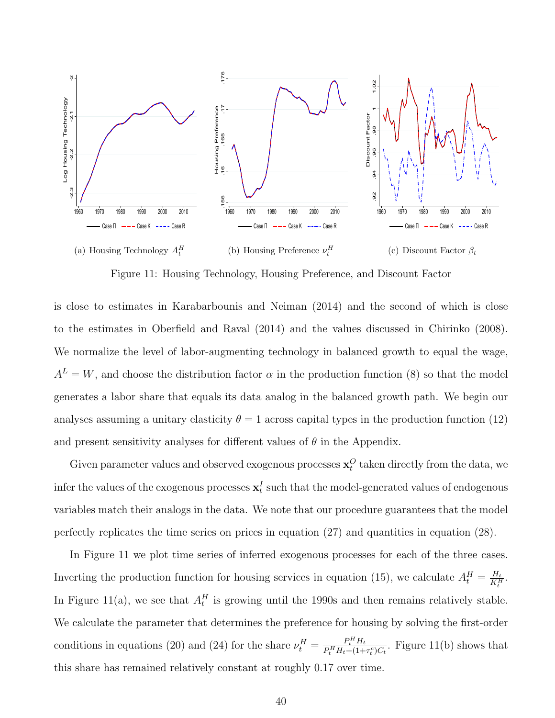<span id="page-40-1"></span><span id="page-40-0"></span>

<span id="page-40-3"></span><span id="page-40-2"></span>Figure 11: Housing Technology, Housing Preference, and Discount Factor

is close to estimates in [Karabarbounis and Neiman](#page-59-0) [\(2014\)](#page-59-0) and the second of which is close to the estimates in [Oberfield and Raval](#page-59-12) [\(2014\)](#page-59-12) and the values discussed in [Chirinko](#page-57-12) [\(2008\)](#page-57-12). We normalize the level of labor-augmenting technology in balanced growth to equal the wage,  $A<sup>L</sup> = W$ , and choose the distribution factor  $\alpha$  in the production function [\(8\)](#page-33-0) so that the model generates a labor share that equals its data analog in the balanced growth path. We begin our analyses assuming a unitary elasticity  $\theta = 1$  across capital types in the production function [\(12\)](#page-34-3) and present sensitivity analyses for different values of  $\theta$  in the Appendix.

Given parameter values and observed exogenous processes  $\mathbf{x}_t^O$  taken directly from the data, we infer the values of the exogenous processes  $\mathbf{x}_t^{I}$  such that the model-generated values of endogenous variables match their analogs in the data. We note that our procedure guarantees that the model perfectly replicates the time series on prices in equation [\(27\)](#page-38-1) and quantities in equation [\(28\)](#page-38-0).

In Figure [11](#page-40-0) we plot time series of inferred exogenous processes for each of the three cases. Inverting the production function for housing services in equation [\(15\)](#page-34-0), we calculate  $A_t^H = \frac{H_t}{K_t^H}$  $\frac{H_t}{K_t^H}$ . In Figure [11\(a\),](#page-40-1) we see that  $A_t^H$  is growing until the 1990s and then remains relatively stable. We calculate the parameter that determines the preference for housing by solving the first-order conditions in equations [\(20\)](#page-35-4) and [\(24\)](#page-36-4) for the share  $\nu_t^H = \frac{P_t^H H_t}{P_t^H H_t + (1 + \epsilon)}$  $\frac{P_t^H H_t}{P_t^H H_t + (1 + \tau_t^c) C_t}$ . Figure [11\(b\)](#page-40-2) shows that this share has remained relatively constant at roughly 0.17 over time.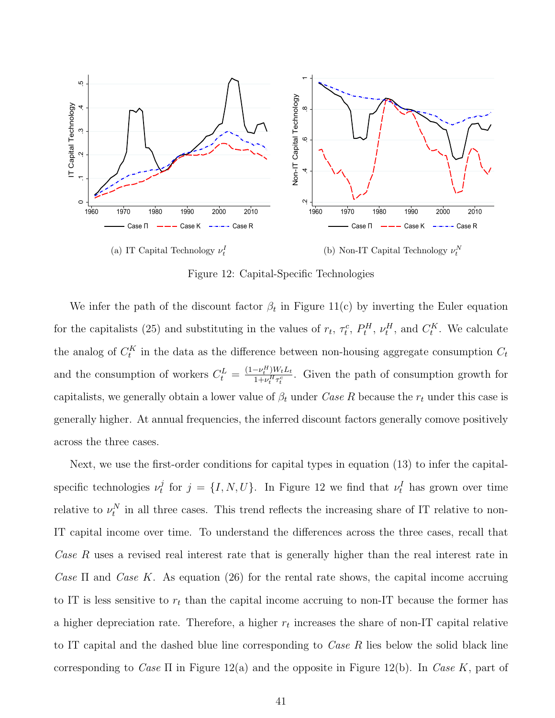<span id="page-41-1"></span><span id="page-41-0"></span>

<span id="page-41-2"></span>Figure 12: Capital-Specific Technologies

We infer the path of the discount factor  $\beta_t$  in Figure [11\(c\)](#page-40-3) by inverting the Euler equation for the capitalists [\(25\)](#page-37-2) and substituting in the values of  $r_t$ ,  $\tau_t^c$ ,  $P_t^H$ ,  $\nu_t^H$ , and  $C_t^K$ . We calculate the analog of  $C_t^K$  in the data as the difference between non-housing aggregate consumption  $C_t$ and the consumption of workers  $C_t^L = \frac{(1-\nu_t^H)W_tL_t}{1+\nu_t^H\tau_t^C}$  $\frac{-\nu_i^{\ldots} W_t L_t}{1 + \nu_i^H \tau_i^c}$ . Given the path of consumption growth for capitalists, we generally obtain a lower value of  $\beta_t$  under Case R because the  $r_t$  under this case is generally higher. At annual frequencies, the inferred discount factors generally comove positively across the three cases.

Next, we use the first-order conditions for capital types in equation [\(13\)](#page-34-1) to infer the capitalspecific technologies  $\nu_t^j$  $t_t^j$  for  $j = \{I, N, U\}$ . In Figure [12](#page-41-0) we find that  $\nu_t^I$  has grown over time relative to  $\nu_t^N$  in all three cases. This trend reflects the increasing share of IT relative to non-IT capital income over time. To understand the differences across the three cases, recall that Case R uses a revised real interest rate that is generally higher than the real interest rate in Case  $\Pi$  and Case K. As equation [\(26\)](#page-37-0) for the rental rate shows, the capital income accruing to IT is less sensitive to  $r_t$  than the capital income accruing to non-IT because the former has a higher depreciation rate. Therefore, a higher  $r_t$  increases the share of non-IT capital relative to IT capital and the dashed blue line corresponding to *Case R* lies below the solid black line corresponding to Case  $\Pi$  in Figure [12\(a\)](#page-41-1) and the opposite in Figure [12\(b\).](#page-41-2) In Case K, part of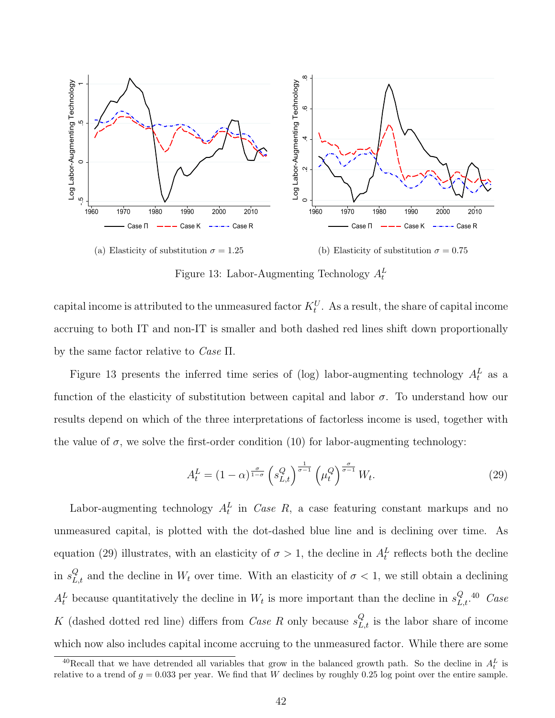<span id="page-42-0"></span>

Figure 13: Labor-Augmenting Technology  $A_t^L$ 

capital income is attributed to the unmeasured factor  $K_t^U$ . As a result, the share of capital income accruing to both IT and non-IT is smaller and both dashed red lines shift down proportionally by the same factor relative to Case Π.

Figure [13](#page-42-0) presents the inferred time series of (log) labor-augmenting technology  $A_t^L$  as a function of the elasticity of substitution between capital and labor  $\sigma$ . To understand how our results depend on which of the three interpretations of factorless income is used, together with the value of  $\sigma$ , we solve the first-order condition [\(10\)](#page-33-1) for labor-augmenting technology:

<span id="page-42-1"></span>
$$
A_t^L = (1 - \alpha)^{\frac{\sigma}{1 - \sigma}} \left( s_{L, t}^Q \right)^{\frac{1}{\sigma - 1}} \left( \mu_t^Q \right)^{\frac{\sigma}{\sigma - 1}} W_t.
$$
 (29)

Labor-augmenting technology  $A_t^L$  in Case R, a case featuring constant markups and no unmeasured capital, is plotted with the dot-dashed blue line and is declining over time. As equation [\(29\)](#page-42-1) illustrates, with an elasticity of  $\sigma > 1$ , the decline in  $A_t^L$  reflects both the decline in  $s_{L,t}^Q$  and the decline in  $W_t$  over time. With an elasticity of  $\sigma < 1$ , we still obtain a declining  $A_t^L$  because quantitatively the decline in  $W_t$  is more important than the decline in  $s_{L,t}^Q$ .<sup>[40](#page-42-2)</sup> Case K (dashed dotted red line) differs from *Case R* only because  $s_{L,t}^Q$  is the labor share of income which now also includes capital income accruing to the unmeasured factor. While there are some

<span id="page-42-2"></span><sup>&</sup>lt;sup>40</sup>Recall that we have detrended all variables that grow in the balanced growth path. So the decline in  $A_t^L$  is relative to a trend of  $g = 0.033$  per year. We find that W declines by roughly 0.25 log point over the entire sample.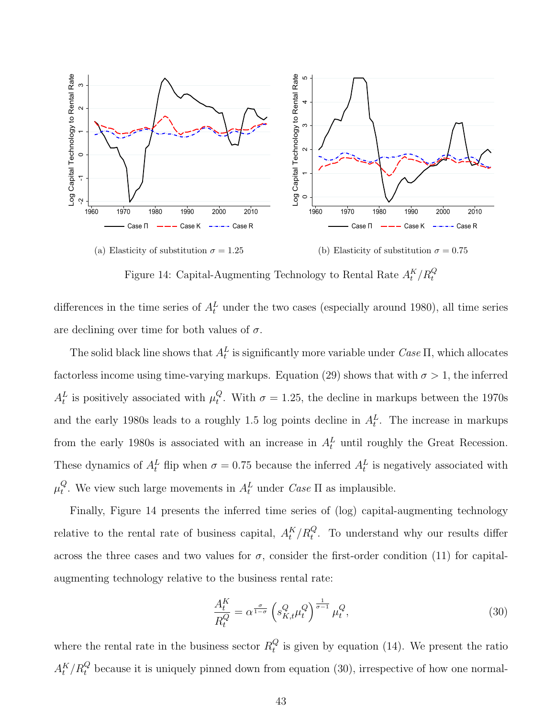<span id="page-43-2"></span><span id="page-43-0"></span>

Figure 14: Capital-Augmenting Technology to Rental Rate  $A_t^K/R_t^Q$ 

differences in the time series of  $A_t^L$  under the two cases (especially around 1980), all time series are declining over time for both values of  $\sigma$ .

The solid black line shows that  $A_t^L$  is significantly more variable under  $\text{Case II}$ , which allocates factorless income using time-varying markups. Equation [\(29\)](#page-42-1) shows that with  $\sigma > 1$ , the inferred  $A_t^L$  is positively associated with  $\mu_t^Q$ <sup> $Q$ </sup>. With  $\sigma = 1.25$ , the decline in markups between the 1970s and the early 1980s leads to a roughly 1.5 log points decline in  $A_t^L$ . The increase in markups from the early 1980s is associated with an increase in  $A_t^L$  until roughly the Great Recession. These dynamics of  $A_t^L$  flip when  $\sigma = 0.75$  because the inferred  $A_t^L$  is negatively associated with  $\mu_t^Q$ <sup>Q</sup>. We view such large movements in  $A_t^L$  under *Case*  $\Pi$  as implausible.

Finally, Figure [14](#page-43-0) presents the inferred time series of (log) capital-augmenting technology relative to the rental rate of business capital,  $A_t^K/R_t^Q$ . To understand why our results differ across the three cases and two values for  $\sigma$ , consider the first-order condition [\(11\)](#page-33-2) for capitalaugmenting technology relative to the business rental rate:

<span id="page-43-1"></span>
$$
\frac{A_t^K}{R_t^Q} = \alpha^{\frac{\sigma}{1-\sigma}} \left( s_{K,t}^Q \mu_t^Q \right)^{\frac{1}{\sigma-1}} \mu_t^Q,
$$
\n(30)

where the rental rate in the business sector  $R_t^Q$  $\mathcal{C}_t$  is given by equation [\(14\)](#page-34-2). We present the ratio  $A_t^K/R_t^Q$  because it is uniquely pinned down from equation [\(30\)](#page-43-1), irrespective of how one normal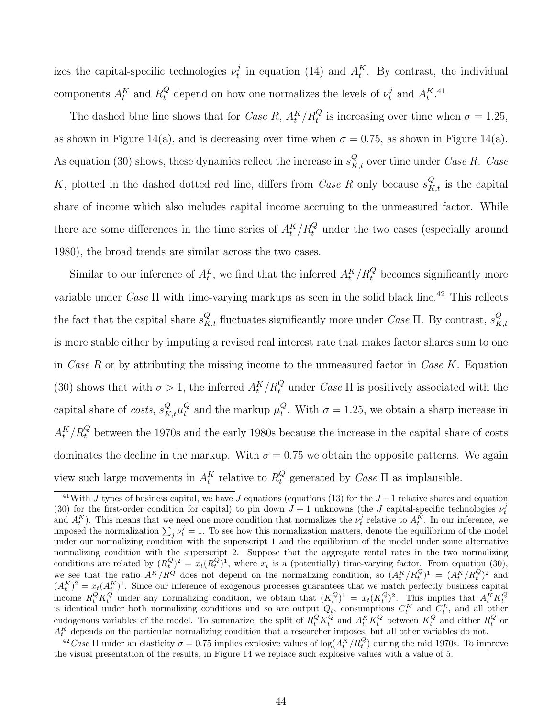izes the capital-specific technologies  $\nu_t^j$  $t_t^j$  in equation [\(14\)](#page-34-2) and  $A_t^K$ . By contrast, the individual components  $A_t^K$  and  $R_t^Q$  depend on how one normalizes the levels of  $\nu_t^j$  $_t^j$  and  $A_t^{K,41}$  $A_t^{K,41}$  $A_t^{K,41}$ 

The dashed blue line shows that for *Case R*,  $A_t^K/R_t^Q$  is increasing over time when  $\sigma = 1.25$ , as shown in Figure [14\(a\),](#page-43-2) and is decreasing over time when  $\sigma = 0.75$ , as shown in Figure [14\(a\).](#page-43-2) As equation [\(30\)](#page-43-1) shows, these dynamics reflect the increase in  $s_{K,t}^Q$  over time under *Case R. Case* K, plotted in the dashed dotted red line, differs from *Case R* only because  $s_{K,t}^Q$  is the capital share of income which also includes capital income accruing to the unmeasured factor. While there are some differences in the time series of  $A_t^K/R_t^Q$  under the two cases (especially around 1980), the broad trends are similar across the two cases.

Similar to our inference of  $A_t^L$ , we find that the inferred  $A_t^K/R_t^Q$  becomes significantly more variable under  $Case \Pi$  with time-varying markups as seen in the solid black line.<sup>[42](#page-44-1)</sup> This reflects the fact that the capital share  $s_{K,t}^Q$  fluctuates significantly more under *Case*  $\Pi$ . By contrast,  $s_K^Q$  $_{K,t}$ is more stable either by imputing a revised real interest rate that makes factor shares sum to one in Case R or by attributing the missing income to the unmeasured factor in Case K. Equation [\(30\)](#page-43-1) shows that with  $\sigma > 1$ , the inferred  $A_t^K/R_t^Q$  under *Case*  $\Pi$  is positively associated with the capital share of *costs*,  $s_{K,t}^Q \mu_t^Q$  $_t^Q$  and the markup  $\mu_t^Q$ <sup> $Q$ </sup>. With  $\sigma = 1.25$ , we obtain a sharp increase in  $A_t^K/R_t^Q$  between the 1970s and the early 1980s because the increase in the capital share of costs dominates the decline in the markup. With  $\sigma = 0.75$  we obtain the opposite patterns. We again view such large movements in  $A_t^K$  relative to  $R_t^Q$  $t_t^Q$  generated by *Case*  $\Pi$  as implausible.

<span id="page-44-0"></span><sup>&</sup>lt;sup>41</sup>With J types of business capital, we have J equations (equations [\(13\)](#page-34-1) for the  $J-1$  relative shares and equation [\(30\)](#page-43-1) for the first-order condition for capital) to pin down  $J+1$  unknowns (the J capital-specific technologies  $\nu_t^j$ and  $A_t^K$ ). This means that we need one more condition that normalizes the  $\nu_t^j$  relative to  $A_t^{\tilde{K}}$ . In our inference, we imposed the normalization  $\sum_j \nu_t^j = 1$ . To see how this normalization matters, denote the equilibrium of the model under our normalizing condition with the superscript 1 and the equilibrium of the model under some alternative normalizing condition with the superscript 2. Suppose that the aggregate rental rates in the two normalizing conditions are related by  $(R_t^Q)^2 = x_t(R_t^Q)^1$ , where  $x_t$  is a (potentially) time-varying factor. From equation [\(30\)](#page-43-1), we see that the ratio  $A^K/R^Q$  does not depend on the normalizing condition, so  $(A_t^K/R_t^Q)^1 = (A_t^K/R_t^Q)^2$  and  $(A_t^K)^2 = x_t(A_t^K)^1$ . Since our inference of exogenous processes guarantees that we match perfectly business capital income  $R_t^Q K_t^Q$  under any normalizing condition, we obtain that  $(K_t^Q)^1 = x_t (K_t^Q)^2$ . This implies that  $A_t^K K_t^Q$  is identical under both normalizing conditions and so are output  $Q_t$ , consumptions  $C_t^K$  and  $C_t^L$ , and a endogenous variables of the model. To summarize, the split of  $R_t^Q K_t^Q$  and  $A_t^K K_t^Q$  between  $K_t^Q$  and either  $R_t^Q$  or  $A_t^K$  depends on the particular normalizing condition that a researcher imposes, but all other variables do not.

<span id="page-44-1"></span><sup>&</sup>lt;sup>42</sup>Case II under an elasticity  $\sigma = 0.75$  implies explosive values of  $\log(A_t^K/R_t^Q)$  during the mid 1970s. To improve the visual presentation of the results, in Figure [14](#page-43-0) we replace such explosive values with a value of 5.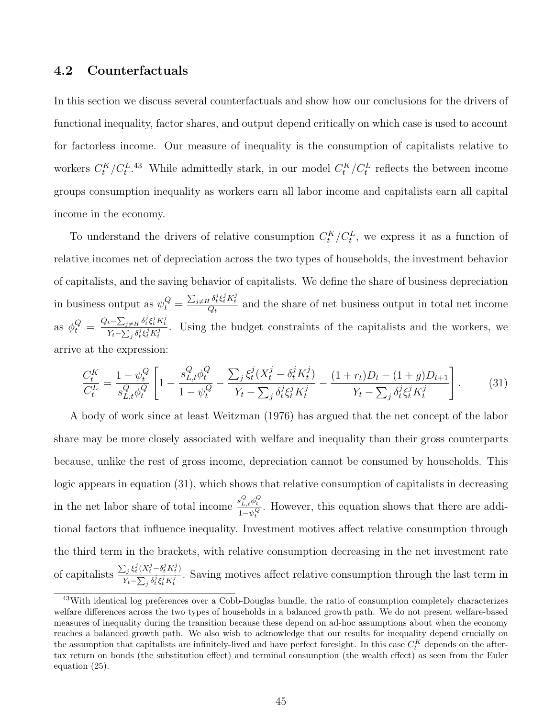#### 4.2 Counterfactuals

In this section we discuss several counterfactuals and show how our conclusions for the drivers of functional inequality, factor shares, and output depend critically on which case is used to account for factorless income. Our measure of inequality is the consumption of capitalists relative to workers  $C_t^K/C_t^{L}$ .<sup>[43](#page-45-0)</sup> While admittedly stark, in our model  $C_t^K/C_t^L$  reflects the between income groups consumption inequality as workers earn all labor income and capitalists earn all capital income in the economy.

To understand the drivers of relative consumption  $C_t^K/C_t^L$ , we express it as a function of relative incomes net of depreciation across the two types of households, the investment behavior of capitalists, and the saving behavior of capitalists. We define the share of business depreciation in business output as  $\psi_t^Q = \frac{\sum_{j\neq H} \delta_t^j \xi_i^j K_t^j}{Q_t}$  and the share of net business output in total net income as  $\phi_t^Q = \frac{Q_t - \sum_{j \neq H} \delta_t^j \xi_t^j K_t^j}{Y_t - \sum_{j \neq j} \delta_j^j \xi_j^j K_j^j}$  $\frac{t^2 \sum_{j\neq H} \sigma_i \xi_i^j K_i^j}{Y_t - \sum_j \delta_i^j \xi_i^j K_i^j}$ . Using the budget constraints of the capitalists and the workers, we arrive at the expression:

<span id="page-45-1"></span>
$$
\frac{C_t^K}{C_t^L} = \frac{1 - \psi_t^Q}{s_{L,t}^Q \phi_t^Q} \left[ 1 - \frac{s_{L,t}^Q \phi_t^Q}{1 - \psi_t^Q} - \frac{\sum_j \xi_t^j (X_t^j - \delta_t^j K_t^j)}{Y_t - \sum_j \delta_t^j \xi_t^j K_t^j} - \frac{(1 + r_t)D_t - (1 + g)D_{t+1}}{Y_t - \sum_j \delta_t^j \xi_t^j K_t^j} \right].
$$
 (31)

A body of work since at least [Weitzman](#page-60-2) [\(1976\)](#page-60-2) has argued that the net concept of the labor share may be more closely associated with welfare and inequality than their gross counterparts because, unlike the rest of gross income, depreciation cannot be consumed by households. This logic appears in equation [\(31\)](#page-45-1), which shows that relative consumption of capitalists in decreasing in the net labor share of total income  $\frac{s_{L,t\phi_t}^Q \phi_t^Q}{1-\mu}$  $\frac{\partial L_t \mu}{\partial t}$ . However, this equation shows that there are additional factors that influence inequality. Investment motives affect relative consumption through the third term in the brackets, with relative consumption decreasing in the net investment rate of capitalists  $\frac{\sum_j \xi_t^j (X_t^j - \delta_t^j K_t^j)}{\sum_j \xi_t^j \xi_t^j K_t^j}$  $\frac{\sum_{j} s_t (N_t - v_t N_t)}{N_t - \sum_j \delta_t^j \xi_t^j K_t^j}$ . Saving motives affect relative consumption through the last term in

<span id="page-45-0"></span><sup>43</sup>With identical log preferences over a Cobb-Douglas bundle, the ratio of consumption completely characterizes welfare differences across the two types of households in a balanced growth path. We do not present welfare-based measures of inequality during the transition because these depend on ad-hoc assumptions about when the economy reaches a balanced growth path. We also wish to acknowledge that our results for inequality depend crucially on the assumption that capitalists are infinitely-lived and have perfect foresight. In this case  $C_t^K$  depends on the aftertax return on bonds (the substitution effect) and terminal consumption (the wealth effect) as seen from the Euler equation [\(25\)](#page-37-2).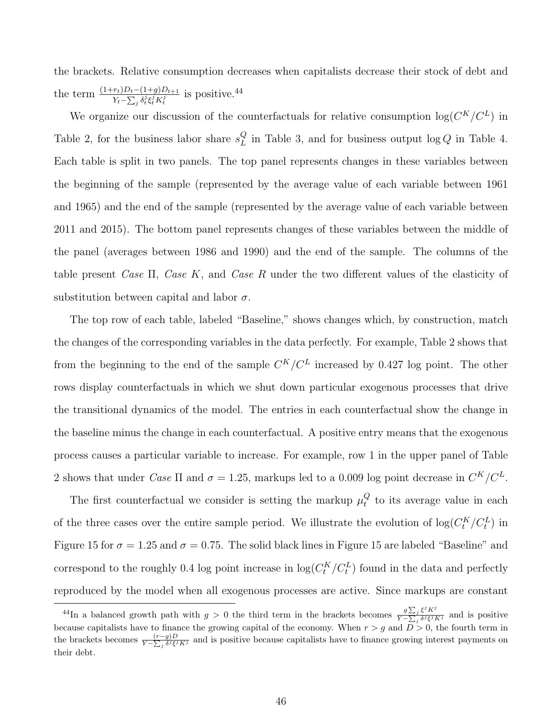the brackets. Relative consumption decreases when capitalists decrease their stock of debt and the term  $\frac{(1+r_t)D_t-(1+g)D_{t+1}}{Y_t-\sum_j \delta_t^j \xi_t^j K_t^j}$  is positive.<sup>[44](#page-46-0)</sup>

We organize our discussion of the counterfactuals for relative consumption  $log(C^K/C^L)$  in Table [2,](#page-47-0) for the business labor share  $s_L^Q$  $\mathcal{L}_L^Q$  in Table [3,](#page-48-0) and for business output  $\log Q$  in Table [4.](#page-49-0) Each table is split in two panels. The top panel represents changes in these variables between the beginning of the sample (represented by the average value of each variable between 1961 and 1965) and the end of the sample (represented by the average value of each variable between 2011 and 2015). The bottom panel represents changes of these variables between the middle of the panel (averages between 1986 and 1990) and the end of the sample. The columns of the table present Case  $\Pi$ , Case K, and Case R under the two different values of the elasticity of substitution between capital and labor  $\sigma$ .

The top row of each table, labeled "Baseline," shows changes which, by construction, match the changes of the corresponding variables in the data perfectly. For example, Table [2](#page-47-0) shows that from the beginning to the end of the sample  $C^{K}/C^{L}$  increased by 0.427 log point. The other rows display counterfactuals in which we shut down particular exogenous processes that drive the transitional dynamics of the model. The entries in each counterfactual show the change in the baseline minus the change in each counterfactual. A positive entry means that the exogenous process causes a particular variable to increase. For example, row 1 in the upper panel of Table [2](#page-47-0) shows that under Case  $\Pi$  and  $\sigma = 1.25$ , markups led to a 0.009 log point decrease in  $C^{K}/C^{L}$ .

The first counterfactual we consider is setting the markup  $\mu_t^Q$  $t_t^Q$  to its average value in each of the three cases over the entire sample period. We illustrate the evolution of  $\log(C_t^K/C_t^L)$  in Figure [15](#page-50-0) for  $\sigma = 1.25$  and  $\sigma = 0.75$ . The solid black lines in Figure 15 are labeled "Baseline" and correspond to the roughly 0.4 log point increase in  $\log(C_t^K/C_t^L)$  found in the data and perfectly reproduced by the model when all exogenous processes are active. Since markups are constant

<span id="page-46-0"></span><sup>&</sup>lt;sup>44</sup>In a balanced growth path with  $g > 0$  the third term in the brackets becomes  $\frac{g\sum_j \xi^j K^j}{\sum_j \sum_j \xi^j K^j}$  $\frac{y \sum_j \zeta^n K^j}{Y - \sum_j \delta^j \xi^j K^j}$  and is positive because capitalists have to finance the growing capital of the economy. When  $r > g$  and  $D > 0$ , the fourth term in the brackets becomes  $\frac{(r-g)D}{Y-\sum_j \delta^j \xi^j K^j}$  and is positive because capitalists have to finance growing interest payments on their debt.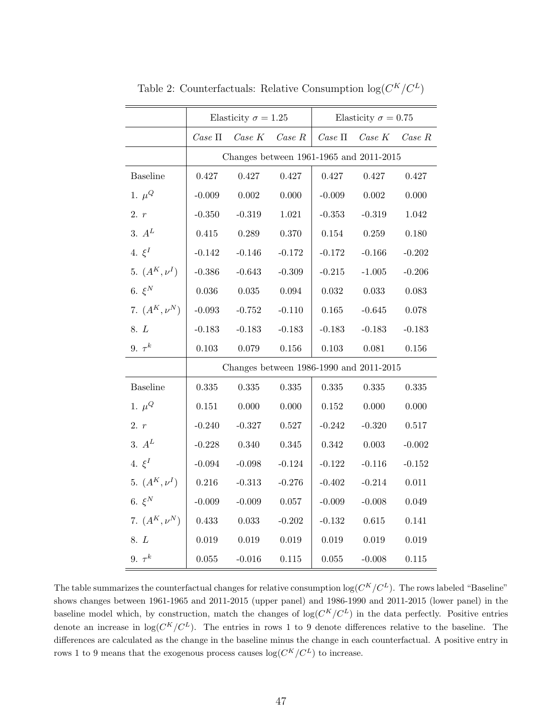<span id="page-47-0"></span>

|                   | Elasticity $\sigma = 1.25$              |          |           | Elasticity $\sigma = 0.75$ |             |           |  |
|-------------------|-----------------------------------------|----------|-----------|----------------------------|-------------|-----------|--|
|                   | $\it Case\:$ $\Pi$                      | Case K   | Case R    | $\it Case\:$ $\Pi$         | Case K      | Case R    |  |
|                   | Changes between 1961-1965 and 2011-2015 |          |           |                            |             |           |  |
| <b>Baseline</b>   | 0.427                                   | 0.427    | 0.427     | 0.427                      | 0.427       | 0.427     |  |
| 1. $\mu^Q$        | $-0.009$                                | 0.002    | $0.000\,$ | $-0.009$                   | $0.002\,$   | 0.000     |  |
| 2. r              | $-0.350$                                | $-0.319$ | 1.021     | $-0.353$                   | $-0.319$    | 1.042     |  |
| 3. $A^L$          | 0.415                                   | 0.289    | 0.370     | 0.154                      | 0.259       | 0.180     |  |
| 4. $\xi^I$        | $-0.142$                                | $-0.146$ | $-0.172$  | $-0.172$                   | $-0.166$    | $-0.202$  |  |
| 5. $(A^K, \nu^I)$ | $-0.386$                                | $-0.643$ | $-0.309$  | $-0.215$                   | $-1.005$    | $-0.206$  |  |
| 6. $\xi^N$        | $0.036\,$                               | 0.035    | 0.094     | 0.032                      | $\,0.033\,$ | 0.083     |  |
| 7. $(A^K, \nu^N)$ | $-0.093$                                | $-0.752$ | $-0.110$  | $0.165\,$                  | $-0.645$    | 0.078     |  |
| 8. L              | $-0.183$                                | $-0.183$ | $-0.183$  | $-0.183$                   | $-0.183$    | $-0.183$  |  |
| 9. $\tau^k$       | $0.103\,$                               | 0.079    | $0.156\,$ | $0.103\,$                  | 0.081       | 0.156     |  |
|                   | Changes between 1986-1990 and 2011-2015 |          |           |                            |             |           |  |
| <b>Baseline</b>   | 0.335                                   | 0.335    | 0.335     | 0.335                      | 0.335       | 0.335     |  |
| 1. $\mu^Q$        | 0.151                                   | 0.000    | 0.000     | $0.152\,$                  | 0.000       | 0.000     |  |
| 2. r              | $-0.240$                                | $-0.327$ | 0.527     | $-0.242$                   | $-0.320$    | $0.517\,$ |  |
| 3. $A^L$          | $-0.228$                                | 0.340    | 0.345     | 0.342                      | 0.003       | $-0.002$  |  |
| 4. $\xi^I$        | $-0.094$                                | $-0.098$ | $-0.124$  | $-0.122$                   | $-0.116$    | $-0.152$  |  |
| 5. $(A^K, \nu^I)$ | 0.216                                   | $-0.313$ | $-0.276$  | $-0.402$                   | $-0.214$    | 0.011     |  |
| 6. $\xi^N$        | $-0.009$                                | $-0.009$ | $0.057\,$ | $-0.009$                   | $-0.008$    | 0.049     |  |
| 7. $(A^K, \nu^N)$ | 0.433                                   | 0.033    | $-0.202$  | $-0.132$                   | $0.615\,$   | 0.141     |  |
| 8. L              | $0.019\,$                               | 0.019    | 0.019     | 0.019                      | 0.019       | 0.019     |  |
| 9. $\tau^k$       | 0.055                                   | $-0.016$ | 0.115     | 0.055                      | $-0.008$    | 0.115     |  |

Table 2: Counterfactuals: Relative Consumption  $log(C^K/C^L)$ 

The table summarizes the counterfactual changes for relative consumption  $\log(C^K/C^L)$ . The rows labeled "Baseline" shows changes between 1961-1965 and 2011-2015 (upper panel) and 1986-1990 and 2011-2015 (lower panel) in the baseline model which, by construction, match the changes of  $log(C^{K}/C^{L})$  in the data perfectly. Positive entries denote an increase in  $\log(C^K/C^L)$ . The entries in rows 1 to 9 denote differences relative to the baseline. The differences are calculated as the change in the baseline minus the change in each counterfactual. A positive entry in rows 1 to 9 means that the exogenous process causes  $log(C^{K}/C^{L})$  to increase.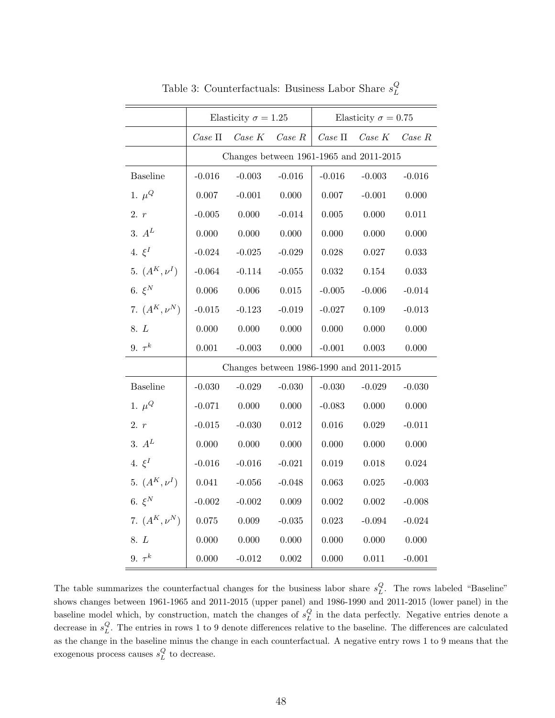<span id="page-48-0"></span>

|                   | Elasticity $\sigma = 1.25$              |          |          | Elasticity $\sigma = 0.75$ |                  |          |  |
|-------------------|-----------------------------------------|----------|----------|----------------------------|------------------|----------|--|
|                   | $Case \Pi$                              | Case K   | Case R   |                            | $Case II$ Case K | Case R   |  |
|                   | Changes between 1961-1965 and 2011-2015 |          |          |                            |                  |          |  |
| <b>Baseline</b>   | $-0.016$                                | $-0.003$ | $-0.016$ | $-0.016$                   | $-0.003$         | $-0.016$ |  |
| 1. $\mu^Q$        | 0.007                                   | $-0.001$ | 0.000    | 0.007                      | $-0.001$         | 0.000    |  |
| 2. r              | $-0.005$                                | 0.000    | $-0.014$ | 0.005                      | 0.000            | 0.011    |  |
| 3. $A^L$          | 0.000                                   | 0.000    | 0.000    | 0.000                      | 0.000            | 0.000    |  |
| 4. $\xi^I$        | $-0.024$                                | $-0.025$ | $-0.029$ | $0.028\,$                  | 0.027            | 0.033    |  |
| 5. $(A^K, \nu^I)$ | $-0.064$                                | $-0.114$ | $-0.055$ | 0.032                      | 0.154            | 0.033    |  |
| 6. $\xi^N$        | 0.006                                   | 0.006    | 0.015    | $-0.005$                   | $-0.006$         | $-0.014$ |  |
| 7. $(A^K, \nu^N)$ | $-0.015$                                | $-0.123$ | $-0.019$ | $-0.027$                   | 0.109            | $-0.013$ |  |
| 8. L              | 0.000                                   | 0.000    | 0.000    | 0.000                      | 0.000            | 0.000    |  |
| 9. $\tau^k$       | 0.001                                   | $-0.003$ | 0.000    | $-0.001$                   | $0.003\,$        | 0.000    |  |
|                   | Changes between 1986-1990 and 2011-2015 |          |          |                            |                  |          |  |
| <b>Baseline</b>   | $-0.030$                                | $-0.029$ | $-0.030$ | $-0.030$                   | $-0.029$         | $-0.030$ |  |
| 1. $\mu^Q$        | $-0.071$                                | 0.000    | 0.000    | $-0.083$                   | 0.000            | 0.000    |  |
| 2. r              | $-0.015$                                | $-0.030$ | 0.012    | $0.016\,$                  | $0.029\,$        | $-0.011$ |  |
| 3. $A^L$          | 0.000                                   | 0.000    | 0.000    | 0.000                      | 0.000            | 0.000    |  |
| 4. $\xi^I$        | $-0.016$                                | $-0.016$ | $-0.021$ | 0.019                      | 0.018            | 0.024    |  |
| 5. $(A^K, \nu^I)$ | 0.041                                   | $-0.056$ | $-0.048$ | 0.063                      | 0.025            | $-0.003$ |  |
| 6. $\xi^N$        | $-0.002$                                | $-0.002$ | 0.009    | 0.002                      | $0.002\,$        | $-0.008$ |  |
| 7. $(A^K, \nu^N)$ | 0.075                                   | 0.009    | $-0.035$ | 0.023                      | $-0.094$         | $-0.024$ |  |
| 8. L              | 0.000                                   | 0.000    | 0.000    | 0.000                      | 0.000            | 0.000    |  |
| 9. $\tau^k$       | 0.000                                   | $-0.012$ | 0.002    | 0.000                      | 0.011            | $-0.001$ |  |

Table 3: Counterfactuals: Business Labor Share  $s_L^Q$ L

The table summarizes the counterfactual changes for the business labor share  $s_L^Q$ . The rows labeled "Baseline" shows changes between 1961-1965 and 2011-2015 (upper panel) and 1986-1990 and 2011-2015 (lower panel) in the baseline model which, by construction, match the changes of  $s_L^Q$  in the data perfectly. Negative entries denote a decrease in  $s_L^Q$ . The entries in rows 1 to 9 denote differences relative to the baseline. The differences are calculated as the change in the baseline minus the change in each counterfactual. A negative entry rows 1 to 9 means that the exogenous process causes  $s_L^Q$  to decrease.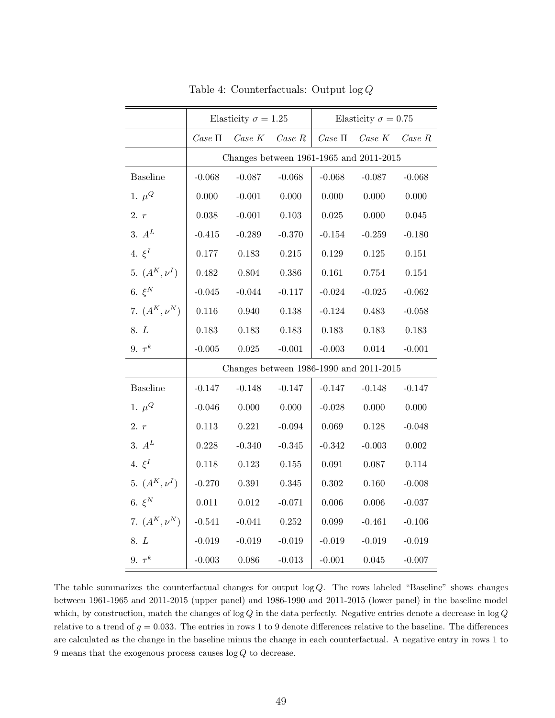<span id="page-49-0"></span>

|                   | Elasticity $\sigma=1.25$                |              |           | Elasticity $\sigma=0.75$ |           |           |  |
|-------------------|-----------------------------------------|--------------|-----------|--------------------------|-----------|-----------|--|
|                   | $\it Case\ II$                          | $\it Case~K$ | Case R    | $\it Case\ II$           | $Case\ K$ | Case R    |  |
|                   | Changes between 1961-1965 and 2011-2015 |              |           |                          |           |           |  |
| <b>Baseline</b>   | $-0.068$                                | $-0.087$     | $-0.068$  | $-0.068$                 | $-0.087$  | $-0.068$  |  |
| 1. $\mu^Q$        | 0.000                                   | $-0.001$     | 0.000     | 0.000                    | 0.000     | 0.000     |  |
| 2. r              | $0.038\,$                               | $-0.001$     | $0.103\,$ | $0.025\,$                | 0.000     | 0.045     |  |
| 3. $A^L$          | $-0.415$                                | $-0.289$     | $-0.370$  | $-0.154$                 | $-0.259$  | $-0.180$  |  |
| 4. $\xi^I$        | 0.177                                   | 0.183        | $0.215\,$ | 0.129                    | 0.125     | $0.151\,$ |  |
| 5. $(A^K, \nu^I)$ | 0.482                                   | 0.804        | $0.386\,$ | $0.161\,$                | 0.754     | 0.154     |  |
| 6. $\xi^N$        | $-0.045$                                | $-0.044$     | $-0.117$  | $-0.024$                 | $-0.025$  | $-0.062$  |  |
| 7. $(A^K, \nu^N)$ | $0.116\,$                               | 0.940        | 0.138     | $-0.124$                 | 0.483     | $-0.058$  |  |
| 8. L              | 0.183                                   | 0.183        | 0.183     | 0.183                    | 0.183     | 0.183     |  |
| 9. $\tau^k$       | $-0.005$                                | $0.025\,$    | $-0.001$  | $-0.003$                 | $0.014\,$ | $-0.001$  |  |
|                   | Changes between 1986-1990 and 2011-2015 |              |           |                          |           |           |  |
| <b>Baseline</b>   | $-0.147$                                | $-0.148$     | $-0.147$  | $-0.147$                 | $-0.148$  | $-0.147$  |  |
| 1. $\mu^Q$        | $-0.046$                                | 0.000        | 0.000     | $-0.028$                 | 0.000     | 0.000     |  |
| 2. r              | 0.113                                   | 0.221        | $-0.094$  | 0.069                    | 0.128     | $-0.048$  |  |
| 3. $A^L$          | 0.228                                   | $-0.340$     | $-0.345$  | $-0.342$                 | $-0.003$  | 0.002     |  |
| 4. $\xi^I$        | 0.118                                   | 0.123        | 0.155     | 0.091                    | 0.087     | 0.114     |  |
| 5. $(A^K, \nu^I)$ | $-0.270$                                | $\,0.391\,$  | 0.345     | 0.302                    | 0.160     | $-0.008$  |  |
| 6. $\xi^N$        | $0.011\,$                               | $0.012\,$    | $-0.071$  | 0.006                    | 0.006     | $-0.037$  |  |
| 7. $(A^K, \nu^N)$ | $-0.541$                                | $-0.041$     | $0.252\,$ | 0.099                    | $-0.461$  | $-0.106$  |  |
| 8. L              | $-0.019$                                | $-0.019$     | $-0.019$  | $-0.019$                 | $-0.019$  | $-0.019$  |  |
| 9. $\tau^k$       | $-0.003$                                | 0.086        | $-0.013$  | $-0.001$                 | 0.045     | $-0.007$  |  |

Table 4: Counterfactuals: Output log Q

The table summarizes the counterfactual changes for output  $log Q$ . The rows labeled "Baseline" shows changes between 1961-1965 and 2011-2015 (upper panel) and 1986-1990 and 2011-2015 (lower panel) in the baseline model which, by construction, match the changes of log  $Q$  in the data perfectly. Negative entries denote a decrease in log  $Q$ relative to a trend of  $g = 0.033$ . The entries in rows 1 to 9 denote differences relative to the baseline. The differences are calculated as the change in the baseline minus the change in each counterfactual. A negative entry in rows 1 to  $9$  means that the exogenous process causes  $\log Q$  to decrease.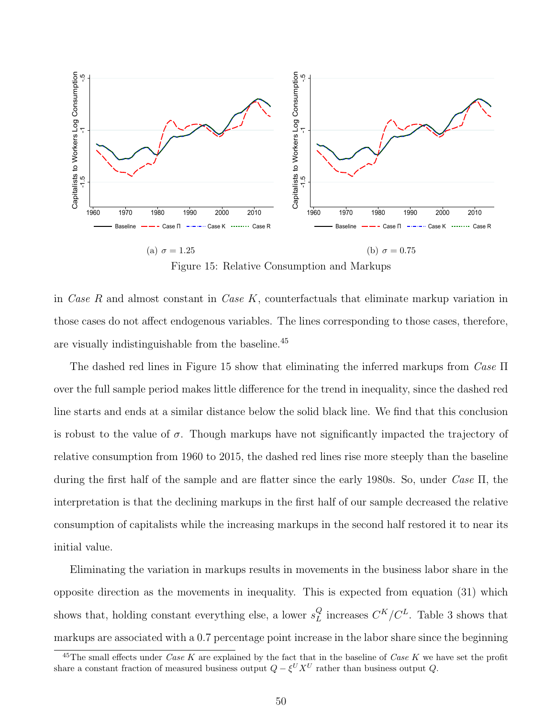<span id="page-50-0"></span>

Figure 15: Relative Consumption and Markups

in Case R and almost constant in Case  $K$ , counterfactuals that eliminate markup variation in those cases do not affect endogenous variables. The lines corresponding to those cases, therefore, are visually indistinguishable from the baseline.[45](#page-50-1)

The dashed red lines in Figure [15](#page-50-0) show that eliminating the inferred markups from  $\text{Case} \Pi$ over the full sample period makes little difference for the trend in inequality, since the dashed red line starts and ends at a similar distance below the solid black line. We find that this conclusion is robust to the value of  $\sigma$ . Though markups have not significantly impacted the trajectory of relative consumption from 1960 to 2015, the dashed red lines rise more steeply than the baseline during the first half of the sample and are flatter since the early 1980s. So, under Case Π, the interpretation is that the declining markups in the first half of our sample decreased the relative consumption of capitalists while the increasing markups in the second half restored it to near its initial value.

Eliminating the variation in markups results in movements in the business labor share in the opposite direction as the movements in inequality. This is expected from equation [\(31\)](#page-45-1) which shows that, holding constant everything else, a lower  $s_L^Q$  $_L^Q$  increases  $C^K/C^L$ . Table [3](#page-48-0) shows that markups are associated with a 0.7 percentage point increase in the labor share since the beginning

<span id="page-50-1"></span><sup>&</sup>lt;sup>45</sup>The small effects under *Case K* are explained by the fact that in the baseline of *Case K* we have set the profit share a constant fraction of measured business output  $Q - \xi^U X^U$  rather than business output Q.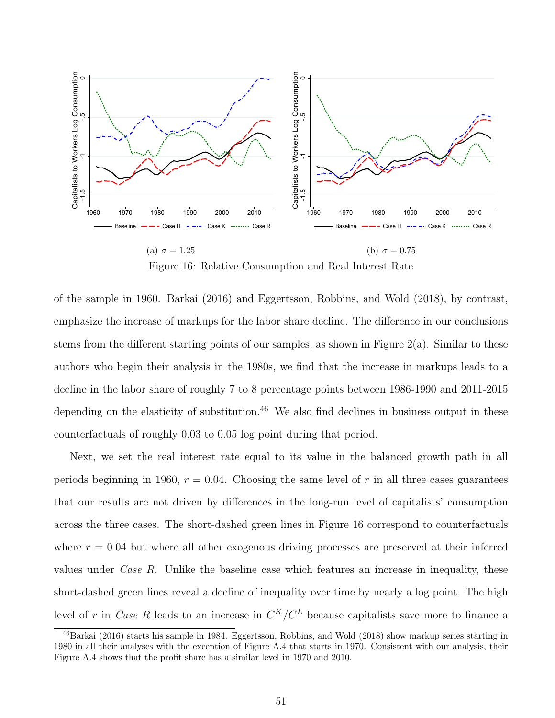<span id="page-51-1"></span>

Figure 16: Relative Consumption and Real Interest Rate

of the sample in 1960. [Barkai](#page-56-1) [\(2016\)](#page-56-1) and [Eggertsson, Robbins, and Wold](#page-57-5) [\(2018\)](#page-57-5), by contrast, emphasize the increase of markups for the labor share decline. The difference in our conclusions stems from the different starting points of our samples, as shown in Figure [2\(a\).](#page-9-0) Similar to these authors who begin their analysis in the 1980s, we find that the increase in markups leads to a decline in the labor share of roughly 7 to 8 percentage points between 1986-1990 and 2011-2015 depending on the elasticity of substitution.<sup>[46](#page-51-0)</sup> We also find declines in business output in these counterfactuals of roughly 0.03 to 0.05 log point during that period.

Next, we set the real interest rate equal to its value in the balanced growth path in all periods beginning in 1960,  $r = 0.04$ . Choosing the same level of r in all three cases guarantees that our results are not driven by differences in the long-run level of capitalists' consumption across the three cases. The short-dashed green lines in Figure [16](#page-51-1) correspond to counterfactuals where  $r = 0.04$  but where all other exogenous driving processes are preserved at their inferred values under *Case R*. Unlike the baseline case which features an increase in inequality, these short-dashed green lines reveal a decline of inequality over time by nearly a log point. The high level of r in *Case R* leads to an increase in  $C^{K}/C^{L}$  because capitalists save more to finance a

<span id="page-51-0"></span><sup>46</sup>[Barkai](#page-56-1) [\(2016\)](#page-56-1) starts his sample in 1984. [Eggertsson, Robbins, and Wold](#page-57-5) [\(2018\)](#page-57-5) show markup series starting in 1980 in all their analyses with the exception of Figure A.4 that starts in 1970. Consistent with our analysis, their Figure A.4 shows that the profit share has a similar level in 1970 and 2010.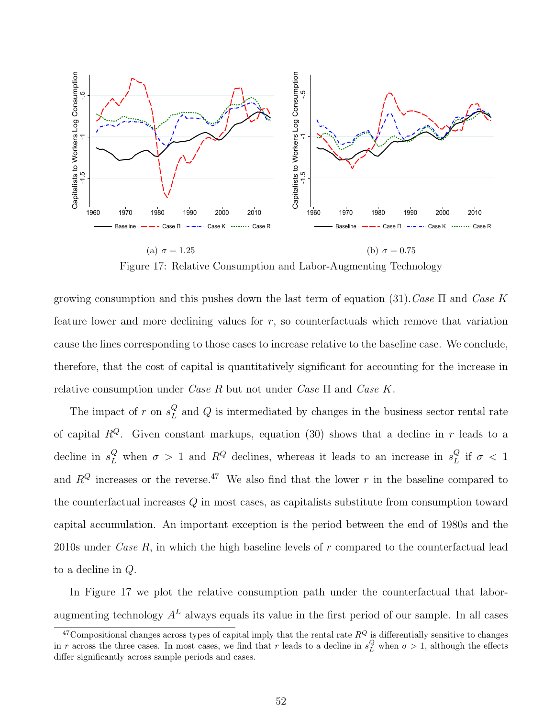<span id="page-52-1"></span>

Figure 17: Relative Consumption and Labor-Augmenting Technology

growing consumption and this pushes down the last term of equation [\(31\)](#page-45-1). Case  $\Pi$  and Case K feature lower and more declining values for  $r$ , so counterfactuals which remove that variation cause the lines corresponding to those cases to increase relative to the baseline case. We conclude, therefore, that the cost of capital is quantitatively significant for accounting for the increase in relative consumption under Case R but not under Case  $\Pi$  and Case K.

The impact of r on  $s_L^Q$  $L<sup>Q</sup>$  and Q is intermediated by changes in the business sector rental rate of capital  $R^Q$ . Given constant markups, equation [\(30\)](#page-43-1) shows that a decline in r leads to a decline in  $s_L^Q$  when  $\sigma > 1$  and  $R^Q$  declines, whereas it leads to an increase in  $s_L^Q$  $_L^Q$  if  $\sigma < 1$ and  $R^{Q}$  increases or the reverse.<sup>[47](#page-52-0)</sup> We also find that the lower r in the baseline compared to the counterfactual increases Q in most cases, as capitalists substitute from consumption toward capital accumulation. An important exception is the period between the end of 1980s and the 2010s under *Case R*, in which the high baseline levels of  $r$  compared to the counterfactual lead to a decline in Q.

In Figure [17](#page-52-1) we plot the relative consumption path under the counterfactual that laboraugmenting technology  $A<sup>L</sup>$  always equals its value in the first period of our sample. In all cases

<span id="page-52-0"></span><sup>&</sup>lt;sup>47</sup>Compositional changes across types of capital imply that the rental rate  $R^Q$  is differentially sensitive to changes in r across the three cases. In most cases, we find that r leads to a decline in  $s_L^Q$  when  $\sigma > 1$ , although the effects differ significantly across sample periods and cases.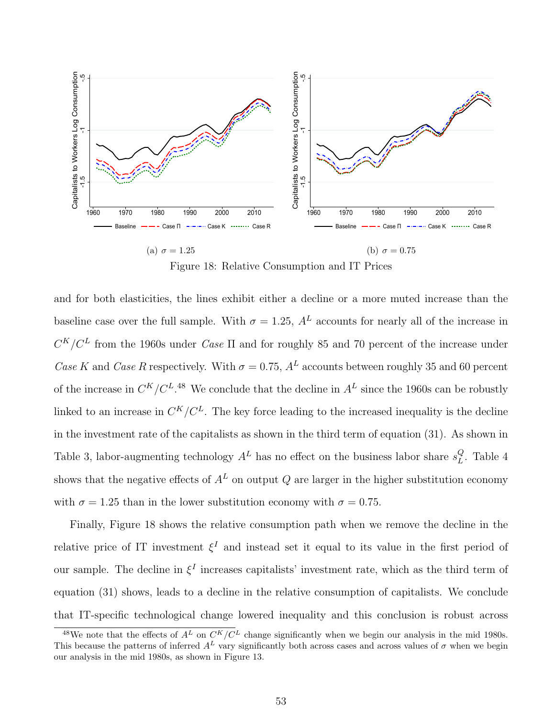<span id="page-53-1"></span>

Figure 18: Relative Consumption and IT Prices

and for both elasticities, the lines exhibit either a decline or a more muted increase than the baseline case over the full sample. With  $\sigma = 1.25$ ,  $A<sup>L</sup>$  accounts for nearly all of the increase in  $C^{K}/C^{L}$  from the 1960s under *Case*  $\Pi$  and for roughly 85 and 70 percent of the increase under Case K and Case R respectively. With  $\sigma = 0.75$ ,  $A<sup>L</sup>$  accounts between roughly 35 and 60 percent of the increase in  $C^{K}/C^{L}$ .<sup>[48](#page-53-0)</sup> We conclude that the decline in  $A^{L}$  since the 1960s can be robustly linked to an increase in  $C^{K}/C^{L}$ . The key force leading to the increased inequality is the decline in the investment rate of the capitalists as shown in the third term of equation [\(31\)](#page-45-1). As shown in Table [3,](#page-48-0) labor-augmenting technology  $A<sup>L</sup>$  has no effect on the business labor share  $s<sub>L</sub><sup>Q</sup>$  $_{L}^{Q}$ . Table [4](#page-49-0) shows that the negative effects of  $A<sup>L</sup>$  on output Q are larger in the higher substitution economy with  $\sigma = 1.25$  than in the lower substitution economy with  $\sigma = 0.75$ .

Finally, Figure [18](#page-53-1) shows the relative consumption path when we remove the decline in the relative price of IT investment  $\xi^I$  and instead set it equal to its value in the first period of our sample. The decline in  $\xi^I$  increases capitalists' investment rate, which as the third term of equation [\(31\)](#page-45-1) shows, leads to a decline in the relative consumption of capitalists. We conclude that IT-specific technological change lowered inequality and this conclusion is robust across

<span id="page-53-0"></span><sup>&</sup>lt;sup>48</sup>We note that the effects of  $A<sup>L</sup>$  on  $C<sup>K</sup>/C<sup>L</sup>$  change significantly when we begin our analysis in the mid 1980s. This because the patterns of inferred  $A^L$  vary significantly both across cases and across values of  $\sigma$  when we begin our analysis in the mid 1980s, as shown in Figure [13.](#page-42-0)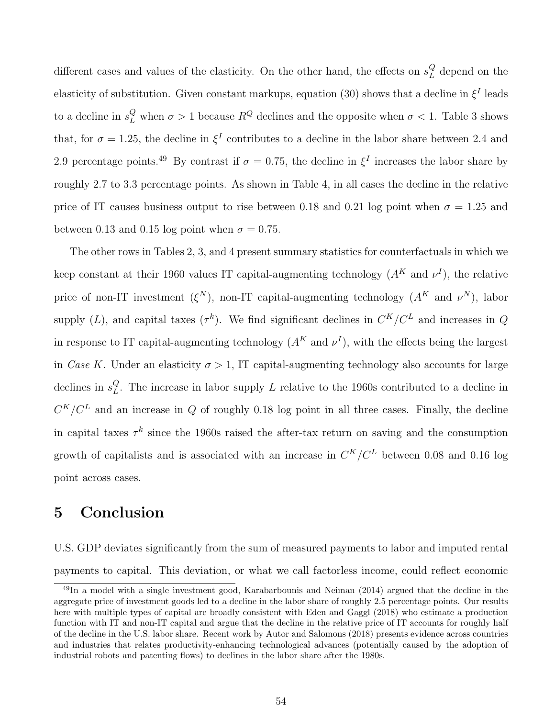different cases and values of the elasticity. On the other hand, the effects on  $s_L^Q$  $L<sup>Q</sup>$  depend on the elasticity of substitution. Given constant markups, equation [\(30\)](#page-43-1) shows that a decline in  $\xi^I$  leads to a decline in  $s_L^Q$  when  $\sigma > 1$  because  $R^Q$  declines and the opposite when  $\sigma < 1$ . Table [3](#page-48-0) shows that, for  $\sigma = 1.25$ , the decline in  $\xi^I$  contributes to a decline in the labor share between 2.4 and 2.9 percentage points.<sup>[49](#page-54-0)</sup> By contrast if  $\sigma = 0.75$ , the decline in  $\xi^I$  increases the labor share by roughly 2.7 to 3.3 percentage points. As shown in Table [4,](#page-49-0) in all cases the decline in the relative price of IT causes business output to rise between 0.18 and 0.21 log point when  $\sigma = 1.25$  and between 0.13 and 0.15 log point when  $\sigma = 0.75$ .

The other rows in Tables [2,](#page-47-0) [3,](#page-48-0) and [4](#page-49-0) present summary statistics for counterfactuals in which we keep constant at their 1960 values IT capital-augmenting technology  $(A<sup>K</sup>$  and  $\nu<sup>I</sup>)$ , the relative price of non-IT investment  $(\xi^N)$ , non-IT capital-augmenting technology  $(A^K \text{ and } \nu^N)$ , labor supply (L), and capital taxes ( $\tau^k$ ). We find significant declines in  $C^K/C^L$  and increases in Q in response to IT capital-augmenting technology  $(A<sup>K</sup>$  and  $\nu<sup>I</sup>)$ , with the effects being the largest in Case K. Under an elasticity  $\sigma > 1$ , IT capital-augmenting technology also accounts for large declines in  $s_L^Q$  $L<sup>Q</sup>$ . The increase in labor supply L relative to the 1960s contributed to a decline in  $C^{K}/C^{L}$  and an increase in Q of roughly 0.18 log point in all three cases. Finally, the decline in capital taxes  $\tau^k$  since the 1960s raised the after-tax return on saving and the consumption growth of capitalists and is associated with an increase in  $C^{K}/C^{L}$  between 0.08 and 0.16 log point across cases.

## 5 Conclusion

U.S. GDP deviates significantly from the sum of measured payments to labor and imputed rental payments to capital. This deviation, or what we call factorless income, could reflect economic

<span id="page-54-0"></span><sup>49</sup>In a model with a single investment good, [Karabarbounis and Neiman](#page-59-0) [\(2014\)](#page-59-0) argued that the decline in the aggregate price of investment goods led to a decline in the labor share of roughly 2.5 percentage points. Our results here with multiple types of capital are broadly consistent with [Eden and Gaggl](#page-57-11) [\(2018\)](#page-57-11) who estimate a production function with IT and non-IT capital and argue that the decline in the relative price of IT accounts for roughly half of the decline in the U.S. labor share. Recent work by [Autor and Salomons](#page-56-6) [\(2018\)](#page-56-6) presents evidence across countries and industries that relates productivity-enhancing technological advances (potentially caused by the adoption of industrial robots and patenting flows) to declines in the labor share after the 1980s.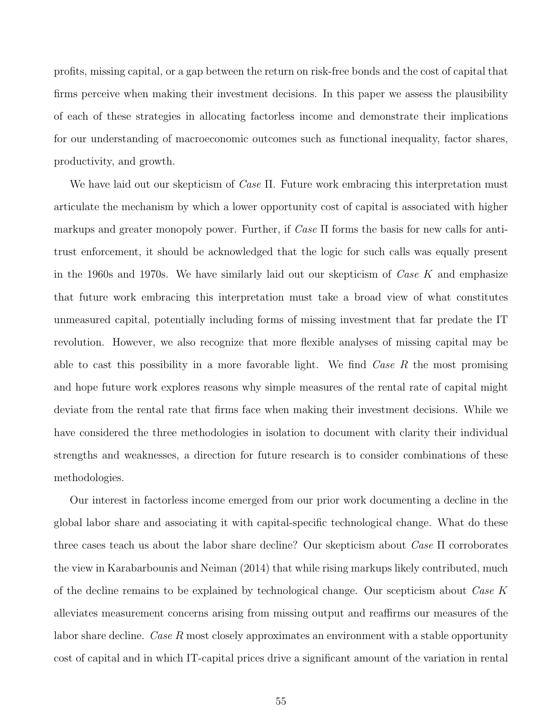profits, missing capital, or a gap between the return on risk-free bonds and the cost of capital that firms perceive when making their investment decisions. In this paper we assess the plausibility of each of these strategies in allocating factorless income and demonstrate their implications for our understanding of macroeconomic outcomes such as functional inequality, factor shares, productivity, and growth.

We have laid out our skepticism of *Case* Π. Future work embracing this interpretation must articulate the mechanism by which a lower opportunity cost of capital is associated with higher markups and greater monopoly power. Further, if  $Case \Pi$  forms the basis for new calls for antitrust enforcement, it should be acknowledged that the logic for such calls was equally present in the 1960s and 1970s. We have similarly laid out our skepticism of  $\textit{Case } K$  and emphasize that future work embracing this interpretation must take a broad view of what constitutes unmeasured capital, potentially including forms of missing investment that far predate the IT revolution. However, we also recognize that more flexible analyses of missing capital may be able to cast this possibility in a more favorable light. We find  $\textit{Case } R$  the most promising and hope future work explores reasons why simple measures of the rental rate of capital might deviate from the rental rate that firms face when making their investment decisions. While we have considered the three methodologies in isolation to document with clarity their individual strengths and weaknesses, a direction for future research is to consider combinations of these methodologies.

Our interest in factorless income emerged from our prior work documenting a decline in the global labor share and associating it with capital-specific technological change. What do these three cases teach us about the labor share decline? Our skepticism about Case Π corroborates the view in [Karabarbounis and Neiman](#page-59-0) [\(2014\)](#page-59-0) that while rising markups likely contributed, much of the decline remains to be explained by technological change. Our scepticism about Case  $K$ alleviates measurement concerns arising from missing output and reaffirms our measures of the labor share decline. Case R most closely approximates an environment with a stable opportunity cost of capital and in which IT-capital prices drive a significant amount of the variation in rental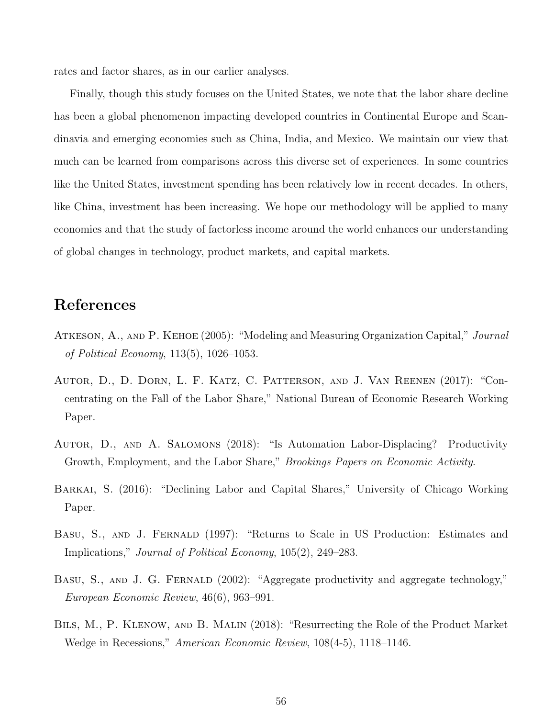rates and factor shares, as in our earlier analyses.

Finally, though this study focuses on the United States, we note that the labor share decline has been a global phenomenon impacting developed countries in Continental Europe and Scandinavia and emerging economies such as China, India, and Mexico. We maintain our view that much can be learned from comparisons across this diverse set of experiences. In some countries like the United States, investment spending has been relatively low in recent decades. In others, like China, investment has been increasing. We hope our methodology will be applied to many economies and that the study of factorless income around the world enhances our understanding of global changes in technology, product markets, and capital markets.

## References

- <span id="page-56-3"></span>ATKESON, A., AND P. KEHOE (2005): "Modeling and Measuring Organization Capital," *Journal* of Political Economy, 113(5), 1026–1053.
- <span id="page-56-4"></span>Autor, D., D. Dorn, L. F. Katz, C. Patterson, and J. Van Reenen (2017): "Concentrating on the Fall of the Labor Share," National Bureau of Economic Research Working Paper.
- <span id="page-56-6"></span>Autor, D., and A. Salomons (2018): "Is Automation Labor-Displacing? Productivity Growth, Employment, and the Labor Share," Brookings Papers on Economic Activity.
- <span id="page-56-1"></span>Barkai, S. (2016): "Declining Labor and Capital Shares," University of Chicago Working Paper.
- <span id="page-56-0"></span>BASU, S., AND J. FERNALD (1997): "Returns to Scale in US Production: Estimates and Implications," Journal of Political Economy, 105(2), 249–283.
- <span id="page-56-5"></span>BASU, S., AND J. G. FERNALD (2002): "Aggregate productivity and aggregate technology," European Economic Review, 46(6), 963–991.
- <span id="page-56-2"></span>Bils, M., P. Klenow, and B. Malin (2018): "Resurrecting the Role of the Product Market Wedge in Recessions," American Economic Review, 108(4-5), 1118–1146.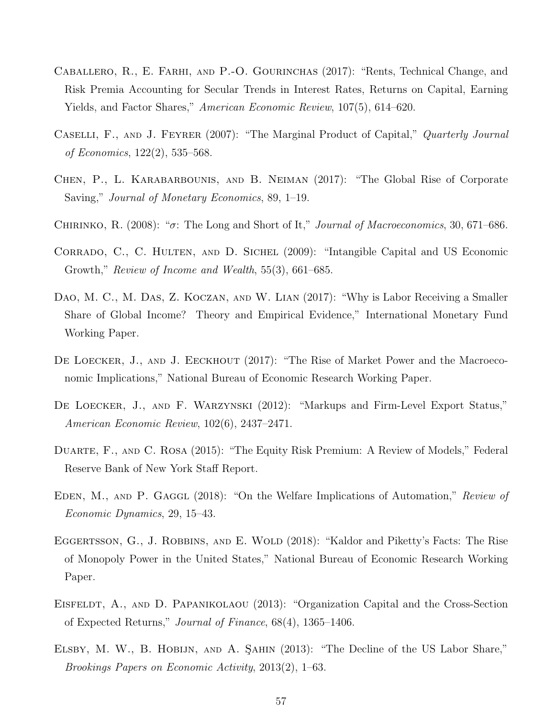- <span id="page-57-7"></span>Caballero, R., E. Farhi, and P.-O. Gourinchas (2017): "Rents, Technical Change, and Risk Premia Accounting for Secular Trends in Interest Rates, Returns on Capital, Earning Yields, and Factor Shares," *American Economic Review*, 107(5), 614–620.
- <span id="page-57-4"></span>CASELLI, F., AND J. FEYRER (2007): "The Marginal Product of Capital," Quarterly Journal of Economics, 122(2), 535–568.
- <span id="page-57-9"></span>Chen, P., L. Karabarbounis, and B. Neiman (2017): "The Global Rise of Corporate Saving," Journal of Monetary Economics, 89, 1–19.
- <span id="page-57-12"></span>CHIRINKO, R. (2008): " $\sigma$ : The Long and Short of It," *Journal of Macroeconomics*, 30, 671–686.
- <span id="page-57-2"></span>CORRADO, C., C. HULTEN, AND D. SICHEL (2009): "Intangible Capital and US Economic Growth," Review of Income and Wealth, 55(3), 661–685.
- <span id="page-57-1"></span>DAO, M. C., M. DAS, Z. KOCZAN, AND W. LIAN (2017): "Why is Labor Receiving a Smaller Share of Global Income? Theory and Empirical Evidence," International Monetary Fund Working Paper.
- <span id="page-57-6"></span>DE LOECKER, J., AND J. EECKHOUT (2017): "The Rise of Market Power and the Macroeconomic Implications," National Bureau of Economic Research Working Paper.
- <span id="page-57-8"></span>DE LOECKER, J., AND F. WARZYNSKI (2012): "Markups and Firm-Level Export Status," American Economic Review, 102(6), 2437–2471.
- <span id="page-57-10"></span>Duarte, F., and C. Rosa (2015): "The Equity Risk Premium: A Review of Models," Federal Reserve Bank of New York Staff Report.
- <span id="page-57-11"></span>EDEN, M., AND P. GAGGL (2018): "On the Welfare Implications of Automation," Review of Economic Dynamics, 29, 15–43.
- <span id="page-57-5"></span>EGGERTSSON, G., J. ROBBINS, AND E. WOLD (2018): "Kaldor and Piketty's Facts: The Rise of Monopoly Power in the United States," National Bureau of Economic Research Working Paper.
- <span id="page-57-3"></span>EISFELDT, A., AND D. PAPANIKOLAOU (2013): "Organization Capital and the Cross-Section of Expected Returns," Journal of Finance, 68(4), 1365–1406.
- <span id="page-57-0"></span>ELSBY, M. W., B. HOBIJN, AND A. SAHIN (2013): "The Decline of the US Labor Share," Brookings Papers on Economic Activity, 2013(2), 1–63.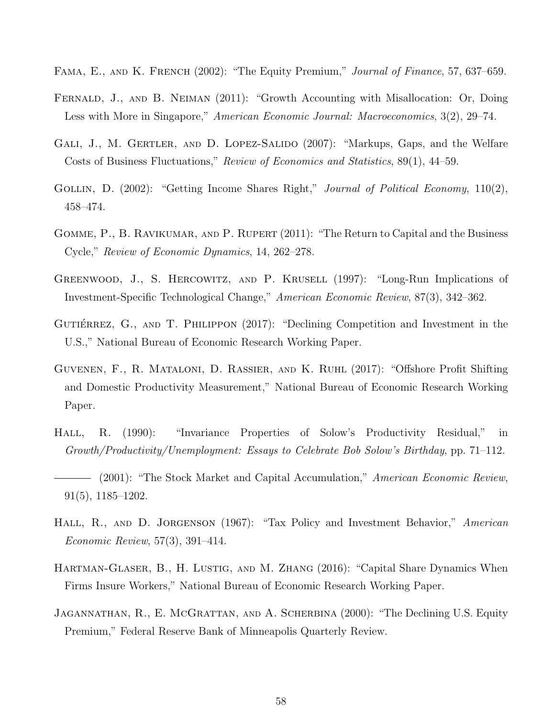- <span id="page-58-10"></span>FAMA, E., AND K. FRENCH (2002): "The Equity Premium," Journal of Finance, 57, 637–659.
- <span id="page-58-11"></span>FERNALD, J., AND B. NEIMAN (2011): "Growth Accounting with Misallocation: Or, Doing Less with More in Singapore," American Economic Journal: Macroeconomics, 3(2), 29–74.
- <span id="page-58-4"></span>GALI, J., M. GERTLER, AND D. LOPEZ-SALIDO (2007): "Markups, Gaps, and the Welfare Costs of Business Fluctuations," Review of Economics and Statistics, 89(1), 44–59.
- <span id="page-58-0"></span>GOLLIN, D. (2002): "Getting Income Shares Right," Journal of Political Economy, 110(2), 458–474.
- <span id="page-58-6"></span>GOMME, P., B. RAVIKUMAR, AND P. RUPERT (2011): "The Return to Capital and the Business Cycle," Review of Economic Dynamics, 14, 262–278.
- <span id="page-58-12"></span>Greenwood, J., S. Hercowitz, and P. Krusell (1997): "Long-Run Implications of Investment-Specific Technological Change," American Economic Review, 87(3), 342–362.
- <span id="page-58-7"></span>GUTIÉRREZ, G., AND T. PHILIPPON (2017): "Declining Competition and Investment in the U.S.," National Bureau of Economic Research Working Paper.
- <span id="page-58-1"></span>Guvenen, F., R. Mataloni, D. Rassier, and K. Ruhl (2017): "Offshore Profit Shifting and Domestic Productivity Measurement," National Bureau of Economic Research Working Paper.
- <span id="page-58-3"></span>Hall, R. (1990): "Invariance Properties of Solow's Productivity Residual," in Growth/Productivity/Unemployment: Essays to Celebrate Bob Solow's Birthday, pp. 71–112.
- <span id="page-58-5"></span>- (2001): "The Stock Market and Capital Accumulation," American Economic Review, 91(5), 1185–1202.
- <span id="page-58-2"></span>HALL, R., AND D. JORGENSON (1967): "Tax Policy and Investment Behavior," American Economic Review, 57(3), 391–414.
- <span id="page-58-8"></span>HARTMAN-GLASER, B., H. LUSTIG, AND M. ZHANG (2016): "Capital Share Dynamics When Firms Insure Workers," National Bureau of Economic Research Working Paper.
- <span id="page-58-9"></span>Jagannathan, R., E. McGrattan, and A. Scherbina (2000): "The Declining U.S. Equity Premium," Federal Reserve Bank of Minneapolis Quarterly Review.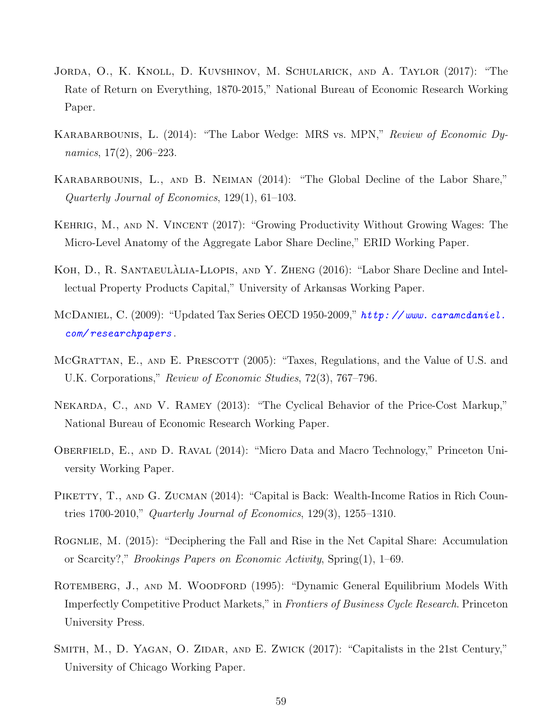- <span id="page-59-10"></span>Jorda, O., K. Knoll, D. Kuvshinov, M. Schularick, and A. Taylor (2017): "The Rate of Return on Everything, 1870-2015," National Bureau of Economic Research Working Paper.
- <span id="page-59-6"></span>KARABARBOUNIS, L. (2014): "The Labor Wedge: MRS vs. MPN," Review of Economic Dynamics, 17(2), 206–223.
- <span id="page-59-0"></span>Karabarbounis, L., and B. Neiman (2014): "The Global Decline of the Labor Share," Quarterly Journal of Economics, 129(1), 61–103.
- <span id="page-59-11"></span>Kehrig, M., and N. Vincent (2017): "Growing Productivity Without Growing Wages: The Micro-Level Anatomy of the Aggregate Labor Share Decline," ERID Working Paper.
- <span id="page-59-8"></span>KOH, D., R. SANTAEULALIA-LLOPIS, AND Y. ZHENG (2016): "Labor Share Decline and Intellectual Property Products Capital," University of Arkansas Working Paper.
- <span id="page-59-9"></span>McDaniel, C. (2009): "Updated Tax Series OECD 1950-2009," http://www.caramcdaniel. [com/ researchpapers](http://www. caramcdaniel. com/researchpapers) .
- <span id="page-59-7"></span>MCGRATTAN, E., AND E. PRESCOTT (2005): "Taxes, Regulations, and the Value of U.S. and U.K. Corporations," Review of Economic Studies, 72(3), 767–796.
- <span id="page-59-5"></span>Nekarda, C., and V. Ramey (2013): "The Cyclical Behavior of the Price-Cost Markup," National Bureau of Economic Research Working Paper.
- <span id="page-59-12"></span>OBERFIELD, E., AND D. RAVAL (2014): "Micro Data and Macro Technology," Princeton University Working Paper.
- <span id="page-59-2"></span>PIKETTY, T., AND G. ZUCMAN (2014): "Capital is Back: Wealth-Income Ratios in Rich Countries 1700-2010," Quarterly Journal of Economics, 129(3), 1255–1310.
- <span id="page-59-4"></span>ROGNLIE, M. (2015): "Deciphering the Fall and Rise in the Net Capital Share: Accumulation or Scarcity?," Brookings Papers on Economic Activity, Spring(1), 1–69.
- <span id="page-59-3"></span>ROTEMBERG, J., AND M. WOODFORD (1995): "Dynamic General Equilibrium Models With Imperfectly Competitive Product Markets," in Frontiers of Business Cycle Research. Princeton University Press.
- <span id="page-59-1"></span>SMITH, M., D. YAGAN, O. ZIDAR, AND E. ZWICK (2017): "Capitalists in the 21st Century," University of Chicago Working Paper.